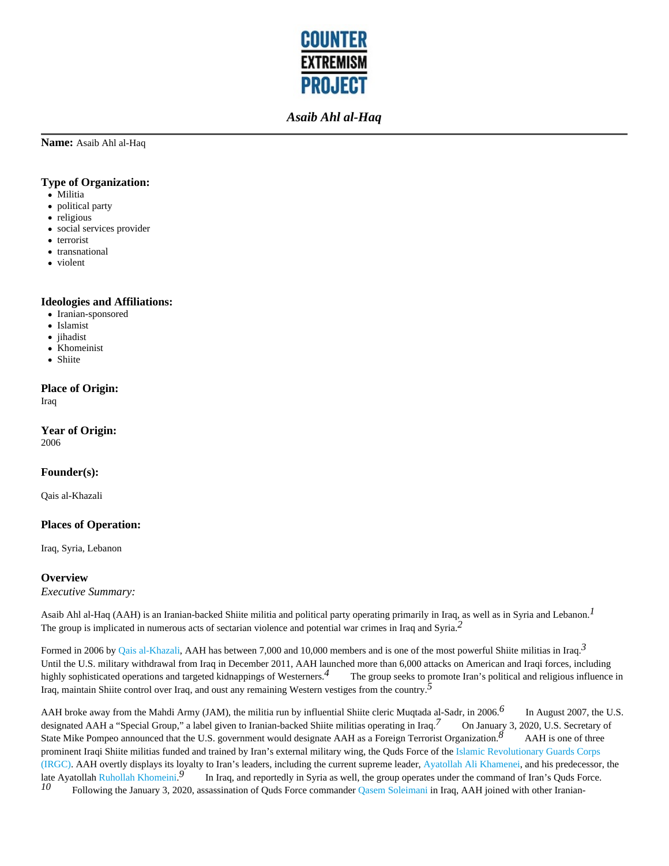

**Name:** Asaib Ahl al-Haq

#### **Type of Organization:**

- Militia
- political party
- religious
- social services provider
- terrorist
- transnational
- violent

#### **Ideologies and Affiliations:**

- Iranian-sponsored
- Islamist
- jihadist  $\bullet$
- Khomeinist
- Shiite

#### **Place of Origin:**

Iraq

**Year of Origin:** 

2006

#### **Founder(s):**

Qais al-Khazali

### **Places of Operation:**

Iraq, Syria, Lebanon

#### **Overview**

*Executive Summary:*

Asaib Ahl al-Haq (AAH) is an Iranian-backed Shiite militia and political party operating primarily in Iraq, as well as in Syria and Lebanon.*1*  The group is implicated in numerous acts of sectarian violence and potential war crimes in Iraq and Syria.*2* 

Formed in 2006 by Qais al-Khazali, AAH has between 7,000 and 10,000 members and is one of the most powerful Shiite militias in Iraq.*3*  Until the U.S. military withdrawal from Iraq in December 2011, AAH launched more than 6,000 attacks on American and Iraqi forces, including highly sophisticated operations and targeted kidnappings of Westerners.*4* The group seeks to promote Iran's political and religious influence in Iraq, maintain Shiite control over Iraq, and oust any remaining Western vestiges from the country.*5* 

AAH broke away from the Mahdi Army (JAM), the militia run by influential Shiite cleric Muqtada al-Sadr, in 2006.*6* In August 2007, the U.S. designated AAH a "Special Group," a label given to Iranian-backed Shiite militias operating in Iraq.<sup>7</sup> On January 3, 2020, U.S. Secretary of State Mike Pompeo announced that the U.S. government would designate AAH as a Foreign Terrorist Organization.<sup>8</sup> AAH is one of three prominent Iraqi Shiite militias funded and trained by Iran's external military wing, the Quds Force of the Islamic Revolutionary Guards Corps (IRGC). AAH overtly displays its loyalty to Iran's leaders, including the current supreme leader, Ayatollah Ali Khamenei, and his predecessor, the late Ayatollah Ruhollah Khomeini.<sup>9</sup><br> $l_0$  Eollowing the January 3, 2020 In Iraq, and reportedly in Syria as well, the group operates under the command of Iran's Quds Force. Following the January 3, 2020, assassination of Quds Force commander Qasem Soleimani in Iraq, AAH joined with other Iranian-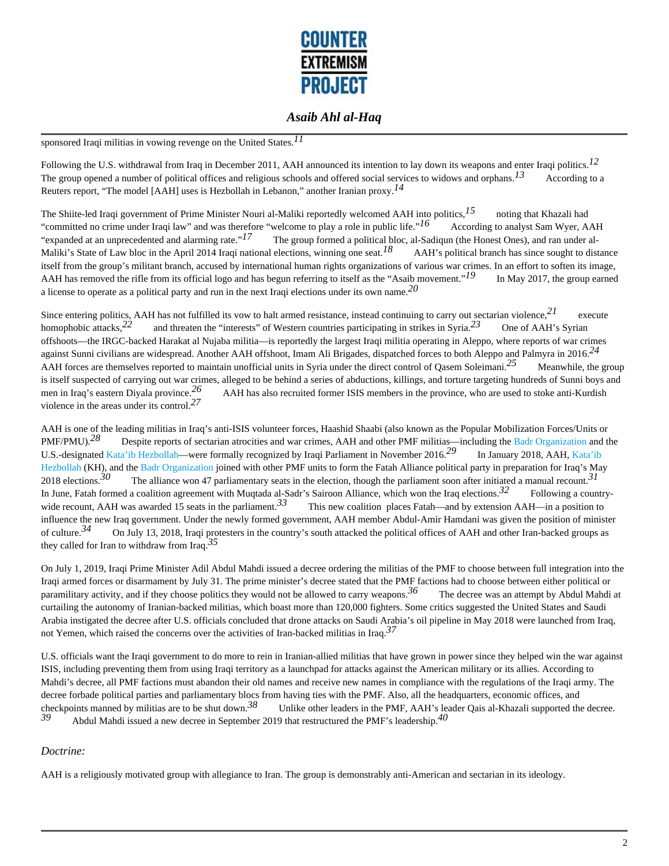

sponsored Iraqi militias in vowing revenge on the United States.*11* 

Following the U.S. withdrawal from Iraq in December 2011, AAH announced its intention to lay down its weapons and enter Iraqi politics.*12*  The group opened a number of political offices and religious schools and offered social services to widows and orphans.<sup>13</sup> According to a Reuters report, "The model [AAH] uses is Hezbollah in Lebanon," another Iranian proxy.*14* 

The Shiite-led Iraqi government of Prime Minister Nouri al-Maliki reportedly welcomed AAH into politics,*15* noting that Khazali had "committed no crime under Iraqi law" and was therefore "welcome to play a role in public life."<sup>16</sup> According to analyst Sam Wyer, AAH "expanded at an unprecedented and alarming rate."<sup>17</sup> The group formed a political bloc The group formed a political bloc, al-Sadiqun (the Honest Ones), and ran under al-Maliki's State of Law bloc in the April 2014 Iraqi national elections, winning one seat.<sup>18</sup> AAH's political branch has since sought to distance itself from the group's militant branch, accused by international human rights organizations of various war crimes. In an effort to soften its image, AAH has removed the rifle from its official logo and has begun referring to itself as the "Asaib movement."*19* In May 2017, the group earned a license to operate as a political party and run in the next Iraqi elections under its own name.*20* 

Since entering politics. AAH has not fulfilled its vow to halt armed resistance, instead continuing to carry out sectarian violence, $^{21}$  execute homophobic attacks,<sup>22</sup> and threaten the "interests" of Western countries participating in strikes in Syria.<sup>23</sup> One of AAH's Syrian offshoots—the IRGC-backed Harakat al Nujaba militia—is reportedly the largest Iraqi militia operating in Aleppo, where reports of war crimes against Sunni civilians are widespread. Another AAH offshoot, Imam Ali Brigades, dispatched forces to both Aleppo and Palmyra in 2016.*24*  AAH forces are themselves reported to maintain unofficial units in Syria under the direct control of Qasem Soleimani.<sup>25</sup> Meanwhile, the group is itself suspected of carrying out war crimes, alleged to be behind a series of abductions, killings, and torture targeting hundreds of Sunni boys and men in Iraq's eastern Diyala province.*26* AAH has also recruited former ISIS members in the province, who are used to stoke anti-Kurdish violence in the areas under its control.*27* 

AAH is one of the leading militias in Iraq's anti-ISIS volunteer forces, Haashid Shaabi (also known as the Popular Mobilization Forces/Units or PMF/PMU).<sup>28</sup> Despite reports of sectarian atrocities and war crimes, AAH and other PMF militias—including the Badr Organization and the U.S.-designated Kata'ib Hezbollah—were formally recognized by Iraqi Parliament in November 2016.*29* In January 2018, AAH, Kata'ib Hezbollah (KH), and the Badr Organization joined with other PMF units to form the Fatah Alliance political party in preparation for Iraq's May 2018 elections.*30* The alliance won 47 parliamentary seats in the election, though the parliament soon after initiated a manual recount.*31*  In June, Fatah formed a coalition agreement with Muqtada al-Sadr's Sairoon Alliance, which won the Iraq elections.*32* Following a countrywide recount, AAH was awarded 15 seats in the parliament.<sup>33</sup> This new coalition places Fatah—and by extension AAH—in a position to influence the new Iraq government. Under the newly formed government, AAH member Abdul-Amir Hamdani was given the position of minister of culture.<sup>34</sup> On July 13, 2018, Iraqi protesters in the country's south attacked the political offices of AAH and other Iran-backed groups as they called for Iran to withdraw from Iraq.*35* 

On July 1, 2019, Iraqi Prime Minister Adil Abdul Mahdi issued a decree ordering the militias of the PMF to choose between full integration into the Iraqi armed forces or disarmament by July 31. The prime minister's decree stated that the PMF factions had to choose between either political or paramilitary activity, and if they choose politics they would not be allowed to carry weapons.*36* The decree was an attempt by Abdul Mahdi at curtailing the autonomy of Iranian-backed militias, which boast more than 120,000 fighters. Some critics suggested the United States and Saudi Arabia instigated the decree after U.S. officials concluded that drone attacks on Saudi Arabia's oil pipeline in May 2018 were launched from Iraq, not Yemen, which raised the concerns over the activities of Iran-backed militias in Iraq.*37* 

U.S. officials want the Iraqi government to do more to rein in Iranian-allied militias that have grown in power since they helped win the war against ISIS, including preventing them from using Iraqi territory as a launchpad for attacks against the American military or its allies. According to Mahdi's decree, all PMF factions must abandon their old names and receive new names in compliance with the regulations of the Iraqi army. The decree forbade political parties and parliamentary blocs from having ties with the PMF. Also, all the headquarters, economic offices, and checkpoints manned by militias are to be shut down.<sup>38</sup> Unlike other leaders in the PMF, AAH's leader Qais al-Khazali supported the decree.<br> $\frac{39}{\text{A} \text{b} \text{d} \text{u}}$ *39* Abdul Mahdi issued a new decree in September 2019 that restructured the PMF's leadership.*40* 

#### *Doctrine:*

AAH is a religiously motivated group with allegiance to Iran. The group is demonstrably anti-American and sectarian in its ideology.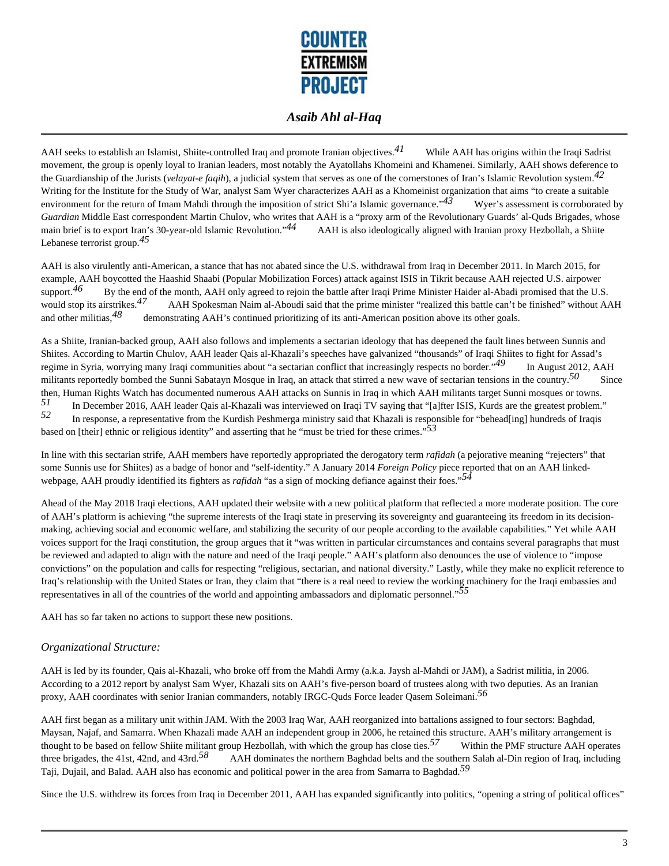

AAH seeks to establish an Islamist, Shiite-controlled Iraq and promote Iranian objectives.<sup>41</sup> While AAH has origins within the Iraqi Sadrist movement, the group is openly loyal to Iranian leaders, most notably the Ayatollahs Khomeini and Khamenei. Similarly, AAH shows deference to the Guardianship of the Jurists (*velayat-e faqih*), a judicial system that serves as one of the cornerstones of Iran's Islamic Revolution system.*42*  Writing for the Institute for the Study of War, analyst Sam Wyer characterizes AAH as a Khomeinist organization that aims "to create a suitable environment for the return of Imam Mahdi through the imposition of strict Shi'a Islamic governance."<sup>43</sup> Wyer's assessment is corroborated by *Guardian* Middle East correspondent Martin Chulov, who writes that AAH is a "proxy arm of the Revolutionary Guards' al-Quds Brigades, whose main brief is to export Iran's 30-year-old Islamic Revolution."<sup>44</sup> AAH is also ideologically aligned with Iranian proxy Hezbollah, a Shiite Lebanese terrorist group.*45* 

AAH is also virulently anti-American, a stance that has not abated since the U.S. withdrawal from Iraq in December 2011. In March 2015, for example, AAH boycotted the Haashid Shaabi (Popular Mobilization Forces) attack against ISIS in Tikrit because AAH rejected U.S. airpower support.<sup>46</sup> By the end of the month, AAH only agreed to rejoin the battle after Iraqi Prime Minister Haider al-Abadi promised that the U.S. would stop its airstrikes.<sup>47</sup> AAH Spokesman Naim al-Aboudi said that the prime minister "realized this battle can't be finished" without AAH and other militias,<sup>48</sup> demonstrating AAH's continued prioritizing of its anti-A demonstrating AAH's continued prioritizing of its anti-American position above its other goals.

As a Shiite, Iranian-backed group, AAH also follows and implements a sectarian ideology that has deepened the fault lines between Sunnis and Shiites. According to Martin Chulov, AAH leader Qais al-Khazali's speeches have galvanized "thousands" of Iraqi Shiites to fight for Assad's regime in Syria, worrying many Iraqi communities about "a sectarian conflict that increasingly respects no border."*49* In August 2012, AAH militants reportedly bombed the Sunni Sabatayn Mosque in Iraq, an attack that stirred a new wave of sectarian tensions in the country.<sup>50</sup> Since then, Human Rights Watch has documented numerous AAH attacks on Sunnis in Iraq in which AAH militants target Sunni mosques or towns. *51* In December 2016, AAH leader Qais al-Khazali was interviewed on Iraqi TV saying that "[a]fter ISIS, Kurds are the greatest problem."<br>In response a representative from the Kurdish Peshmerge ministry said that Khazali *52* In response, a representative from the Kurdish Peshmerga ministry said that Khazali is responsible for "behead[ing] hundreds of Iraqis based on [their] ethnic or religious identity" and asserting that he "must be tried for these crimes."*53* 

In line with this sectarian strife, AAH members have reportedly appropriated the derogatory term *rafidah* (a pejorative meaning "rejecters" that some Sunnis use for Shiites) as a badge of honor and "self-identity." A January 2014 *Foreign Policy* piece reported that on an AAH linkedwebpage, AAH proudly identified its fighters as *rafidah* "as a sign of mocking defiance against their foes."*54* 

Ahead of the May 2018 Iraqi elections, AAH updated their website with a new political platform that reflected a more moderate position. The core of AAH's platform is achieving "the supreme interests of the Iraqi state in preserving its sovereignty and guaranteeing its freedom in its decisionmaking, achieving social and economic welfare, and stabilizing the security of our people according to the available capabilities." Yet while AAH voices support for the Iraqi constitution, the group argues that it "was written in particular circumstances and contains several paragraphs that must be reviewed and adapted to align with the nature and need of the Iraqi people." AAH's platform also denounces the use of violence to "impose convictions" on the population and calls for respecting "religious, sectarian, and national diversity." Lastly, while they make no explicit reference to Iraq's relationship with the United States or Iran, they claim that "there is a real need to review the working machinery for the Iraqi embassies and representatives in all of the countries of the world and appointing ambassadors and diplomatic personnel."*55* 

AAH has so far taken no actions to support these new positions.

#### *Organizational Structure:*

AAH is led by its founder, Qais al-Khazali, who broke off from the Mahdi Army (a.k.a. Jaysh al-Mahdi or JAM), a Sadrist militia, in 2006. According to a 2012 report by analyst Sam Wyer, Khazali sits on AAH's five-person board of trustees along with two deputies. As an Iranian proxy, AAH coordinates with senior Iranian commanders, notably IRGC-Quds Force leader Qasem Soleimani.*56* 

AAH first began as a military unit within JAM. With the 2003 Iraq War, AAH reorganized into battalions assigned to four sectors: Baghdad, Maysan, Najaf, and Samarra. When Khazali made AAH an independent group in 2006, he retained this structure. AAH's military arrangement is thought to be based on fellow Shiite militant group Hezbollah, with which the group has close ties.<sup>57</sup> Within the PMF structure AAH operates three brigades, the 41st, 42nd, and 43rd.*58* AAH dominates the northern Baghdad belts and the southern Salah al-Din region of Iraq, including Taji, Dujail, and Balad. AAH also has economic and political power in the area from Samarra to Baghdad.*59* 

Since the U.S. withdrew its forces from Iraq in December 2011, AAH has expanded significantly into politics, "opening a string of political offices"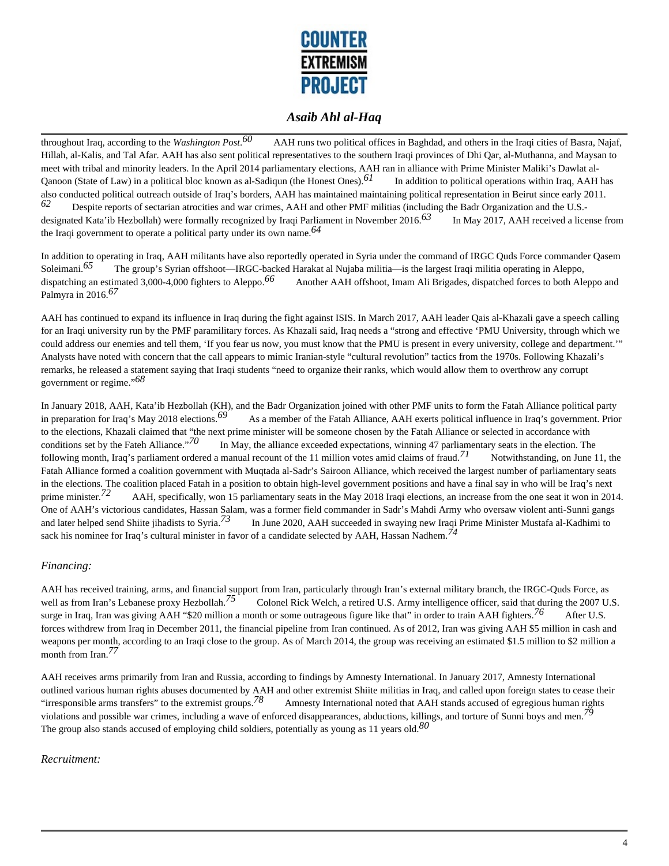

throughout Iraq, according to the *Washington Post*. AAH runs two political offices in Baghdad, and others in the Iraqi cities of Basra, Najaf, Hillah, al-Kalis, and Tal Afar. AAH has also sent political representatives to the southern Iraqi provinces of Dhi Qar, al-Muthanna, and Maysan to meet with tribal and minority leaders. In the April 2014 parliamentary elections, AAH ran in alliance with Prime Minister Maliki's Dawlat al-Qanoon (State of Law) in a political bloc known as al-Sadiqun (the Honest Ones).*61* In addition to political operations within Iraq, AAH has also conducted political outreach outside of Iraq's borders, AAH has maintained maintaining political representation in Beirut since early 2011. *62* Despite reports of sectarian atrocities and war crimes, AAH and other PMF militias (including the Badr Organization and the U.S. designated Kata'ib Hezbollah) were formally recognized by Iraqi Parliament in November 2016.*63* In May 2017, AAH received a license from the Iraqi government to operate a political party under its own name.*64* 

In addition to operating in Iraq, AAH militants have also reportedly operated in Syria under the command of IRGC Quds Force commander Qasem Soleimani.<sup>65</sup> The group's Syrian offshoot—IRGC-backed Harakat al Nujaba militia—is the largest Iraqi militia operating in Aleppo, dispatching an estimated 3,000-4,000 fighters to Aleppo.<sup>66</sup> Another AAH offshoot, Imam Ali Brigades, dispatched forces to both Aleppo and Palmyra in 2016.*67* 

AAH has continued to expand its influence in Iraq during the fight against ISIS. In March 2017, AAH leader Qais al-Khazali gave a speech calling for an Iraqi university run by the PMF paramilitary forces. As Khazali said, Iraq needs a "strong and effective 'PMU University, through which we could address our enemies and tell them, 'If you fear us now, you must know that the PMU is present in every university, college and department.'" Analysts have noted with concern that the call appears to mimic Iranian-style "cultural revolution" tactics from the 1970s. Following Khazali's remarks, he released a statement saying that Iraqi students "need to organize their ranks, which would allow them to overthrow any corrupt government or regime."*68* 

In January 2018, AAH, Kata'ib Hezbollah (KH), and the Badr Organization joined with other PMF units to form the Fatah Alliance political party in preparation for Iraq's May 2018 elections.<sup>69</sup> As a member of the Fatah Alliance, AAH exerts political influence in Iraq's government. Prior to the elections, Khazali claimed that "the next prime minister will be someone chosen by the Fatah Alliance or selected in accordance with conditions set by the Fateh Alliance."<sup>70</sup> In May, the alliance exceeded expectat In May, the alliance exceeded expectations, winning 47 parliamentary seats in the election. The following month, Iraq's parliament ordered a manual recount of the 11 million votes amid claims of fraud.<sup>71</sup> Notwithstanding, on June 11, the Fatah Alliance formed a coalition government with Muqtada al-Sadr's Sairoon Alliance, which received the largest number of parliamentary seats in the elections. The coalition placed Fatah in a position to obtain high-level government positions and have a final say in who will be Iraq's next prime minister.<sup>72</sup> AAH, specifically, won 15 parliamentary seats in the May 2018 Iraqi elections, an increase from the one seat it won in 2014. One of AAH's victorious candidates, Hassan Salam, was a former field commander in Sadr's Mahdi Army who oversaw violent anti-Sunni gangs and later helped send Shiite jihadists to Syria.*73* In June 2020, AAH succeeded in swaying new Iraqi Prime Minister Mustafa al-Kadhimi to sack his nominee for Iraq's cultural minister in favor of a candidate selected by AAH, Hassan Nadhem.*74* 

#### *Financing:*

AAH has received training, arms, and financial support from Iran, particularly through Iran's external military branch, the IRGC-Quds Force, as well as from Iran's Lebanese proxy Hezbollah.<sup>75</sup> Colonel Rick Welch, a retired U.S. Army intelligence officer, said that during the 2007 U.S. surge in Iraq, Iran was giving AAH "\$20 million a month or some outrageous figure like that" in order to train AAH fighters.<sup>76</sup> After U.S. forces withdrew from Iraq in December 2011, the financial pipeline from Iran continued. As of 2012, Iran was giving AAH \$5 million in cash and weapons per month, according to an Iraqi close to the group. As of March 2014, the group was receiving an estimated \$1.5 million to \$2 million a month from Iran.*77* 

AAH receives arms primarily from Iran and Russia, according to findings by Amnesty International. In January 2017, Amnesty International outlined various human rights abuses documented by AAH and other extremist Shiite militias in Iraq, and called upon foreign states to cease their "irresponsible arms transfers" to the extremist groups.<sup>78</sup> Amnesty International noted that AAH stands accused of egregious human rights violations and possible war crimes, including a wave of enforced disappearances, abductions, killings, and torture of Sunni boys and men.*79*  The group also stands accused of employing child soldiers, potentially as young as 11 years old.*80* 

#### *Recruitment:*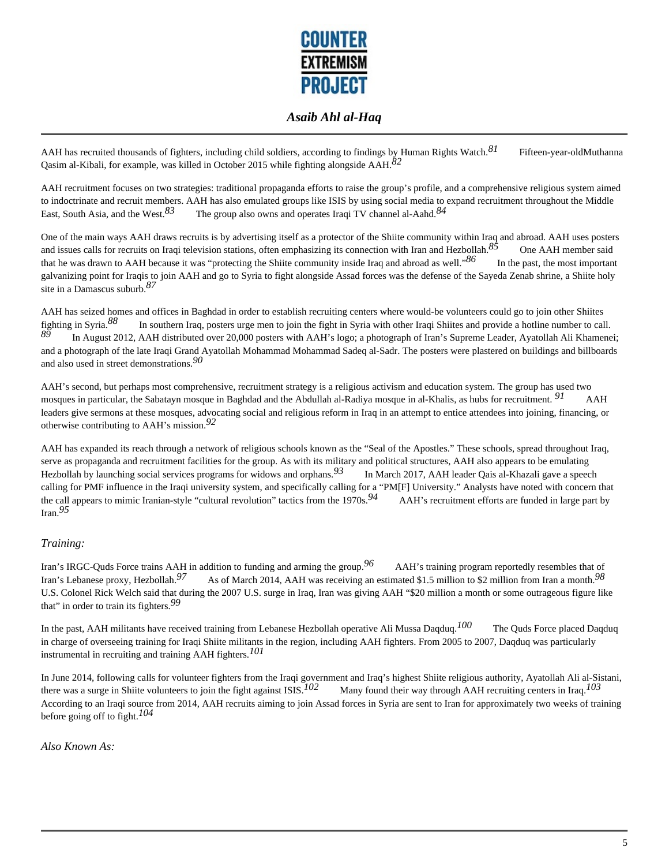

AAH has recruited thousands of fighters, including child soldiers, according to findings by Human Rights Watch.<sup>81</sup> Fifteen-year-oldMuthanna Qasim al-Kibali, for example, was killed in October 2015 while fighting alongside AAH.*82* 

AAH recruitment focuses on two strategies: traditional propaganda efforts to raise the group's profile, and a comprehensive religious system aimed to indoctrinate and recruit members. AAH has also emulated groups like ISIS by using social media to expand recruitment throughout the Middle East, South Asia, and the West.<sup>83</sup> The group also owns and operates Iraqi TV channel al-Aahd.<sup>84</sup>

One of the main ways AAH draws recruits is by advertising itself as a protector of the Shiite community within Iraq and abroad. AAH uses posters and issues calls for recruits on Iraqi television stations, often emphasizing its connection with Iran and Hezbollah.<sup>85</sup> One AAH member said that he was drawn to AAH because it was "protecting the Shiite community inside Iraq and abroad as well."*86* In the past, the most important galvanizing point for Iraqis to join AAH and go to Syria to fight alongside Assad forces was the defense of the Sayeda Zenab shrine, a Shiite holy site in a Damascus suburb.*87* 

AAH has seized homes and offices in Baghdad in order to establish recruiting centers where would-be volunteers could go to join other Shiites fighting in Syria.<sup>88</sup> In southern Iraq, posters urge men to join the fight in Syria with other Iraqi Shiites and provide a hotline number to call.<br><sup>89</sup> *89* In August 2012, AAH distributed over 20,000 posters with AAH's logo; a photograph of Iran's Supreme Leader, Ayatollah Ali Khamenei; and a photograph of the late Iraqi Grand Ayatollah Mohammad Mohammad Sadeq al-Sadr. The posters were plastered on buildings and billboards and also used in street demonstrations.*90* 

AAH's second, but perhaps most comprehensive, recruitment strategy is a religious activism and education system. The group has used two mosques in particular, the Sabatayn mosque in Baghdad and the Abdullah al-Radiya mosque in al-Khalis, as hubs for recruitment. <sup>91</sup> AAH leaders give sermons at these mosques, advocating social and religious reform in Iraq in an attempt to entice attendees into joining, financing, or otherwise contributing to AAH's mission.*92* 

AAH has expanded its reach through a network of religious schools known as the "Seal of the Apostles." These schools, spread throughout Iraq, serve as propaganda and recruitment facilities for the group. As with its military and political structures, AAH also appears to be emulating Hezbollah by launching social services programs for widows and orphans.*93* In March 2017, AAH leader Qais al-Khazali gave a speech calling for PMF influence in the Iraqi university system, and specifically calling for a "PM[F] University." Analysts have noted with concern that the call appears to mimic Iranian-style "cultural revolution" tactics from the 1970s.*94* AAH's recruitment efforts are funded in large part by Iran.*95* 

#### *Training:*

Iran's IRGC-Quds Force trains AAH in addition to funding and arming the group.*96* AAH's training program reportedly resembles that of Iran's Lebanese proxy, Hezbollah.<sup>97</sup> As of March 2014, AAH was receiving an estimated \$1.5 million to \$2 million from Iran a month.<sup>98</sup> U.S. Colonel Rick Welch said that during the 2007 U.S. surge in Iraq, Iran was giving AAH "\$20 million a month or some outrageous figure like that" in order to train its fighters.*99* 

In the past, AAH militants have received training from Lebanese Hezbollah operative Ali Mussa Daqduq.*100* The Quds Force placed Daqduq in charge of overseeing training for Iraqi Shiite militants in the region, including AAH fighters. From 2005 to 2007, Daqduq was particularly instrumental in recruiting and training AAH fighters.*101* 

In June 2014, following calls for volunteer fighters from the Iraqi government and Iraq's highest Shiite religious authority, Ayatollah Ali al-Sistani, there was a surge in Shiite volunteers to join the fight against ISIS.*102* Many found their way through AAH recruiting centers in Iraq.*103*  According to an Iraqi source from 2014, AAH recruits aiming to join Assad forces in Syria are sent to Iran for approximately two weeks of training before going off to fight.*104* 

*Also Known As:*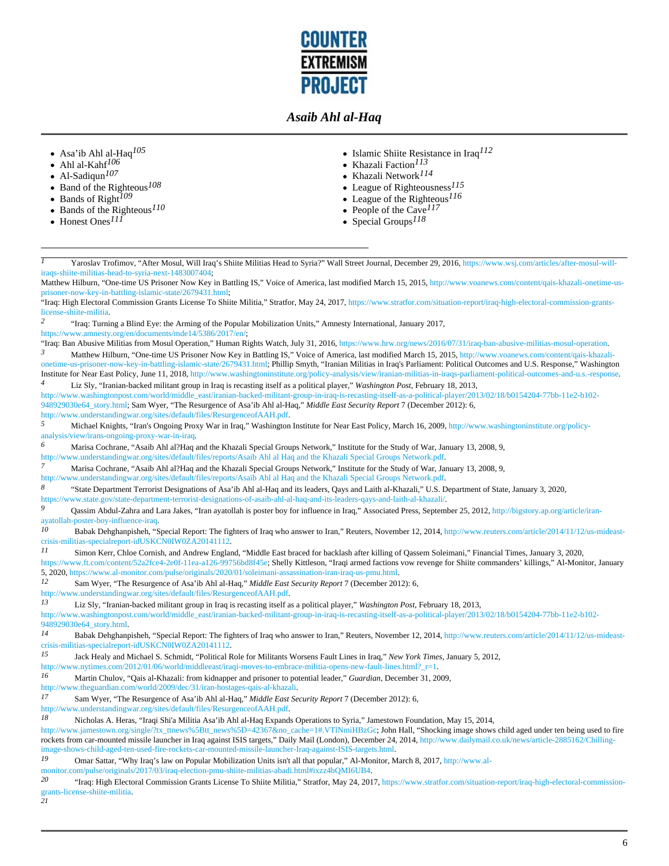

- Asa'ib Ahl al-Haq*105*
- Ahl al-Kahf*106*
- Al-Sadiqun*107*   $\bullet$
- Band of the Righteous*108*   $\bullet$
- Bands of Right*109*   $\bullet$
- Bands of the Righteous*110*   $\bullet$
- Honest Ones*111*
- Islamic Shiite Resistance in Iraq*112*
- Khazali Faction*113*
- Khazali Network*114*
- League of Righteousness*115*
- League of the Righteous*116*
- People of the Cave*117*
- Special Groups*118*

*I* Yaroslav Trofimov, "After Mosul, Will Iraq's Shiite Militias Head to Syria?" Wall Street Journal, December 29, 2016, https://www.wsj.com/articles/after-mosul-williraqs-shiite-militias-head-to-syria-next-1483007404;

Matthew Hilburn, "One-time US Prisoner Now Key in Battling IS," Voice of America, last modified March 15, 2015, http://www.voanews.com/content/qais-khazali-onetime-usprisoner-now-key-in-battling-islamic-state/2679431.html;

"Iraq: High Electoral Commission Grants License To Shiite Militia," Stratfor, May 24, 2017, https://www.stratfor.com/situation-report/iraq-high-electoral-commission-grantslicense-shiite-militia.

*2* "Iraq: Turning a Blind Eye: the Arming of the Popular Mobilization Units," Amnesty International, January 2017,

https://www.amnesty.org/en/documents/mde14/5386/2017/en/;

"Iraq: Ban Abusive Militias from Mosul Operation," Human Rights Watch, July 31, 2016, https://www.hrw.org/news/2016/07/31/iraq-ban-abusive-militias-mosul-operation. *3* Matthew Hilburn, "One-time US Prisoner Now Key in Battling IS," Voice of America, last modified March 15, 2015, http://www.voanews.com/content/qais-khazalionetime-us-prisoner-now-key-in-battling-islamic-state/2679431.html; Phillip Smyth, "Iranian Militias in Iraq's Parliament: Political Outcomes and U.S. Response," Washington

Institute for Near East Policy, June 11, 2018, http://www.washingtoninstitute.org/policy-analysis/view/iranian-militias-in-iraqs-parliament-political-outcomes-and-u.s.-response. *4* Liz Sly, "Iranian-backed militant group in Iraq is recasting itself as a political player," *Washington Post*, February 18, 2013,

http://www.washingtonpost.com/world/middle\_east/iranian-backed-militant-group-in-iraq-is-recasting-itself-as-a-political-player/2013/02/18/b0154204-77bb-11e2-b102- 948929030e64\_story.html; Sam Wyer, "The Resurgence of Asa'ib Ahl al-Haq," *Middle East Security Report* 7 (December 2012): 6, http://www.understandingwar.org/sites/default/files/ResurgenceofAAH.pdf.

*5* Michael Knights, "Iran's Ongoing Proxy War in Iraq," Washington Institute for Near East Policy, March 16, 2009, http://www.washingtoninstitute.org/policyanalysis/view/irans-ongoing-proxy-war-in-iraq.

*6* Marisa Cochrane, "Asaib Ahl al?Haq and the Khazali Special Groups Network," Institute for the Study of War, January 13, 2008, 9,

http://www.understandingwar.org/sites/default/files/reports/Asaib Ahl al Haq and the Khazali Special Groups Network.pdf.

*7* Marisa Cochrane, "Asaib Ahl al?Haq and the Khazali Special Groups Network," Institute for the Study of War, January 13, 2008, 9,

http://www.understandingwar.org/sites/default/files/reports/Asaib Ahl al Haq and the Khazali Special Groups Network.pdf.

*8* "State Department Terrorist Designations of Asa'ib Ahl al-Haq and its leaders, Qays and Laith al-Khazali," U.S. Department of State, January 3, 2020, https://www.state.gov/state-department-terrorist-designations-of-asaib-ahl-al-haq-and-its-leaders-qays-and-laith-al-khazali/.

*9* Qassim Abdul-Zahra and Lara Jakes, "Iran ayatollah is poster boy for influence in Iraq," Associated Press, September 25, 2012, http://bigstory.ap.org/article/iranayatollah-poster-boy-influence-iraq.

*10* Babak Dehghanpisheh, "Special Report: The fighters of Iraq who answer to Iran," Reuters, November 12, 2014, http://www.reuters.com/article/2014/11/12/us-mideastcrisis-militias-specialreport-idUSKCN0IW0ZA20141112.

*11* Simon Kerr, Chloe Cornish, and Andrew England, "Middle East braced for backlash after killing of Qassem Soleimani," Financial Times, January 3, 2020,

https://www.ft.com/content/52a2fce4-2e0f-11ea-a126-99756bd8f45e; Shelly Kittleson, "Iraqi armed factions vow revenge for Shiite commanders' killings," Al-Monitor, January 5, 2020, https://www.al-monitor.com/pulse/originals/2020/01/soleimani-assassination-iran-iraq-us-pmu.html.

*12* Sam Wyer, "The Resurgence of Asa'ib Ahl al-Haq," *Middle East Security Report* 7 (December 2012): 6,

http://www.understandingwar.org/sites/default/files/ResurgenceofAAH.pdf.

*13* Liz Sly, "Iranian-backed militant group in Iraq is recasting itself as a political player," *Washington Post*, February 18, 2013,

http://www.washingtonpost.com/world/middle\_east/iranian-backed-militant-group-in-iraq-is-recasting-itself-as-a-political-player/2013/02/18/b0154204-77bb-11e2-b102- 948929030e64\_story.html.

*14* Babak Dehghanpisheh, "Special Report: The fighters of Iraq who answer to Iran," Reuters, November 12, 2014, http://www.reuters.com/article/2014/11/12/us-mideastcrisis-militias-specialreport-idUSKCN0IW0ZA20141112.

*15* Jack Healy and Michael S. Schmidt, "Political Role for Militants Worsens Fault Lines in Iraq," *New York Times*, January 5, 2012,

http://www.nytimes.com/2012/01/06/world/middleeast/iraqi-moves-to-embrace-militia-opens-new-fault-lines.html?\_r=1.

*16* Martin Chulov, "Qais al-Khazali: from kidnapper and prisoner to potential leader," *Guardian*, December 31, 2009,

http://www.theguardian.com/world/2009/dec/31/iran-hostages-qais-al-khazali.

*17* Sam Wyer, "The Resurgence of Asa'ib Ahl al-Haq," *Middle East Security Report* 7 (December 2012): 6,

http://www.understandingwar.org/sites/default/files/ResurgenceofAAH.pdf.

*18* Nicholas A. Heras, "Iraqi Shi'a Militia Asa'ib Ahl al-Haq Expands Operations to Syria," Jamestown Foundation, May 15, 2014,

http://www.jamestown.org/single/?tx\_ttnews%5Btt\_news%5D=42367&no\_cache=1#.VTlNmiHBzGc; John Hall, "Shocking image shows child aged under ten being used to fire rockets from car-mounted missile launcher in Iraq against ISIS targets," Daily Mail (London), December 24, 2014, http://www.dailymail.co.uk/news/article-2885162/Chillingimage-shows-child-aged-ten-used-fire-rockets-car-mounted-missile-launcher-Iraq-against-ISIS-targets.html.

*19* Omar Sattar, "Why Iraq's law on Popular Mobilization Units isn't all that popular," Al-Monitor, March 8, 2017, http://www.al-

monitor.com/pulse/originals/2017/03/iraq-election-pmu-shiite-militias-abadi.html#ixzz4bQMI6UB4.<br>20 "Traq: High Electoral Commission Grants License To Shiite Militia" Stratfor May 24, 201

*20* "Iraq: High Electoral Commission Grants License To Shiite Militia," Stratfor, May 24, 2017, https://www.stratfor.com/situation-report/iraq-high-electoral-commissiongrants-license-shiite-militia. *21*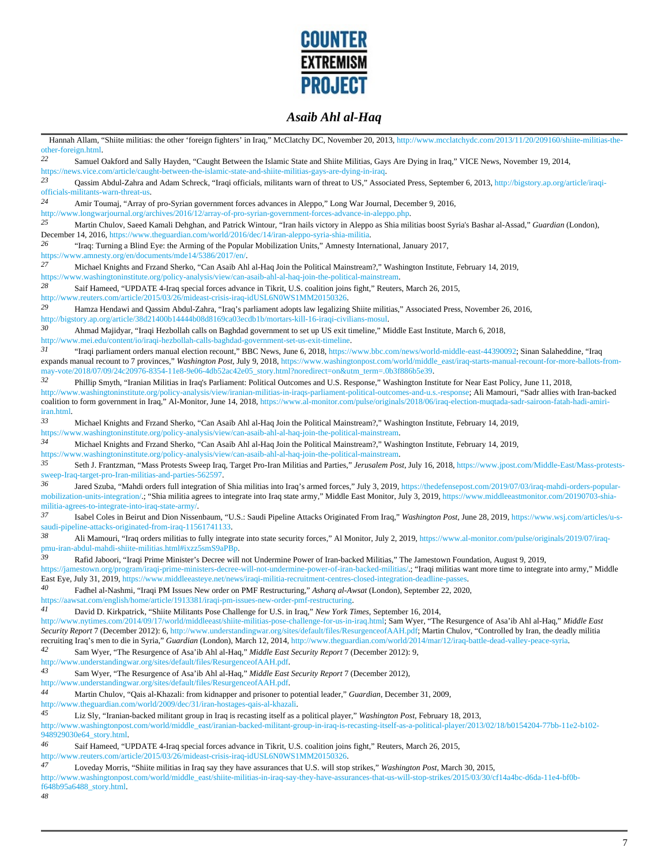

Hannah Allam, "Shiite militias: the other 'foreign fighters' in Iraq," McClatchy DC, November 20, 2013, http://www.mcclatchydc.com/2013/11/20/209160/shiite-militias-theother-foreign.html. *22* Samuel Oakford and Sally Hayden, "Caught Between the Islamic State and Shiite Militias, Gays Are Dying in Iraq," VICE News, November 19, 2014, https://news.vice.com/article/caught-between-the-islamic-state-and-shiite-militias-gays-are-dying-in-iraq. 23 Qassim Abdul-Zahra and Adam Schreck, "Iraqi officials, militants warn of threat to US," Associated Press, September 6, 2013, http://bigstory.ap.org/article/iraqiofficials-militants-warn-threat-us. *24* Amir Toumaj, "Array of pro-Syrian government forces advances in Aleppo," Long War Journal, December 9, 2016, http://www.longwarjournal.org/archives/2016/12/array-of-pro-syrian-government-forces-advance-in-aleppo.php.<br>25 Martin Chulous Secod Kameli Debahan, and Detrick Wintour "Jren beils victory in Aleppo.co Shie mil *25* Martin Chulov, Saeed Kamali Dehghan, and Patrick Wintour, "Iran hails victory in Aleppo as Shia militias boost Syria's Bashar al-Assad," *Guardian* (London), December 14, 2016, https://www.theguardian.com/world/2016/dec/14/iran-aleppo-syria-shia-militia. *26* "Iraq: Turning a Blind Eye: the Arming of the Popular Mobilization Units," Amnesty International, January 2017, https://www.amnesty.org/en/documents/mde14/5386/2017/en/. *27* Michael Knights and Frzand Sherko, "Can Asaib Ahl al-Haq Join the Political Mainstream?," Washington Institute, February 14, 2019, https://www.washingtoninstitute.org/policy-analysis/view/can-asaib-ahl-al-haq-join-the-political-mainstream.<br>28<br>Soif Hamood "HDDATE 4 Iraq-pooial forces educated in Tilrit H.S. coolition joins fight." Poutar *28* Saif Hameed, "UPDATE 4-Iraq special forces advance in Tikrit, U.S. coalition joins fight," Reuters, March 26, 2015, http://www.reuters.com/article/2015/03/26/mideast-crisis-iraq-idUSL6N0WS1MM20150326. *29* Hamza Hendawi and Qassim Abdul-Zahra, "Iraq's parliament adopts law legalizing Shiite militias," Associated Press, November 26, 2016, http://bigstory.ap.org/article/38d21400b14444b08d8169ca03ecdb1b/mortars-kill-16-iraqi-civilians-mosul. *30* Ahmad Majidyar, "Iraqi Hezbollah calls on Baghdad government to set up US exit timeline," Middle East Institute, March 6, 2018, http://www.mei.edu/content/io/iraqi-hezbollah-calls-baghdad-government-set-us-exit-timeline.<br>31 "Iraqi-parliament orders manual election recenti<sup>7</sup> PPC News-June 6, 2018, https:// *31* "Iraqi parliament orders manual election recount," BBC News, June 6, 2018, https://www.bbc.com/news/world-middle-east-44390092; Sinan Salaheddine, "Iraq expands manual recount to 7 provinces," Washington Post, July 9, 2018, https://www.washingtonpost.com/world/middle\_east/iraq-starts-manual-recount-for-more-ballots-frommay-vote/2018/07/09/24c20976-8354-11e8-9e06-4db52ac42e05\_story.html?noredirect=on&utm\_term=.0b3f886b5e39. *32* Phillip Smyth, "Iranian Militias in Iraq's Parliament: Political Outcomes and U.S. Response," Washington Institute for Near East Policy, June 11, 2018, http://www.washingtoninstitute.org/policy-analysis/view/iranian-militias-in-iraqs-parliament-political-outcomes-and-u.s.-response; Ali Mamouri, "Sadr allies with Iran-backed coalition to form government in Iraq," Al-Monitor, June 14, 2018, https://www.al-monitor.com/pulse/originals/2018/06/iraq-election-muqtada-sadr-sairoon-fatah-hadi-amiriiran.html. *33* Michael Knights and Frzand Sherko, "Can Asaib Ahl al-Haq Join the Political Mainstream?," Washington Institute, February 14, 2019, https://www.washingtoninstitute.org/policy-analysis/view/can-asaib-ahl-al-haq-join-the-political-mainstream. *34* Michael Knights and Frzand Sherko, "Can Asaib Ahl al-Haq Join the Political Mainstream?," Washington Institute, February 14, 2019, https://www.washingtoninstitute.org/policy-analysis/view/can-asaib-ahl-al-haq-join-the-political-mainstream. *35* Seth J. Frantzman, "Mass Protests Sweep Iraq, Target Pro-Iran Militias and Parties," *Jerusalem Post*, July 16, 2018, https://www.jpost.com/Middle-East/Mass-protestssweep-Iraq-target-pro-Iran-militias-and-parties-562597. *36* Jared Szuba, "Mahdi orders full integration of Shia militias into Iraq's armed forces," July 3, 2019, https://thedefensepost.com/2019/07/03/iraq-mahdi-orders-popularmobilization-units-integration/.; "Shia militia agrees to integrate into Iraq state army," Middle East Monitor, July 3, 2019, https://www.middleeastmonitor.com/20190703-shiamilitia-agrees-to-integrate-into-iraq-state-army/. *37* Isabel Coles in Beirut and Dion Nissenbaum, "U.S.: Saudi Pipeline Attacks Originated From Iraq," *Washington Post*, June 28, 2019, https://www.wsj.com/articles/u-ssaudi-pipeline-attacks-originated-from-iraq-11561741133. *38* Ali Mamouri, "Iraq orders militias to fully integrate into state security forces," Al Monitor, July 2, 2019, https://www.al-monitor.com/pulse/originals/2019/07/iraqpmu-iran-abdul-mahdi-shiite-militias.html#ixzz5smS9aPBp. *39* Rafid Jaboori, "Iraqi Prime Minister's Decree will not Undermine Power of Iran-backed Militias," The Jamestown Foundation, August 9, 2019, https://jamestown.org/program/iraqi-prime-ministers-decree-will-not-undermine-power-of-iran-backed-militias/.; "Iraqi militias want more time to integrate into army," Middle East Eye, July 31, 2019, https://www.middleeasteye.net/news/iraqi-militia-recruitment-centres-closed-integration-deadline-passes. *40* Fadhel al-Nashmi, "Iraqi PM Issues New order on PMF Restructuring," *Asharq al-Awsat* (London), September 22, 2020, https://aawsat.com/english/home/article/1913381/iraqi-pm-issues-new-order-pmf-restructuring.<br>41 David D. Kirkpotrick. "Shiito Militante Poso Challongs for U.S. in Iraq." New York 7 *41* David D. Kirkpatrick, "Shiite Militants Pose Challenge for U.S. in Iraq," *New York Times*, September 16, 2014, http://www.nytimes.com/2014/09/17/world/middleeast/shiite-militias-pose-challenge-for-us-in-iraq.html; Sam Wyer, "The Resurgence of Asa'ib Ahl al-Haq," *Middle East Security Report* 7 (December 2012): 6, http://www.understandingwar.org/sites/default/files/ResurgenceofAAH.pdf; Martin Chulov, "Controlled by Iran, the deadly militia recruiting Iraq's men to die in Syria," *Guardian* (London), March 12, 2014, http://www.theguardian.com/world/2014/mar/12/iraq-battle-dead-valley-peace-syria.<br><sup>42</sup> Sam Wuar "The Basyrganes of Ase'ib, Abl al Hag" Middle Fee *42* Sam Wyer, "The Resurgence of Asa'ib Ahl al-Haq," *Middle East Security Report* 7 (December 2012): 9, http://www.understandingwar.org/sites/default/files/ResurgenceofAAH.pdf. *43* Sam Wyer, "The Resurgence of Asa'ib Ahl al-Haq," *Middle East Security Report* 7 (December 2012), http://www.understandingwar.org/sites/default/files/ResurgenceofAAH.pdf. *44* Martin Chulov, "Qais al-Khazali: from kidnapper and prisoner to potential leader," *Guardian*, December 31, 2009, http://www.theguardian.com/world/2009/dec/31/iran-hostages-qais-al-khazali.<br>45 I is Shu "Iranian hostad militant grave in Iran is procedure itself as *45* Liz Sly, "Iranian-backed militant group in Iraq is recasting itself as a political player," *Washington Post*, February 18, 2013, http://www.washingtonpost.com/world/middle\_east/iranian-backed-militant-group-in-iraq-is-recasting-itself-as-a-political-player/2013/02/18/b0154204-77bb-11e2-b102- 948929030e64\_story.html. *46* Saif Hameed, "UPDATE 4-Iraq special forces advance in Tikrit, U.S. coalition joins fight," Reuters, March 26, 2015, http://www.reuters.com/article/2015/03/26/mideast-crisis-iraq-idUSL6N0WS1MM20150326. *47* Loveday Morris, "Shiite militias in Iraq say they have assurances that U.S. will stop strikes," *Washington Post*, March 30, 2015,

http://www.washingtonpost.com/world/middle\_east/shiite-militias-in-iraq-say-they-have-assurances-that-us-will-stop-strikes/2015/03/30/cf14a4bc-d6da-11e4-bf0bf648b95a6488\_story.html.

*48*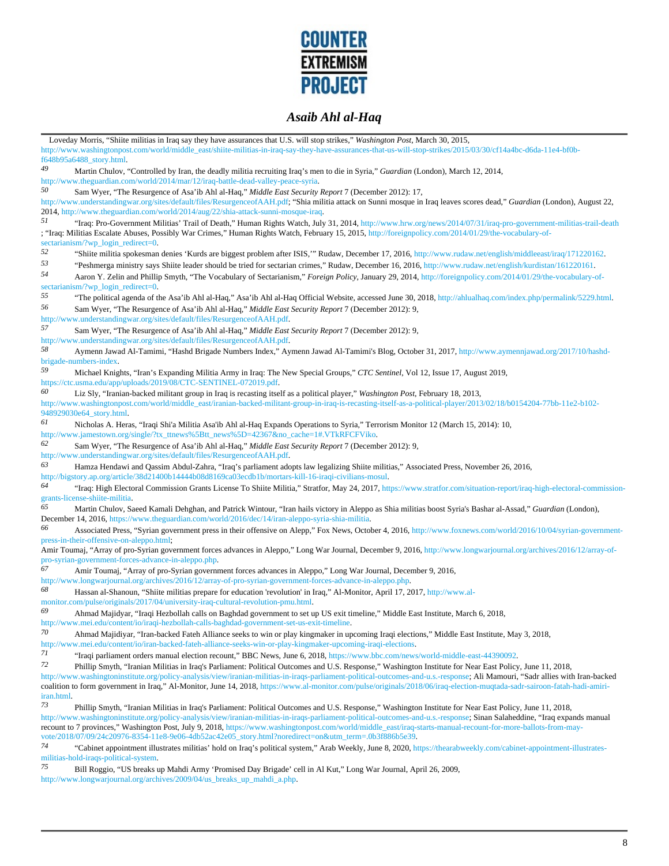

Loveday Morris, "Shiite militias in Iraq say they have assurances that U.S. will stop strikes," *Washington Post*, March 30, 2015, http://www.washingtonpost.com/world/middle\_east/shiite-militias-in-iraq-say-they-have-assurances-that-us-will-stop-strikes/2015/03/30/cf14a4bc-d6da-11e4-bf0bf648b95a6488\_story.html. *49* Martin Chulov, "Controlled by Iran, the deadly militia recruiting Iraq's men to die in Syria," *Guardian* (London), March 12, 2014, http://www.theguardian.com/world/2014/mar/12/iraq-battle-dead-valley-peace-syria.<br>50 *50* Sam Wyer, "The Resurgence of Asa'ib Ahl al-Haq," *Middle East Security Report* 7 (December 2012): 17, http://www.understandingwar.org/sites/default/files/ResurgenceofAAH.pdf; "Shia militia attack on Sunni mosque in Iraq leaves scores dead," *Guardian* (London), August 22, 2014, http://www.theguardian.com/world/2014/aug/22/shia-attack-sunni-mosque-iraq. *51* "Iraq: Pro-Government Militias' Trail of Death," Human Rights Watch, July 31, 2014, http://www.hrw.org/news/2014/07/31/iraq-pro-government-militias-trail-death ; "Iraq: Militias Escalate Abuses, Possibly War Crimes," Human Rights Watch, February 15, 2015, http://foreignpolicy.com/2014/01/29/the-vocabulary-ofsectarianism/?wp\_login\_redirect=0.<br>52 "Shiite militia spokesman" <sup>52</sup> "Shiite militia spokesman denies 'Kurds are biggest problem after ISIS,'" Rudaw, December 17, 2016, http://www.rudaw.net/english/middleeast/iraq/171220162.<br><sup>53</sup> "Peshmerga ministry says Shiite leader should be tried f <sup>53</sup> "Peshmerga ministry says Shiite leader should be tried for sectarian crimes," Rudaw, December 16, 2016, http://www.rudaw.net/english/kurdistan/161220161.<br>Agron Y Zelin and Phillin Smyth "The Vocabulary of Sectarianism *54* Aaron Y. Zelin and Phillip Smyth, "The Vocabulary of Sectarianism," *Foreign Policy*, January 29, 2014, http://foreignpolicy.com/2014/01/29/the-vocabulary-ofsectarianism/?wp\_login\_redirect=0. <sup>55</sup> "The political agenda of the Asa'ib Ahl al-Haq," Asa'ib Ahl al-Haq Official Website, accessed June 30, 2018, http://ahlualhaq.com/index.php/permalink/5229.html.<br><sup>56</sup> Sam Wuar, "The Basureance of Asa'ib Ahl al-Haq," Mi *56* Sam Wyer, "The Resurgence of Asa'ib Ahl al-Haq," *Middle East Security Report* 7 (December 2012): 9, http://www.understandingwar.org/sites/default/files/ResurgenceofAAH.pdf. *57* Sam Wyer, "The Resurgence of Asa'ib Ahl al-Haq," *Middle East Security Report* 7 (December 2012): 9, http://www.understandingwar.org/sites/default/files/ResurgenceofAAH.pdf.<br>58 Aymonn Jourd Al Tomimi "Hochd Briggde Numbers Index" Ay *58* Aymenn Jawad Al-Tamimi, "Hashd Brigade Numbers Index," Aymenn Jawad Al-Tamimi's Blog, October 31, 2017, http://www.aymennjawad.org/2017/10/hashdbrigade-numbers-index. *59* Michael Knights, "Iran's Expanding Militia Army in Iraq: The New Special Groups," *CTC Sentinel*, Vol 12, Issue 17, August 2019, https://ctc.usma.edu/app/uploads/2019/08/CTC-SENTINEL-072019.pdf. *60* Liz Sly, "Iranian-backed militant group in Iraq is recasting itself as a political player," *Washington Post*, February 18, 2013, http://www.washingtonpost.com/world/middle\_east/iranian-backed-militant-group-in-iraq-is-recasting-itself-as-a-political-player/2013/02/18/b0154204-77bb-11e2-b102- 948929030e64\_story.html. *61* Nicholas A. Heras, "Iraqi Shi'a Militia Asa'ib Ahl al-Haq Expands Operations to Syria," Terrorism Monitor 12 (March 15, 2014): 10, http://www.jamestown.org/single/?tx\_ttnews%5Btt\_news%5D=42367&no\_cache=1#.VTkRFCFViko.<br>62<br>Som Wygr. "The Posurgence of Asa'ih Abl al Hea " Middle East Sequrin: Penert 7 (Decemb *62* Sam Wyer, "The Resurgence of Asa'ib Ahl al-Haq," *Middle East Security Report* 7 (December 2012): 9, http://www.understandingwar.org/sites/default/files/ResurgenceofAAH.pdf. *63* Hamza Hendawi and Qassim Abdul-Zahra, "Iraq's parliament adopts law legalizing Shiite militias," Associated Press, November 26, 2016, http://bigstory.ap.org/article/38d21400b14444b08d8169ca03ecdb1b/mortars-kill-16-iraqi-civilians-mosul. *64* "Iraq: High Electoral Commission Grants License To Shiite Militia," Stratfor, May 24, 2017, https://www.stratfor.com/situation-report/iraq-high-electoral-commissiongrants-license-shiite-militia. *65* Martin Chulov, Saeed Kamali Dehghan, and Patrick Wintour, "Iran hails victory in Aleppo as Shia militias boost Syria's Bashar al-Assad," *Guardian* (London), December 14, 2016, https://www.theguardian.com/world/2016/dec/14/iran-aleppo-syria-shia-militia. *66* Associated Press, "Syrian government press in their offensive on Alepp," Fox News, October 4, 2016, http://www.foxnews.com/world/2016/10/04/syrian-governmentpress-in-their-offensive-on-aleppo.html; Amir Toumaj, "Array of pro-Syrian government forces advances in Aleppo," Long War Journal, December 9, 2016, http://www.longwarjournal.org/archives/2016/12/array-ofpro-syrian-government-forces-advance-in-aleppo.php.<br>67 A mix Toumoi. "A may of neg Syrian government *67* Amir Toumaj, "Array of pro-Syrian government forces advances in Aleppo," Long War Journal, December 9, 2016, http://www.longwarjournal.org/archives/2016/12/array-of-pro-syrian-government-forces-advance-in-aleppo.php. *68* Hassan al-Shanoun, "Shiite militias prepare for education 'revolution' in Iraq," Al-Monitor, April 17, 2017, http://www.almonitor.com/pulse/originals/2017/04/university-iraq-cultural-revolution-pmu.html. *69* Ahmad Majidyar, "Iraqi Hezbollah calls on Baghdad government to set up US exit timeline," Middle East Institute, March 6, 2018, http://www.mei.edu/content/io/iraqi-hezbollah-calls-baghdad-government-set-us-exit-timeline.<br>70 A hmod Meijdiyer. "Iran bagked Fetah Alliance seeks to win er play kinemaker in w *70* Ahmad Majidiyar, "Iran-backed Fateh Alliance seeks to win or play kingmaker in upcoming Iraqi elections," Middle East Institute, May 3, 2018, http://www.mei.edu/content/io/iran-backed-fateh-alliance-seeks-win-or-play-kingmaker-upcoming-iraqi-elections. *71* "Iraqi parliament orders manual election recount," BBC News, June 6, 2018, https://www.bbc.com/news/world-middle-east-44390092. *72* Phillip Smyth, "Iranian Militias in Iraq's Parliament: Political Outcomes and U.S. Response," Washington Institute for Near East Policy, June 11, 2018, http://www.washingtoninstitute.org/policy-analysis/view/iranian-militias-in-iraqs-parliament-political-outcomes-and-u.s.-response; Ali Mamouri, "Sadr allies with Iran-backed coalition to form government in Iraq," Al-Monitor, June 14, 2018, https://www.al-monitor.com/pulse/originals/2018/06/iraq-election-muqtada-sadr-sairoon-fatah-hadi-amiriiran.html. *73* Phillip Smyth, "Iranian Militias in Iraq's Parliament: Political Outcomes and U.S. Response," Washington Institute for Near East Policy, June 11, 2018, http://www.washingtoninstitute.org/policy-analysis/view/iranian-militias-in-iraqs-parliament-political-outcomes-and-u.s.-response; Sinan Salaheddine, "Iraq expands manual recount to 7 provinces," Washington Post, July 9, 2018, https://www.washingtonpost.com/world/middle\_east/iraq-starts-manual-recount-for-more-ballots-from-mayvote/2018/07/09/24c20976-8354-11e8-9e06-4db52ac42e05\_story.html?noredirect=on&utm\_term=.0b3f886b5e39.<br>74 months was alleged in the story.in the story.html?noredirect=on&utm\_term=.0b3f886b5e39. *74* "Cabinet appointment illustrates militias' hold on Iraq's political system," Arab Weekly, June 8, 2020, https://thearabweekly.com/cabinet-appointment-illustratesmilitias-hold-iraqs-political-system.

*75* Bill Roggio, "US breaks up Mahdi Army 'Promised Day Brigade' cell in Al Kut," Long War Journal, April 26, 2009, http://www.longwarjournal.org/archives/2009/04/us\_breaks\_up\_mahdi\_a.php.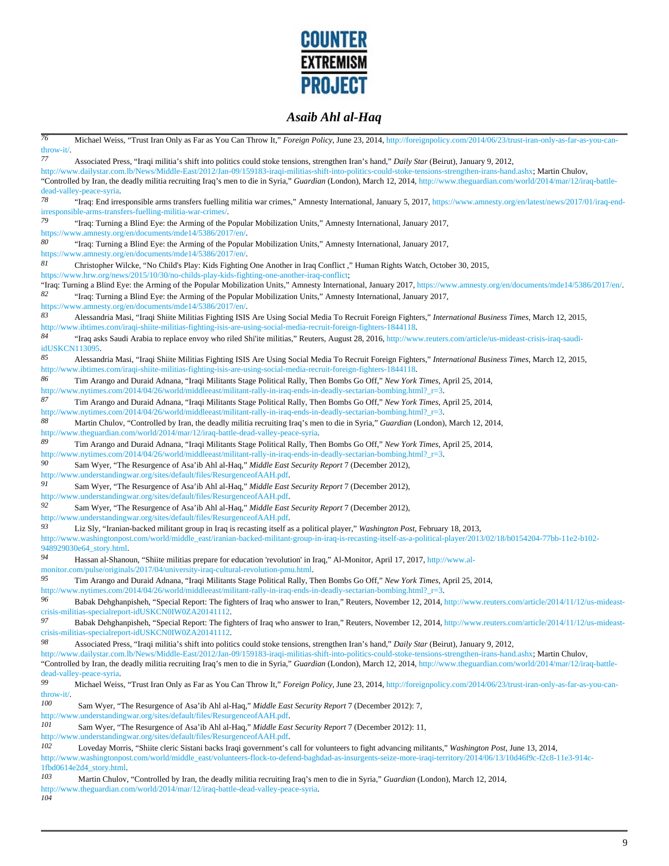

*76* Michael Weiss, "Trust Iran Only as Far as You Can Throw It," *Foreign Policy*, June 23, 2014, http://foreignpolicy.com/2014/06/23/trust-iran-only-as-far-as-you-canthrow-it/. *77* Associated Press, "Iraqi militia's shift into politics could stoke tensions, strengthen Iran's hand," *Daily Star* (Beirut), January 9, 2012, http://www.dailystar.com.lb/News/Middle-East/2012/Jan-09/159183-iraqi-militias-shift-into-politics-could-stoke-tensions-strengthen-irans-hand.ashx; Martin Chulov, "Controlled by Iran, the deadly militia recruiting Iraq's men to die in Syria," *Guardian* (London), March 12, 2014, http://www.theguardian.com/world/2014/mar/12/iraq-battledead-valley-peace-syria. <sup>78</sup> "Iraq: End irresponsible arms transfers fuelling militia war crimes," Amnesty International, January 5, 2017, https://www.amnesty.org/en/latest/news/2017/01/iraq-endirresponsible-arms-transfers-fuelling-militia-war-crimes/. *79* "Iraq: Turning a Blind Eye: the Arming of the Popular Mobilization Units," Amnesty International, January 2017, https://www.amnesty.org/en/documents/mde14/5386/2017/en/. *80* "Iraq: Turning a Blind Eye: the Arming of the Popular Mobilization Units," Amnesty International, January 2017, https://www.amnesty.org/en/documents/mde14/5386/2017/en/. *81* Christopher Wilcke, "No Child's Play: Kids Fighting One Another in Iraq Conflict ," Human Rights Watch, October 30, 2015, https://www.hrw.org/news/2015/10/30/no-childs-play-kids-fighting-one-another-iraq-conflict; "Iraq: Turning a Blind Eye: the Arming of the Popular Mobilization Units," Amnesty International, January 2017, https://www.amnesty.org/en/documents/mde14/5386/2017/en/. *82* "Iraq: Turning a Blind Eye: the Arming of the Popular Mobilization Units," Amnesty International, January 2017, https://www.amnesty.org/en/documents/mde14/5386/2017/en/. *83* Alessandria Masi, "Iraqi Shiite Militias Fighting ISIS Are Using Social Media To Recruit Foreign Fighters," *International Business Times*, March 12, 2015, http://www.ibtimes.com/iraqi-shiite-militias-fighting-isis-are-using-social-media-recruit-foreign-fighters-1844118. *84* "Iraq asks Saudi Arabia to replace envoy who riled Shi'ite militias," Reuters, August 28, 2016, http://www.reuters.com/article/us-mideast-crisis-iraq-saudiidUSKCN113095. *85* Alessandria Masi, "Iraqi Shiite Militias Fighting ISIS Are Using Social Media To Recruit Foreign Fighters," *International Business Times*, March 12, 2015, http://www.ibtimes.com/iraqi-shiite-militias-fighting-isis-are-using-social-media-recruit-foreign-fighters-1844118. *86* Tim Arango and Duraid Adnana, "Iraqi Militants Stage Political Rally, Then Bombs Go Off," *New York Times*, April 25, 2014, http://www.nytimes.com/2014/04/26/world/middleeast/militant-rally-in-iraq-ends-in-deadly-sectarian-bombing.html?\_r=3. *87* Tim Arango and Duraid Adnana, "Iraqi Militants Stage Political Rally, Then Bombs Go Off," *New York Times*, April 25, 2014, http://www.nytimes.com/2014/04/26/world/middleeast/militant-rally-in-iraq-ends-in-deadly-sectarian-bombing.html?\_r=3. *88* Martin Chulov, "Controlled by Iran, the deadly militia recruiting Iraq's men to die in Syria," *Guardian* (London), March 12, 2014, http://www.theguardian.com/world/2014/mar/12/iraq-battle-dead-valley-peace-syria. *89* Tim Arango and Duraid Adnana, "Iraqi Militants Stage Political Rally, Then Bombs Go Off," *New York Times*, April 25, 2014, http://www.nytimes.com/2014/04/26/world/middleeast/militant-rally-in-iraq-ends-in-deadly-sectarian-bombing.html? r=3. *90* Sam Wyer, "The Resurgence of Asa'ib Ahl al-Haq," *Middle East Security Report* 7 (December 2012), http://www.understandingwar.org/sites/default/files/ResurgenceofAAH.pdf. *91* Sam Wyer, "The Resurgence of Asa'ib Ahl al-Haq," *Middle East Security Report* 7 (December 2012), http://www.understandingwar.org/sites/default/files/ResurgenceofAAH.pdf.<br>92 Som Wygn "The Bosurgence of Aca'ib Abl al Hea'' Middle East *92* Sam Wyer, "The Resurgence of Asa'ib Ahl al-Haq," *Middle East Security Report* 7 (December 2012), http://www.understandingwar.org/sites/default/files/ResurgenceofAAH.pdf. *93* Liz Sly, "Iranian-backed militant group in Iraq is recasting itself as a political player," *Washington Post*, February 18, 2013, http://www.washingtonpost.com/world/middle\_east/iranian-backed-militant-group-in-iraq-is-recasting-itself-as-a-political-player/2013/02/18/b0154204-77bb-11e2-b102- 948929030e64\_story.html. Hassan al-Shanoun, "Shiite militias prepare for education 'revolution' in Iraq," Al-Monitor, April 17, 2017, http://www.almonitor.com/pulse/originals/2017/04/university-iraq-cultural-revolution-pmu.html. *95* Tim Arango and Duraid Adnana, "Iraqi Militants Stage Political Rally, Then Bombs Go Off," *New York Times*, April 25, 2014, http://www.nytimes.com/2014/04/26/world/middleeast/militant-rally-in-iraq-ends-in-deadly-sectarian-bombing.html?\_r=3. *96* Babak Dehghanpisheh, "Special Report: The fighters of Iraq who answer to Iran," Reuters, November 12, 2014, http://www.reuters.com/article/2014/11/12/us-mideastcrisis-militias-specialreport-idUSKCN0IW0ZA20141112. *97* Babak Dehghanpisheh, "Special Report: The fighters of Iraq who answer to Iran," Reuters, November 12, 2014, http://www.reuters.com/article/2014/11/12/us-mideastcrisis-militias-specialreport-idUSKCN0IW0ZA20141112. *98* Associated Press, "Iraqi militia's shift into politics could stoke tensions, strengthen Iran's hand," *Daily Star* (Beirut), January 9, 2012, http://www.dailystar.com.lb/News/Middle-East/2012/Jan-09/159183-iraqi-militias-shift-into-politics-could-stoke-tensions-strengthen-irans-hand.ashx; Martin Chulov, "Controlled by Iran, the deadly militia recruiting Iraq's men to die in Syria," *Guardian* (London), March 12, 2014, http://www.theguardian.com/world/2014/mar/12/iraq-battledead-valley-peace-syria. *99* Michael Weiss, "Trust Iran Only as Far as You Can Throw It," *Foreign Policy*, June 23, 2014, http://foreignpolicy.com/2014/06/23/trust-iran-only-as-far-as-you-canthrow-it/. *100* Sam Wyer, "The Resurgence of Asa'ib Ahl al-Haq," *Middle East Security Report* 7 (December 2012): 7, http://www.understandingwar.org/sites/default/files/ResurgenceofAAH.pdf. *101* Sam Wyer, "The Resurgence of Asa'ib Ahl al-Haq," *Middle East Security Report* 7 (December 2012): 11, http://www.understandingwar.org/sites/default/files/ResurgenceofAAH.pdf. *102* Loveday Morris, "Shiite cleric Sistani backs Iraqi government's call for volunteers to fight advancing militants," *Washington Post*, June 13, 2014, http://www.washingtonpost.com/world/middle\_east/volunteers-flock-to-defend-baghdad-as-insurgents-seize-more-iraqi-territory/2014/06/13/10d46f9c-f2c8-11e3-914c-1fbd0614e2d4\_story.html. *103* Martin Chulov, "Controlled by Iran, the deadly militia recruiting Iraq's men to die in Syria," *Guardian* (London), March 12, 2014, http://www.theguardian.com/world/2014/mar/12/iraq-battle-dead-valley-peace-syria. *104*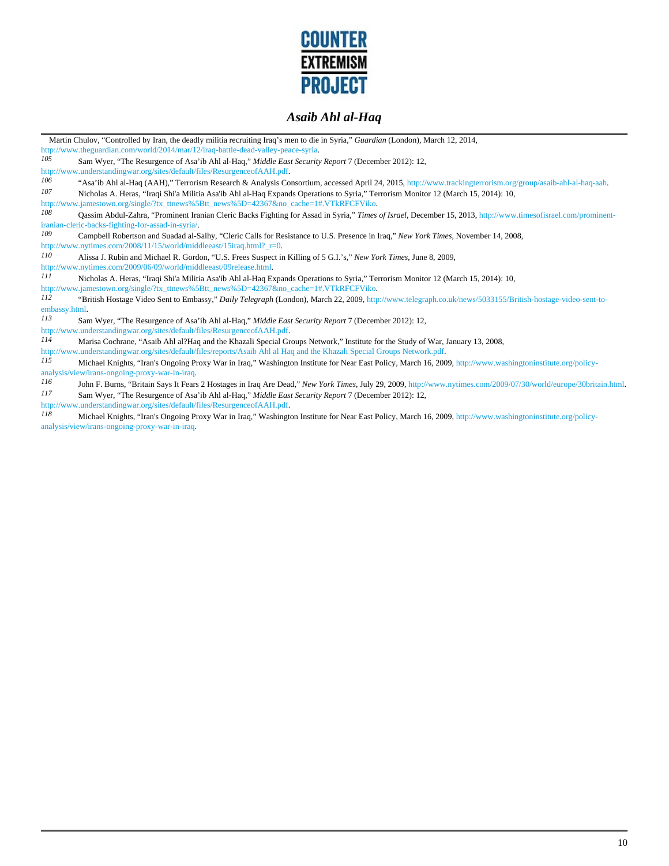

| Martin Chulov, "Controlled by Iran, the deadly militia recruiting Iraq's men to die in Syria," Guardian (London), March 12, 2014,                                        |  |  |
|--------------------------------------------------------------------------------------------------------------------------------------------------------------------------|--|--|
| http://www.theguardian.com/world/2014/mar/12/iraq-battle-dead-valley-peace-syria.                                                                                        |  |  |
| 105<br>Sam Wyer, "The Resurgence of Asa'ib Ahl al-Haq," Middle East Security Report 7 (December 2012): 12,                                                               |  |  |
| http://www.understandingwar.org/sites/default/files/ResurgenceofAAH.pdf.                                                                                                 |  |  |
| 106<br>"Asa'ib Ahl al-Haq (AAH)," Terrorism Research & Analysis Consortium, accessed April 24, 2015, http://www.trackingterrorism.org/group/asaib-ahl-al-haq-aah.        |  |  |
| 107<br>Nicholas A. Heras, "Iraqi Shi'a Militia Asa'ib Ahl al-Haq Expands Operations to Syria," Terrorism Monitor 12 (March 15, 2014): 10,                                |  |  |
| http://www.jamestown.org/single/?tx_ttnews%5Btt_news%5D=42367&no_cache=1#.VTkRFCFViko.                                                                                   |  |  |
| 108<br>Qassim Abdul-Zahra, "Prominent Iranian Cleric Backs Fighting for Assad in Syria," Times of Israel, December 15, 2013, http://www.timesofisrael.com/prominent-     |  |  |
| iranian-cleric-backs-fighting-for-assad-in-syria/.                                                                                                                       |  |  |
| 109<br>Campbell Robertson and Suadad al-Salhy, "Cleric Calls for Resistance to U.S. Presence in Iraq," New York Times, November 14, 2008,                                |  |  |
| http://www.nytimes.com/2008/11/15/world/middleeast/15iraq.html? $r=0$ .                                                                                                  |  |  |
| 110<br>Alissa J. Rubin and Michael R. Gordon, "U.S. Frees Suspect in Killing of 5 G.I.'s," New York Times, June 8, 2009,                                                 |  |  |
| http://www.nytimes.com/2009/06/09/world/middleeast/09release.html.                                                                                                       |  |  |
| 111<br>Nicholas A. Heras, "Iraqi Shi'a Militia Asa'ib Ahl al-Haq Expands Operations to Syria," Terrorism Monitor 12 (March 15, 2014): 10,                                |  |  |
| http://www.jamestown.org/single/?tx_ttnews%5Btt_news%5D=42367&no_cache=1#.VTkRFCFViko.                                                                                   |  |  |
| 112<br>"British Hostage Video Sent to Embassy," Daily Telegraph (London), March 22, 2009, http://www.telegraph.co.uk/news/5033155/British-hostage-video-sent-to-         |  |  |
| embassy.html.                                                                                                                                                            |  |  |
| 113<br>Sam Wyer, "The Resurgence of Asa'ib Ahl al-Haq," Middle East Security Report 7 (December 2012): 12,                                                               |  |  |
| http://www.understandingwar.org/sites/default/files/ResurgenceofAAH.pdf.                                                                                                 |  |  |
| 114<br>Marisa Cochrane, "Asaib Ahl al?Haq and the Khazali Special Groups Network," Institute for the Study of War, January 13, 2008,                                     |  |  |
| http://www.understandingwar.org/sites/default/files/reports/Asaib Ahl al Haq and the Khazali Special Groups Network.pdf.                                                 |  |  |
| 115<br>Michael Knights, "Iran's Ongoing Proxy War in Iraq," Washington Institute for Near East Policy, March 16, 2009, http://www.washingtoninstitute.org/policy-        |  |  |
| analysis/view/irans-ongoing-proxy-war-in-iraq.                                                                                                                           |  |  |
| 116<br>John F. Burns, "Britain Says It Fears 2 Hostages in Iraq Are Dead," New York Times, July 29, 2009, http://www.nytimes.com/2009/07/30/world/europe/30britain.html. |  |  |
| 117<br>Sam Wyer, "The Resurgence of Asa'ib Ahl al-Haq," Middle East Security Report 7 (December 2012): 12,                                                               |  |  |
| http://www.understandingwar.org/sites/default/files/ResurgenceofAAH.pdf                                                                                                  |  |  |
| 118<br>Michael Knights, "Iran's Ongoing Proxy War in Iraq," Washington Institute for Near East Policy, March 16, 2009, http://www.washingtoninstitute.org/policy-        |  |  |
| analysis/view/irans-ongoing-proxy-war-in-iraq.                                                                                                                           |  |  |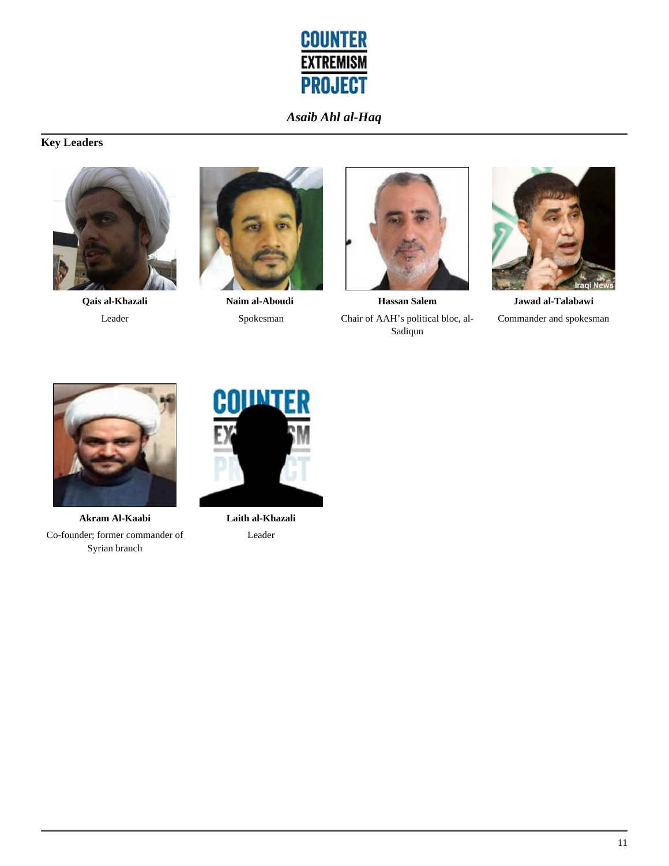

# **Key Leaders**



**Qais al-Khazali** Leader



**Naim al-Aboudi**  Spokesman



**Hassan Salem** Chair of AAH's political bloc, al-Sadiqun



**Jawad al-Talabawi** Commander and spokesman



**Akram Al-Kaabi** Co-founder; former commander of Syrian branch



**Laith al-Khazali** Leader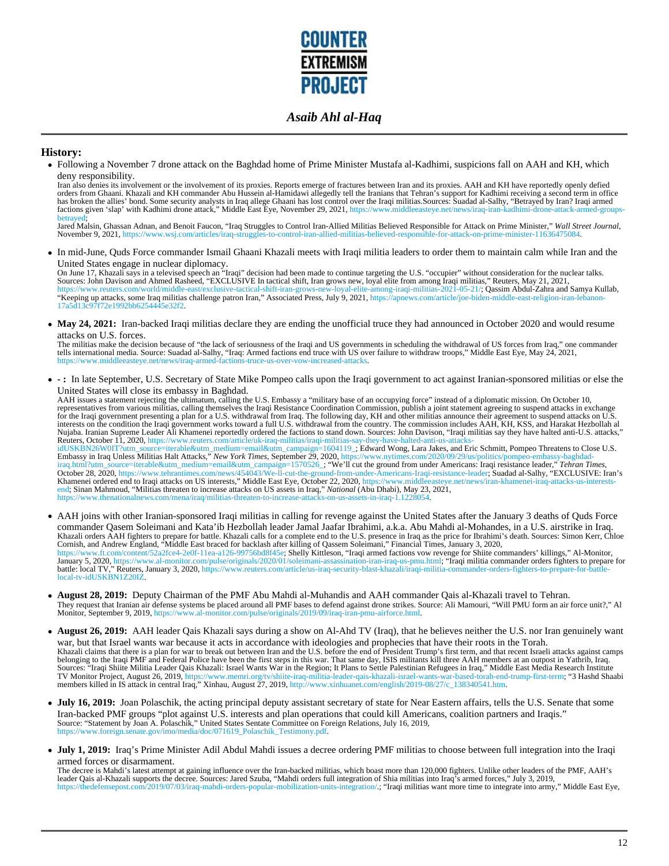

#### **History:**

Following a November 7 drone attack on the Baghdad home of Prime Minister Mustafa al-Kadhimi, suspicions fall on AAH and KH, which deny responsibility.

Iran also denies its involvement or the involvement of its proxies. Reports emerge of fractures between Iran and its proxies. AAH and KH have reportedly openly defied orders from Ghaani. Khazali and KH commander Abu Hussein al-Hamidawi allegedly tell the Iranians that Tehran's support for Kadhimi receiving a second term in office<br>factions given the allies' bond. Some security analysts i

Jared Malsin, Ghassan Adnan, and Benoit Faucon, "Iraq Struggles to Control Iran-Allied Militias Believed Responsible for Attack on Prime Minister," *Wall Street Journal*, November 9, 2021, https://www.wsj.com/articles/iraq-struggles-to-control-iran-allied-militias-believed-responsible-for-attack-on-prime-minister-11636475084.

In mid-June, Quds Force commander Ismail Ghaani Khazali meets with Iraqi militia leaders to order them to maintain calm while Iran and the

United States engage in nuclear diplomacy.<br>On June 17, Khazali says in a televised speech an "Iraqi" decision had been made to continue targeting the U.S. "occupier" without consideration for the nuclear talks.<br>Sources: Jo 17a5d13c97f72e1992bb6254445e32f2.

• May 24, 2021: Iran-backed Iraqi militias declare they are ending the unofficial truce they had announced in October 2020 and would resume attacks on U.S. forces.

The militias make the decision because of "the lack of seriousness of the Iraqi and US governments in scheduling the withdrawal of US forces from Iraq," one commander<br>tells international media. Source: Suadad al-Salhy, "Ir

**- :** In late September, U.S. Secretary of State Mike Pompeo calls upon the Iraqi government to act against Iranian-sponsored militias or else the United States will close its embassy in Baghdad.

AAH issues a statement rejecting the ultimatum, calling the U.S. Embassy a "military base of an occupying force" instead of a diplomatic mission. On October 10,<br>representatives from various militias, calling themselves the Nujaba. Iranian Supreme Leader Ali Khamenei reportedly ordered the factions to stand down. Sources: John Davison, "Iraqi militias say they have halted anti-U.S. attacks," Reuters, October 11, 2020, https://www.reuters.com/article/uk-iraq-militias/iraqi-militias-say-they-have-halted-anti-us-attacks-id/StBN26WHT2uters.com/2020/09/29/us/com/2020/09/29/us/com/2020/09/29/us/politics/pompeo Threa https://www.thenationalnews.com/mena/iraq/militias-threaten-to-increase-attacks-on-us-assets-in-iraq-1.1228054.

- AAH joins with other Iranian-sponsored Iraqi militias in calling for revenge against the United States after the January 3 deaths of Quds Force commander Qasem Soleimani and Kata'ib Hezbollah leader Jamal Jaafar Ibrahimi, a.k.a. Abu Mahdi al-Mohandes, in a U.S. airstrike in Iraq. Khazali orders AAH fighters to prepare for battle. Khazali calls for a complete end to the U.S. presence in Iraq as the price for Ibrahimi's death. Sources: Simon Kerr, Chloe<br>Cornish, and Andrew England, "Middle East brace local-tv-idUSKBN1Z20IZ.
- **August 28, 2019:** Deputy Chairman of the PMF Abu Mahdi al-Muhandis and AAH commander Qais al-Khazali travel to Tehran. They request that Iranian air defense systems be placed around all PMF bases to defend against drone strikes. Source: Ali Mamouri, "Will PMU form an air force unit?," Al Monitor, September 9, 2019, https://www.al-monitor.com/pulse/originals/2019/09/iraq-iran-pmu-airforce.html.
- **August 26, 2019:** AAH leader Qais Khazali says during a show on Al-Ahd TV (Iraq), that he believes neither the U.S. nor Iran genuinely want war, but that Israel wants war because it acts in accordance with ideologies and prophecies that have their roots in the Torah.<br>Khazali claims that there is a plan for war to break out between Iran and the U.S. before the
- **July 16, 2019:** Joan Polaschik, the acting principal deputy assistant secretary of state for Near Eastern affairs, tells the U.S. Senate that some Iran-backed PMF groups "plot against U.S. interests and plan operations that could kill Americans, coalition partners and Iraqis."<br>Source: "Statement by Joan A. Polaschik," United States Sentate Committee on Foreign Relati
- **July 1, 2019:** Iraq's Prime Minister Adil Abdul Mahdi issues a decree ordering PMF militias to choose between full integration into the Iraqi armed forces or disarmament.

The decree is Mahdi's latest attempt at gaining influence over the Iran-backed militias, which boast more than 120,000 fighters. Unlike other leaders of the PMF, AAH's leader Qais al-Khazali supports the decree. Sources: Jared Szuba, "Mahdi orders full integration of Shia militias into Iraq's armed forces," July 3, 2019, https://thedefensepost.com/2019/07/03/iraq-mahdi-orders-popular-mobilization-units-integration/.; "Iraqi militias want more time to integrate into army," Middle East Eye,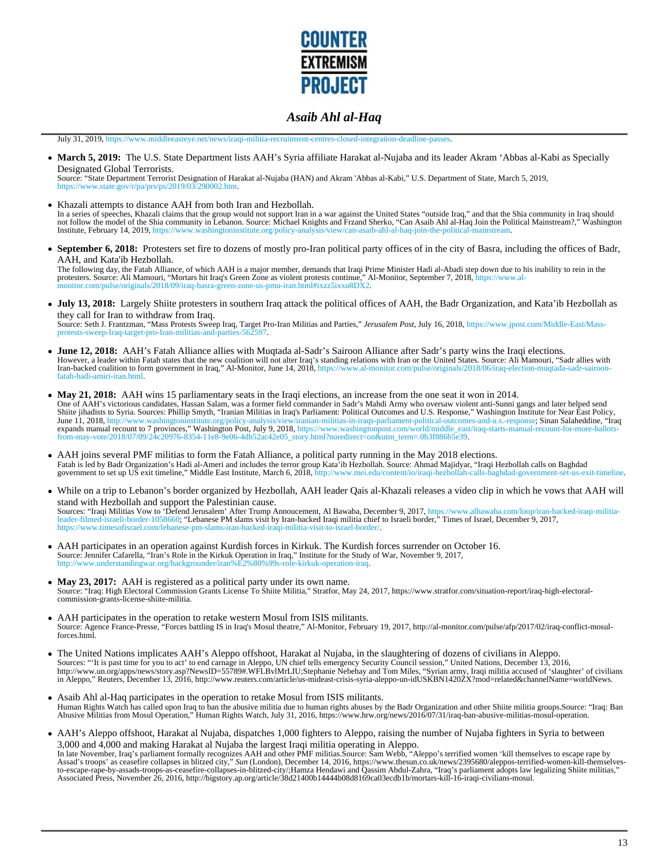

July 31, 2019, https://www.middleeasteye.net/news/iraqi-militia-recruitment-centres-closed-integration-deadline-passes.

• March 5, 2019: The U.S. State Department lists AAH's Syria affiliate Harakat al-Nujaba and its leader Akram 'Abbas al-Kabi as Specially Designated Global Terrorists.

Source: "State Department Terrorist Designation of Harakat al-Nujaba (HAN) and Akram 'Abbas al-Kabi," U.S. Department of State, March 5, 2019, https://www.state.gov/r/pa/prs/ps/2019/03/290002.htm.

- Khazali attempts to distance AAH from both Iran and Hezbollah. In a series of speeches, Khazali claims that the group would not support Iran in a war against the United States "outside Iraq," and that the Shia community in Iraq should<br>not follow the model of the Shia community in Leba Institute, February 14, 2019, https://www.washingtoninstitute.org/policy-analysis/view/can-asaib-ahl-al-haq-join-the-political-mainstream.
- **September 6, 2018:** Protesters set fire to dozens of mostly pro-Iran political party offices of in the city of Basra, including the offices of Badr, AAH, and Kata'ib Hezbollah.

The following day, the Fatah Alliance, of which AAH is a major member, demands that Iraqi Prime Minister Hadi al-Abadi step down due to his inability to rein in the protesters. Source: Ali Mamouri, "Mortars hit Iraq's Green Zone as violent protests continue," Al-Monitor, September 7, 2018, https://www.al-<br>monitor.com/pulse/originals/2018/09/iraq-basra-green-zone-us-pmu-iran.html#ixzz5

- **July 13, 2018:** Largely Shiite protesters in southern Iraq attack the political offices of AAH, the Badr Organization, and Kata'ib Hezbollah as they call for Iran to withdraw from Iraq. Source: Seth J. Frantzman, "Mass Protests Sweep Iraq, Target Pro-Iran Militias and Parties," *Jerusalem Post*, July 16, 2018, https://www.jpost.com/Middle-East/Massprotests-sweep-Iraq-target-pro-Iran-militias-and-parti
- **June 12, 2018:** AAH's Fatah Alliance allies with Muqtada al-Sadr's Sairoon Alliance after Sadr's party wins the Iraqi elections. However, a leader within Fatah states that the new coalition will not alter Iraq's standing relations with Iran or the United States. Source: Ali Mamouri, "Sadr allies with<br>Iran-backed coalition to form government in Iraq, fatah-hadi-amiri-iran.html.
- **May 21, 2018:** AAH wins 15 parliamentary seats in the Iraqi elections, an increase from the one seat it won in 2014. One of AAH's victorious candidates, Hassan Salam, was a former field commander in Sadr's Mahdi Army who oversaw violent anti-Sunni gangs and later helped send Shiite jihadists to Syria. Sources: Phillip Smyth, "Iranian Militias in Iraq's Parliament: Political Outcomes and U.S. Response," Washington Institute for Near Éast Policy,<br>June 11, 2018, http://www.washingtoninstitute.org
- AAH joins several PMF militias to form the Fatah Alliance, a political party running in the May 2018 elections. Fatah is led by Badr Organization's Hadi al-Ameri and includes the terror group Kata'ib Hezbollah. Source: Ahmad Majidyar, "Iraqi Hezbollah calls on Baghdad government to set up US exit timeline," Middle East Institute, March 6, 2018, http://www.mei.edu/content/io/iraqi-hezbollah-calls-baghdad-government-set-us-exit-timeline.
- While on a trip to Lebanon's border organized by Hezbollah, AAH leader Qais al-Khazali releases a video clip in which he vows that AAH will stand with Hezbollah and support the Palestinian cause. Sources: "Iraqi Militias Vow to 'Defend Jerusalem' After Trump Annoucement, Al Bawaba, December 9, 2017, https://www.albawaba.com/loop/iran-backed-iraqi-militia-<br>leader-filmed-israeli-border-1058660; "Lebanese PM slams vis https://www.timesofisrael.com/lebanese-pm-slams-iran-backed-iraqi-militia-visit-to-israel-border/.
- AAH participates in an operation against Kurdish forces in Kirkuk. The Kurdish forces surrender on October 16. Source: Jennifer Cafarella, "Iran's Role in the Kirkuk Operation in Iraq," Institute for the Study of War, November 9, 2017, http://www.understandingwar.org/backgrounder/iran%E2%80%99s-role-kirkuk-operation-iraq.
- **May 23, 2017:** AAH is registered as a political party under its own name. Source: "Iraq: High Electoral Commission Grants License To Shiite Militia," Stratfor, May 24, 2017, https://www.stratfor.com/situation-report/iraq-high-electoralcommission-grants-license-shiite-militia.
- AAH participates in the operation to retake western Mosul from ISIS militants. Source: Agence France-Presse, "Forces battling IS in Iraq's Mosul theatre," Al-Monitor, February 19, 2017, http://al-monitor.com/pulse/afp/2017/02/iraq-conflict-mosulforces.html.
- The United Nations implicates AAH's Aleppo offshoot, Harakat al Nujaba, in the slaughtering of dozens of civilians in Aleppo. Sources: "'It is past time for you to act' to end carnage in Aleppo, UN chief tells emergency Security Council session," United Nations, December 13, 2016,<br>http://www.un.org/apps/news/story.asp?NewsID=55789#.WFLBvlMrLIU;St
- Asaib Ahl al-Haq participates in the operation to retake Mosul from ISIS militants. Human Rights Watch has called upon Iraq to ban the abusive militia due to human rights abuses by the Badr Organization and other Shiite militia groups.Source: "Iraq: Ban<br>Abusive Militias from Mosul Operation," Human Rights
- AAH's Aleppo offshoot, Harakat al Nujaba, dispatches 1,000 fighters to Aleppo, raising the number of Nujaba fighters in Syria to between 3,000 and 4,000 and making Harakat al Nujaba the largest Iraqi militia operating in Aleppo. In late November, Iraq's parliament formally recognizes AAH and other PMF militias.Source: Sam Webb, "Aleppo's terrified women 'kill themselves to escape rape by<br>Assad's troops' as ceasefire collapses in blitzed city," Sun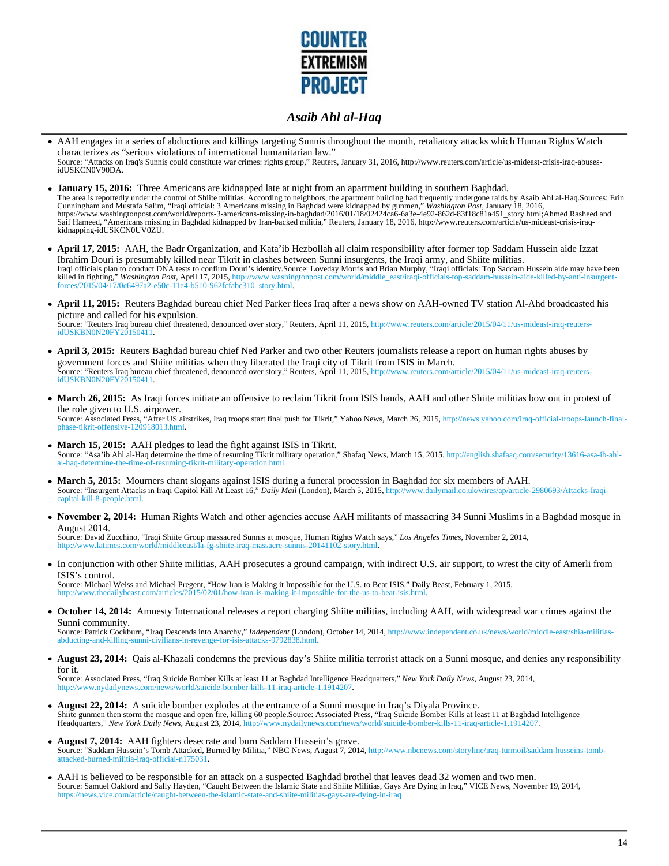

- AAH engages in a series of abductions and killings targeting Sunnis throughout the month, retaliatory attacks which Human Rights Watch characterizes as "serious violations of international humanitarian law." Source: "Attacks on Iraq's Sunnis could constitute war crimes: rights group," Reuters, January 31, 2016, http://www.reuters.com/article/us-mideast-crisis-iraq-abusesidUSKCN0V90DA.
- **January 15, 2016:** Three Americans are kidnapped late at night from an apartment building in southern Baghdad.<br>The area is reportedly under the control of Shiite militias. According to neighbors, the apartment building ha Saif Hameed, "Americans missing in Baghdad kidnapped by Iran-backed militia," Reuters, January 18, 2016, http://www.reuters.com/article/us-mideast-crisis-iraqkidnapping-idUSKCN0UV0ZU.
- **April 17, 2015:** AAH, the Badr Organization, and Kata'ib Hezbollah all claim responsibility after former top Saddam Hussein aide Izzat Ibrahim Douri is presumably killed near Tikrit in clashes between Sunni insurgents, the Iraqi army, and Shiite militias. Iraqi officials plan to conduct DNA tests to confirm Douri's identity.Source: Loveday Morris and Brian Murphy, "Iraqi officials: Top Saddam Hussein aide may have been<br>killed in fighting," *Washington Post*, April 17, 2015,
- **April 11, 2015:** Reuters Baghdad bureau chief Ned Parker flees Iraq after a news show on AAH-owned TV station Al-Ahd broadcasted his picture and called for his expulsion. Source: "Reuters Iraq bureau chief threatened, denounced over story," Reuters, April 11, 2015, http://www.reuters.com/article/2015/04/11/us-mideast-iraq-reutersidUSKBN0N20FY20150411.
- **April 3, 2015:** Reuters Baghdad bureau chief Ned Parker and two other Reuters journalists release a report on human rights abuses by government forces and Shiite militias when they liberated the Iraqi city of Tikrit from ISIS in March.<br>Source: "Reuters Iraq bureau chief threatened, denounced over story," Reuters, April 11, 2015, http://www.reuters.com/a idUSKBN0N20FY20150411.
- March 26, 2015: As Iraqi forces initiate an offensive to reclaim Tikrit from ISIS hands, AAH and other Shiite militias bow out in protest of the role given to U.S. airpower. Source: Associated Press, "After US airstrikes, Iraq troops start final push for Tikrit," Yahoo News, March 26, 2015, http://news.yahoo.com/iraq-official-troops-launch-finalphase-tikrit-offensive-120918013.html.
- **March 15, 2015:** AAH pledges to lead the fight against ISIS in Tikrit. Source: "Asa'ib Ahl al-Haq determine the time of resuming Tikrit military operation," Shafaq News, March 15, 2015, http://english.shafaaq.com/security/13616-asa-ib-ahlal-haq-determine-the-time-of-resuming-tikrit-military-operation.html.
- March 5, 2015: Mourners chant slogans against ISIS during a funeral procession in Baghdad for six members of AAH.<br>Source: "Insurgent Attacks in Iraqi Capitol Kill At Least 16," *Daily Mail* (London), March 5, 2015, http://
- **November 2, 2014:** Human Rights Watch and other agencies accuse AAH militants of massacring 34 Sunni Muslims in a Baghdad mosque in August 2014.

Source: David Zucchino, "Iraqi Shiite Group massacred Sunnis at mosque, Human Rights Watch says," Los Angeles Times, November 2, 2014,<br>http://www.latimes.com/world/middleeast/la-fg-shiite-iraq-massacre-sunnis-20141102-stor

In conjunction with other Shiite militias, AAH prosecutes a ground campaign, with indirect U.S. air support, to wrest the city of Amerli from ISIS's control.

Source: Michael Weiss and Michael Pregent, "How Iran is Making it Impossible for the U.S. to Beat ISIS," Daily Beast, February 1, 2015,<br>http://www.thedailybeast.com/articles/2015/02/01/how-iran-is-making-it-impossible-for-

**October 14, 2014:** Amnesty International releases a report charging Shiite militias, including AAH, with widespread war crimes against the Sunni community.

Source: Patrick Cockburn, "Iraq Descends into Anarchy," *Independent* (London), October 14, 2014, http://www.independent.co.uk/news/world/middle-east/shia-militiaslians-in-revenge-for-isis-attacks-9792838.html

• **August 23, 2014:** Qais al-Khazali condemns the previous day's Shiite militia terrorist attack on a Sunni mosque, and denies any responsibility for it.

Source: Associated Press, "Iraq Suicide Bomber Kills at least 11 at Baghdad Intelligence Headquarters," *New York Daily News*, August 23, 2014, s/world/suicide-bomber-kills-11-iraq-article-1.1914207.

- **August 22, 2014:** A suicide bomber explodes at the entrance of a Sunni mosque in Iraq's Diyala Province. Shiite gunmen then storm the mosque and open fire, killing 60 people.Source: Associated Press, "Iraq Suicide Bomber Kills at least 11 at Baghdad Intelligence<br>Headquarters," New York Daily News, August 23, 2014, http://www.
- **August 7, 2014:** AAH fighters desecrate and burn Saddam Hussein's grave. Source: "Saddam Hussein's Tomb Attacked, Burned by Militia," NBC News, August 7, 2014, http://www.nbcnews.com/storyline/iraq-turmoil/saddam-husseins-tombattacked-burned-militia-iraq-official-n175031.
- AAH is believed to be responsible for an attack on a suspected Baghdad brothel that leaves dead 32 women and two men.<br>Source: Samuel Oakford and Sally Hayden, "Caught Between the Islamic State and Shiite Militias, Gays Are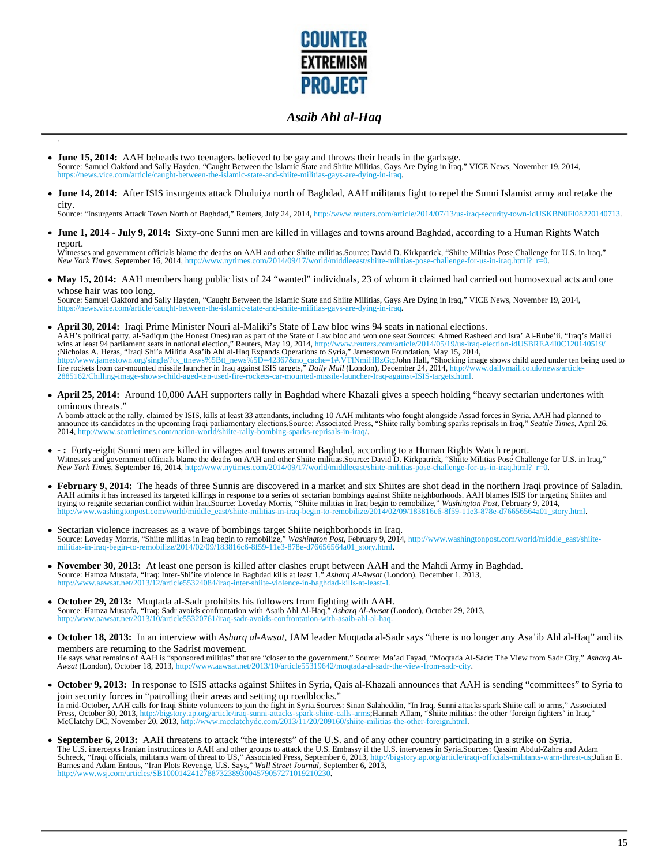

**June 15, 2014:** AAH beheads two teenagers believed to be gay and throws their heads in the garbage. Source: Samuel Oakford and Sally Hayden, "Caught Between the Islamic State and Shiite Militias, Gays Are Dying in Iraq," VICE News, November 19, 2014, https://news.vice.com/article/caught-between-the-islamic-state-and-shiite-militias-gays-are-dying-in-iraq.

.

**June 14, 2014:** After ISIS insurgents attack Dhuluiya north of Baghdad, AAH militants fight to repel the Sunni Islamist army and retake the city.

Source: "Insurgents Attack Town North of Baghdad," Reuters, July 24, 2014, http://www.reuters.com/article/2014/07/13/us-iraq-security-town-idUSKBN0FI08220140713.

**June 1, 2014 - July 9, 2014:** Sixty-one Sunni men are killed in villages and towns around Baghdad, according to a Human Rights Watch report.

Witnesses and government officials blame the deaths on AAH and other Shiite militias.Source: David D. Kirkpatrick, "Shiite Militias Pose Challenge for U.S. in Iraq," *New York Times*, September 16, 2014, http://www.nytimes.com/2014/09/17/world/middleeast/shiite-militias-pose-challenge-for-us-in-iraq.html?\_r=0.

• May 15, 2014: AAH members hang public lists of 24 "wanted" individuals, 23 of whom it claimed had carried out homosexual acts and one

whose hair was too long. Source: Samuel Oakford and Sally Hayden, "Caught Between the Islamic State and Shiite Militias, Gays Are Dying in Iraq," VICE News, November 19, 2014, https://news.vice.com/article/caught-between-the-islamic-state-and-shiite-militias-gays-are-dying-in-iraq.

- **April 30, 2014:** Iraqi Prime Minister Nouri al-Maliki's State of Law bloc wins 94 seats in national elections. AAH's political party, al-Sadiqun (the Honest Ones) ran as part of the State of Law bloc and won one seat.Sources: Ahmed Rasheed and Isra' Al-Rube'ii, "Iraq's Maliki<br>wins at least 94 parliament seats in national election," ;Nicholas A. Heras, "Iraqi Shi'a Militia Asa'ib Ahl al-Haq Expands Operations to Syria," Jamestown Foundation, May 15, 2014,<br>http://www.jamestown.org/single/?tx\_ttnews%5Btt\_news%5D=42367&no\_cache=1#.VTlNmiHBzGc;John Hall, 2885162/Chilling-image-shows-child-aged-ten-used-fire-rockets-car-mounted-missile-launcher-Iraq-against-ISIS-targets.html.
- **April 25, 2014:** Around 10,000 AAH supporters rally in Baghdad where Khazali gives a speech holding "heavy sectarian undertones with ominous threats."

A bomb attack at the rally, claimed by ISIS, kills at least 33 attendants, including 10 AAH militants who fought alongside Assad forces in Syria. AAH had planned to announce its candidates in the upcoming Iraqi parliamentary elections.Source: Associated Press, "Shiite rally bombing sparks reprisals in Iraq," *Seattle Times*, April 26, 2014, http://www.seattletimes.com/nation-world/shi d/shiite-rally-bombing-sparks-reprisals-in-iraq/.

- **:** Forty-eight Sunni men are killed in villages and towns around Baghdad, according to a Human Rights Watch report. Witnesses and government officials blame the deaths on AAH and other Shiite militias.Source: David D. Kirkpatrick, "Shiite Militias Pose Challenge for U.S. in Iraq," *New York Times*, September 16, 2014, http://www.nytimes.com/2014/09/17/world/middleeast/shiite-militias-pose-challenge-for-us-in-iraq.html?\_r=0.
- **February 9, 2014:** The heads of three Sunnis are discovered in a market and six Shiites are shot dead in the northern Iraqi province of Saladin. AAH admits it has increased its targeted killings in response to a series of sectarian bombings against Shiite neighborhoods. AAH blames ISIS for targeting Shiites and<br>trying to reignite sectarian conflict within Iraq.Sour
- Sectarian violence increases as a wave of bombings target Shiite neighborhoods in Iraq. Source: Loveday Morris, "Shiite militias in Iraq begin to remobilize," *Washington Post*, February 9, 2014, http://www.washingtonpost.com/world/middle\_east/shiitegin-to-remobilize/2014/02/09/183816c6-8f59-11e3-878e-d76656564a01\_story.html
- **November 30, 2013:** At least one person is killed after clashes erupt between AAH and the Mahdi Army in Baghdad. Source: Hamza Mustafa, "Iraq: Inter-Shi'ite violence in Baghdad kills at least 1," Asharq Al-Awsat (London), December 1, 2013,<br>http://www.aawsat.net/2013/12/article55324084/iraq-inter-shiite-violence-in-baghdad-kills-at-le
- October 29, 2013: Muqtada al-Sadr prohibits his followers from fighting with AAH.<br>Source: Hamza Mustafa, "Iraq: Sadr avoids confrontation with Asaib Ahl Al-Haq," Asharq Al-Awsat (London), October 29, 2013,<br>http://www.aawsa
- **October 18, 2013:** In an interview with *Asharq al-Awsat*, JAM leader Muqtada al-Sadr says "there is no longer any Asa'ib Ahl al-Haq" and its members are returning to the Sadrist movement.

He says what remains of AAH is "sponsored militias" that are "closer to the government." Source: Ma'ad Fayad, "Moqtada Al-Sadr: The View from Sadr City," Asharq Al-<br>Awsat (London), October 18, 2013, http://www.aawsat.net/2

- **October 9, 2013:** In response to ISIS attacks against Shiites in Syria, Qais al-Khazali announces that AAH is sending "committees" to Syria to join security forces in "patrolling their areas and setting up roadblocks." In mid-October, AAH calls for Iraqi Shiite volunteers to join the fight in Syria.Sources: Sinan Salaheddin, "In Iraq, Sunni attacks spark Shiite call to arms," Associated<br>Press, October 30, 2013, http://bigstory.ap.org/art McClatchy DC, November 20, 2013, http://www.mcclatchydc.com/2013/11/20/209160/shiite-militias-the-other-foreign.html.
- **September 6, 2013:** AAH threatens to attack "the interests" of the U.S. and of any other country participating in a strike on Syria.<br>The U.S. intercepts Iranian instructions to AAH and other groups to attack the U.S. Emba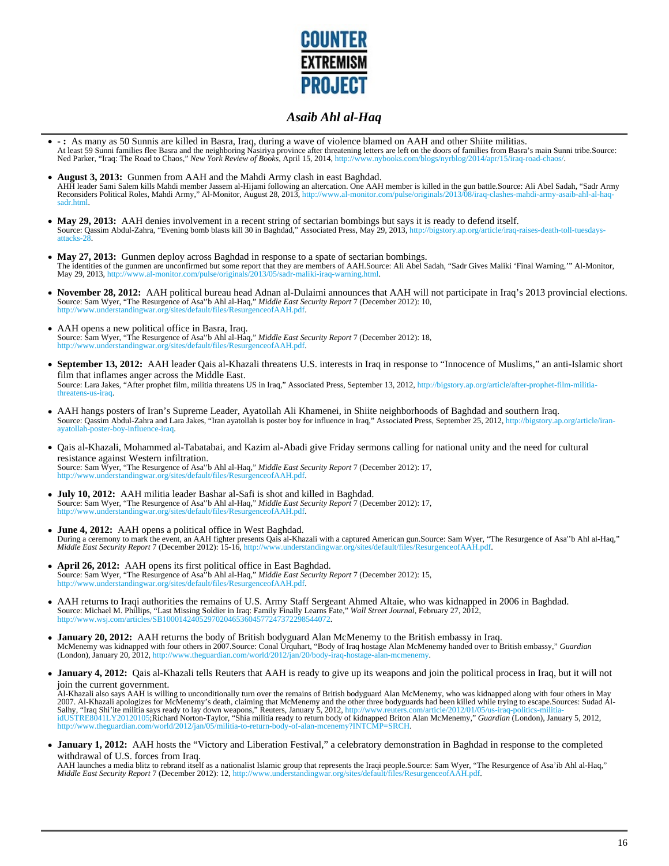

- **:** As many as 50 Sunnis are killed in Basra, Iraq, during a wave of violence blamed on AAH and other Shiite militias. At least 59 Sunni families flee Basra and the neighboring Nasiriya province after threatening letters are left on the doors of families from Basra's main Sunni tribe.Source:<br>Ned Parker, "Iraq: The Road to Chaos," New York
- **August 3, 2013:** Gunmen from AAH and the Mahdi Army clash in east Baghdad. AHH leader Sami Salem kills Mahdi member Jassem al-Hijami following an altercation. One AAH member is killed in the gun battle.Source: Ali Abel Sadah, "Sadr Army<br>Reconsiders Political Roles, Mahdi Army," Al-Monitor, August sadr.html.
- May 29, 2013: AAH denies involvement in a recent string of sectarian bombings but says it is ready to defend itself. Source: Qassim Abdul-Zahra, "Evening bomb blasts kill 30 in Baghdad," Associated Press, May 29, 2013, http://bigstory.ap.org/article/iraq-raises-death-toll-tuesdaysattacks-28.
- May 27, 2013: Gunmen deploy across Baghdad in response to a spate of sectarian bombings. The identities of the gunmen are unconfirmed but some report that they are members of AAH.Source: Ali Abel Sadah, "Sadr Gives Maliki 'Final Warning,'" Al-Monitor,<br>May 29, 2013, http://www.al-monitor.com/pulse/originals/201
- **November 28, 2012:** AAH political bureau head Adnan al-Dulaimi announces that AAH will not participate in Iraq's 2013 provincial elections. Source: Sam Wyer, "The Resurgence of Asa''b Ahl al-Haq," *Middle East Security Report* 7 (December 2012): 10, http://www.understandingwar.org/sites/default/files/ResurgenceofAAH.pdf.
- AAH opens a new political office in Basra, Iraq. Source: Sam Wyer, "The Resurgence of Asa''b Ahl al-Haq," *Middle East Security Report* 7 (December 2012): 18, http://www.undingwar.org/sites/default/files/ResurgenceofAAH.pdf.
- **September 13, 2012:** AAH leader Qais al-Khazali threatens U.S. interests in Iraq in response to "Innocence of Muslims," an anti-Islamic short film that inflames anger across the Middle East. Source: Lara Jakes, "After prophet film, militia threatens US in Iraq," Associated Press, September 13, 2012, http://bigstory.ap.org/article/after-prophet-film-militiathreatens-us-iraq.
- AAH hangs posters of Iran's Supreme Leader, Ayatollah Ali Khamenei, in Shiite neighborhoods of Baghdad and southern Iraq. Source: Qassim Abdul-Zahra and Lara Jakes, "Iran ayatollah is poster boy for influence in Iraq," Associated Press, September 25, 2012, http://bigstory.ap.org/article/iranayatollah-poster-boy-influence-iraq.
- Qais al-Khazali, Mohammed al-Tabatabai, and Kazim al-Abadi give Friday sermons calling for national unity and the need for cultural resistance against Western infiltration. Source: Sam Wyer, "The Resurgence of Asa''b Ahl al-Haq," *Middle East Security Report* 7 (December 2012): 17, http://www.understandingwar.org/sites/default/files/ResurgenceofAAH.pdf.
- **July 10, 2012:** AAH militia leader Bashar al-Safi is shot and killed in Baghdad.<br>Source: Sam Wyer, "The Resurgence of Asa"b Ahl al-Haq," *Middle East Security Report* 7 (December 2012): 17,<br>http://www.understandingwar.org
- **June 4, 2012:** AAH opens a political office in West Baghdad. During a ceremony to mark the event, an AAH fighter presents Qais al-Khazali with a captured American gun.Source: Sam Wyer, "The Resurgence of Asa"b Ahl al-Haq,"<br>Middle East Security Report 7 (December 2012): 15-16, http:/
- **April 26, 2012:** AAH opens its first political office in East Baghdad. Source: Sam Wyer, "The Resurgence of Asa''b Ahl al-Haq," *Middle East Security Report* 7 (December 2012): 15, http://www.understandingwar.org/sites/default/files/ResurgenceofAAH.pdf.
- AAH returns to Iraqi authorities the remains of U.S. Army Staff Sergeant Ahmed Altaie, who was kidnapped in 2006 in Baghdad.<br>Source: Michael M. Phillips, "Last Missing Soldier in Iraq: Family Finally Learns Fate," Wall Str
- **January 20, 2012:** AAH returns the body of British bodyguard Alan McMenemy to the British embassy in Iraq. McMenemy was kidnapped with four others in 2007.Source: Conal Urquhart, "Body of Iraq hostage Alan McMenemy handed over to British embassy," *Guardian*<br>(London), January 20, 2012, http://www.theguardian.com/world/2012/jan/
- January 4, 2012: Qais al-Khazali tells Reuters that AAH is ready to give up its weapons and join the political process in Iraq, but it will not join the current government.

Al-Khazali also says AAH is willing to unconditionally turn over the remains of British bodyguard Alan McMenemy, who was kidnapped along with four others in May<br>2007. Al-Khazali apologizes for McMenemy's death, claiming th idUSTRE8041LY20120105;Richard Norton-Taylor, "Shia militia ready to return body of kidnapped Briton Alan McMenemy," *Guardian* (London), January 5, 2012, http://www.theguardian.com/world/2012/jan/05/militia-to-return-body-of-alan-mcenemy?INTCMP=SRCH.

**January 1, 2012:** AAH hosts the "Victory and Liberation Festival," a celebratory demonstration in Baghdad in response to the completed withdrawal of U.S. forces from Iraq.

AAH launches a media blitz to rebrand itself as a nationalist Islamic group that represents the Iraqi people.Source: Sam Wyer, "The Resurgence of Asa'ib Ahl al-Haq," *Middle East Security Report* 7 (December 2012): 12, http://www.understandingwar.org/sites/default/files/ResurgenceofAAH.pdf.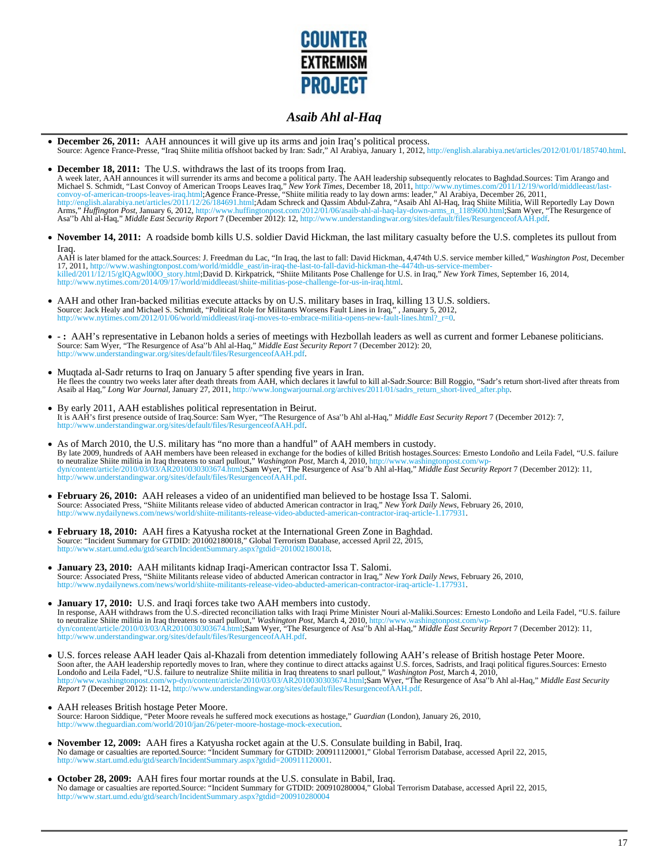

- **December 26, 2011:** AAH announces it will give up its arms and join Iraq's political process. Source: Agence France-Presse, "Iraq Shiite militia offshoot backed by Iran: Sadr," Al Arabiya, January 1, 2012, http://english.alarabiya.net/articles/2012/01/01/185740.html.
- **December 18, 2011:** The U.S. withdraws the last of its troops from Iraq. A week later, AAH announces it will surrender its arms and become a political party. The AAH leadership subsequently relocates to Baghdad.Sources: Tim Arango and<br>Michael S. Schmidt, "Last Convoy of American Troops Leaves I
- **November 14, 2011:** A roadside bomb kills U.S. soldier David Hickman, the last military casualty before the U.S. completes its pullout from Iraq.

AAH is later blamed for the attack.Sources: J. Freedman du Lac, "In Iraq, the last to fall: David Hickman, 4,474th U.S. service member killed," Washington Post, December<br>17, 2011, http://www.washingtonpost.com/world/middle http://www.nytimes.com/2014/09/17/world/middleeast/shiite-militias-pose-challenge-for-us-in-iraq.html.

- AAH and other Iran-backed militias execute attacks by on U.S. military bases in Iraq, killing 13 U.S. soldiers. Source: Jack Healy and Michael S. Schmidt, "Political Role for Militants Worsens Fault Lines in Iraq,", January 5, 2012,<br>http://www.nytimes.com/2012/01/06/world/middleeast/iraqi-moves-to-embrace-militia-opens-new-fault-lin
- : AAH's representative in Lebanon holds a series of meetings with Hezbollah leaders as well as current and former Lebanese politicians.<br>Source: Sam Wyer, "The Resurgence of Asa"b Ahl al-Haq," *Middle East Security Report*
- Muqtada al-Sadr returns to Iraq on January 5 after spending five years in Iran.<br>He flees the country two weeks later after death threats from AAH, which declares it lawful to kill al-Sadr.Source: Bill Roggio, "Sadr's retur Asaib al Haq," *Long War Journal*, January 27, 2011, http://www.longwarjournal.org/archives/2011/01/sadrs\_return\_short-lived\_after.php.
- By early 2011, AAH establishes political representation in Beirut. It is AAH's first presence outside of Iraq.Source: Sam Wyer, "The Resurgence of Asa''b Ahl al-Haq," *Middle East Security Report* 7 (December 2012): 7, w.understandingwar.org/sites/default/files/ResurgenceofAAH.pdf
- As of March 2010, the U.S. military has "no more than a handful" of AAH members in custody. By late 2009, hundreds of AAH members have been released in exchange for the bodies of killed British hostages.Sources: Ernesto Londoño and Leila Fadel, "U.S. failure<br>to neutralize Shite militia in Iraq threatens to snarl
- **February 26, 2010:** AAH releases a video of an unidentified man believed to be hostage Issa T. Salomi. Source: Associated Press, "Shiite Militants release video of abducted American contractor in Iraq," *New York Daily News*, February 26, 2010, http://www.nydailynews.com/news/world/shiite-militants-release-video-abducted-american-contractor-iraq-article-1.177931.
- **February 18, 2010:** AAH fires a Katyusha rocket at the International Green Zone in Baghdad. Source: "Incident Summary for GTDID: 201002180018," Global Terrorism Database, accessed April 22, 2015, http://www.start.umd.edu/gtd/search/IncidentSummary.aspx?gtdid=201002180018.
- **January 23, 2010:** AAH militants kidnap Iraqi-American contractor Issa T. Salomi. Source: Associated Press, "Shiite Militants release video of abducted American contractor in Iraq," *New York Daily News*, February 26, 2010, http://www.nydailynews.com/news/world/shiite-militants-release-video-abducted-american-contractor-iraq-article-1.177931.
- **January 17, 2010:** U.S. and Iraqi forces take two AAH members into custody. In response, AAH withdraws from the U.S.-directed reconciliation talks with Iraqi Prime Minister Nouri al-Maliki.Sources: Ernesto Londoño and Leila Fadel, "U.S. failure to neutralize Shiite militia in Iraq threatens to snarl pullout," Washington Post, March 4, 2010, http://www.washingtonpost.com/wp-<br>dyn/content/article/2010/03/03/AR2010030303674.html;Sam Wyer, "The Resurgence of Asa"b Ahl
- U.S. forces release AAH leader Qais al-Khazali from detention immediately following AAH's release of British hostage Peter Moore. Soon after, the AAH leadership reportedly moves to Iran, where they continue to direct attacks against U.S. forces, Sadrists, and Iraqi political figures.Sources: Ernesto<br>Londoño and Leila Fadel, "U.S. failure to neutraliz
- AAH releases British hostage Peter Moore. Source: Haroon Siddique, "Peter Moore reveals he suffered mock executions as hostage," *Guardian* (London), January 26, 2010, http://www.theguardian.com/world/2010/jan/26/peter-moore-hostage-mock-execution.
- **November 12, 2009:** AAH fires a Katyusha rocket again at the U.S. Consulate building in Babil, Iraq. No damage or casualties are reported.Source: "Incident Summary for GTDID: 200911120001," Global Terrorism Database, accessed April 22, 2015, http://www.start.umd.edu/gtd/search/IncidentSummary.aspx?gtdid=200911120001.
- October 28, 2009: AAH fires four mortar rounds at the U.S. consulate in Babil, Iraq.<br>No damage or casualties are reported.Source: "Incident Summary for GTDID: 200910280004," Global Terrorism Database, accessed April 22, 20 http://www.start.umd.edu/gtd/search/IncidentSummary.aspx?gtdid=200910280004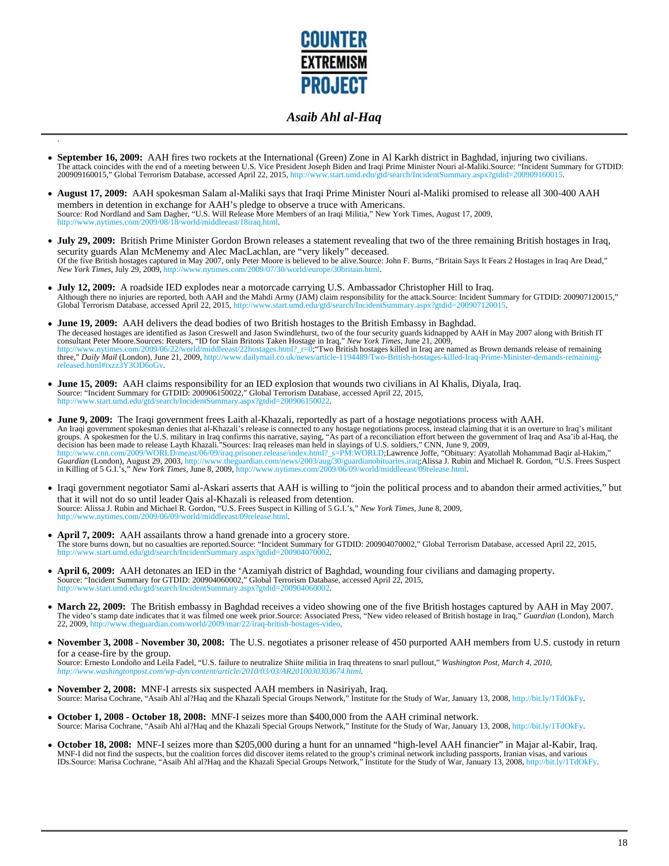

- **September 16, 2009:** AAH fires two rockets at the International (Green) Zone in Al Karkh district in Baghdad, injuring two civilians. The attack coincides with the end of a meeting between U.S. Vice President Joseph Biden and Iraqi Prime Minister Nouri al-Maliki.Source: "Incident Summary for GTDID: 200909160015," Global Terrorism Database, accessed April 22, 2015, http://www.start.umd.edu/gtd/search/IncidentSummary.aspx?gtdid=200909160015.
- **August 17, 2009:** AAH spokesman Salam al-Maliki says that Iraqi Prime Minister Nouri al-Maliki promised to release all 300-400 AAH members in detention in exchange for AAH's pledge to observe a truce with Americans. Source: Rod Nordland and Sam Dagher, "U.S. Will Release More Members of an Iraqi Militia," New York Times, August 17, 2009, http://www.nytimes.com/2009/08/18/world/middleeast/18iraq.html.
- **July 29, 2009:** British Prime Minister Gordon Brown releases a statement revealing that two of the three remaining British hostages in Iraq, security guards Alan McMenemy and Alec MacLachlan, are "very likely" deceased. Of the five British hostages captured in May 2007, only Peter Moore is believed to be alive.Source: John F. Burns, "Britain Says It Fears 2 Hostages in Iraq Are Dead,"<br>New York Times, July 29, 2009, http://www.nytimes.com/
- **July 12, 2009:** A roadside IED explodes near a motorcade carrying U.S. Ambassador Christopher Hill to Iraq. Although there no injuries are reported, both AAH and the Mahdi Army (JAM) claim responsibility for the attack.Source: Incident Summary for GTDID: 200907120015," Global Terrorism Database, accessed April 22, 2015, http://www.start.umd.edu/gtd/search/IncidentSummary.aspx?gtdid=200907120015.
- **June 19, 2009:** AAH delivers the dead bodies of two British hostages to the British Embassy in Baghdad. The deceased hostages are identified as Jason Creswell and Jason Swindlehurst, two of the four security guards kidnapped by AAH in May 2007 along with British IT<br>consultant Peter Moore.Sources: Reuters, "ID for Slain Brito three," *Daily Mail* (London), June 21, 2009, http://www.dailymail.co.uk/news/article-1194489/Two-British-hostages-killed-Iraq-Prime-Minister-deman released.html#ixzz3Y3OD6oGv.
- June 15, 2009: AAH claims responsibility for an IED explosion that wounds two civilians in Al Khalis, Diyala, Iraq.<br>Source: "Incident Summary for GTDID: 200906150022," Global Terrorism Database, accessed April 22, 2015, http://www.start.umd.edu/gtd/search/IncidentSummary.aspx?gtdid=200906150022.

.

- **June 9, 2009:** The Iraqi government frees Laith al-Khazali, reportedly as part of a hostage negotiations process with AAH. An Iraqi government spokesman denies that al-Khazali's release is connected to any hostage negotiations process, instead claiming that it is an overture to Iraq's militant<br>groups. A spokesmen for the U.S. military in Iraq Guardian (London), August 29, 2003, http://www.theguardian.com/news/2003/aug/30/guardianobituaries.iraq;Alissa J. Rubin and Michael R. Gordon, "U.S. Frees Suspect in Killing of 5 G.I.'s," *New York Times*, June 8, 2009, ht
- Iraqi government negotiator Sami al-Askari asserts that AAH is willing to "join the political process and to abandon their armed activities," but that it will not do so until leader Qais al-Khazali is released from detention. Source: Alissa J. Rubin and Michael R. Gordon, "U.S. Frees Suspect in Killing of 5 G.I.'s," *New York Times*, June 8, 2009, http://www.nytimes.com/2009/06/09/world/middleeast/09release.html.
- **April 7, 2009:** AAH assailants throw a hand grenade into a grocery store. The store burns down, but no casualties are reported.Source: "Incident Summary for GTDID: 200904070002," Global Terrorism Database, accessed April 22, 2015,<br>http://www.start.umd.edu/gtd/search/IncidentSummary.aspx?gtdid=20 ummary.aspx?gtdid=200904070
- **April 6, 2009:** AAH detonates an IED in the 'Azamiyah district of Baghdad, wounding four civilians and damaging property. Source: "Incident Summary for GTDID: 200904060002," Global Terrorism Database, accessed April 22, 2015,<br>http://www.start.umd.edu/std/search/IncidentSummary.aspx?ordid=200904060002 arch/IncidentSummary.aspx?gtdid=200904060002.
- March 22, 2009: The British embassy in Baghdad receives a video showing one of the five British hostages captured by AAH in May 2007. The video's stamp date indicates that it was filmed one week prior.Source: Associated Press, "New video released of British hostage in Iraq," *Guardian* (London), March 22, 2009, http://www.theguardian.com/world/2009/mar/22/iraq-british-hostages-video.
- **November 3, 2008 November 30, 2008:** The U.S. negotiates a prisoner release of 450 purported AAH members from U.S. custody in return for a cease-fire by the group.

Source: Ernesto Londoño and Leila Fadel, "U.S. failure to neutralize Shiite militia in Iraq threatens to snarl pullout," *Washington Post, March 4, 2010, http://www.washingtonpost.com/wp-dyn/content/article/2010/03/03/AR2010030303674.html.*

- **November 2, 2008:** MNF-I arrests six suspected AAH members in Nasiriyah, Iraq. Source: Marisa Cochrane, "Asaib Ahl al?Haq and the Khazali Special Groups Network," Institute for the Study of War, January 13, 2008, http://bit.ly/1TdOkFy.
- **October 1, 2008 October 18, 2008:** MNF-I seizes more than \$400,000 from the AAH criminal network. Source: Marisa Cochrane, "Asaib Ahl al?Haq and the Khazali Special Groups Network," Institute for the Study of War, January 13, 2008, http://bit.ly/1TdOkFy.
- **October 18, 2008:** MNF-I seizes more than \$205,000 during a hunt for an unnamed "high-level AAH financier" in Majar al-Kabir, Iraq. MNF-I did not find the suspects, but the coalition forces did discover items related to the group's criminal network including passports, Iranian visas, and various IDs.Source: Marisa Cochrane, "Asaib Ahl al?Haq and the Khazali Special Groups Network," Institute for the Study of War, January 13, 2008, http://bit.ly/1TdOkFy.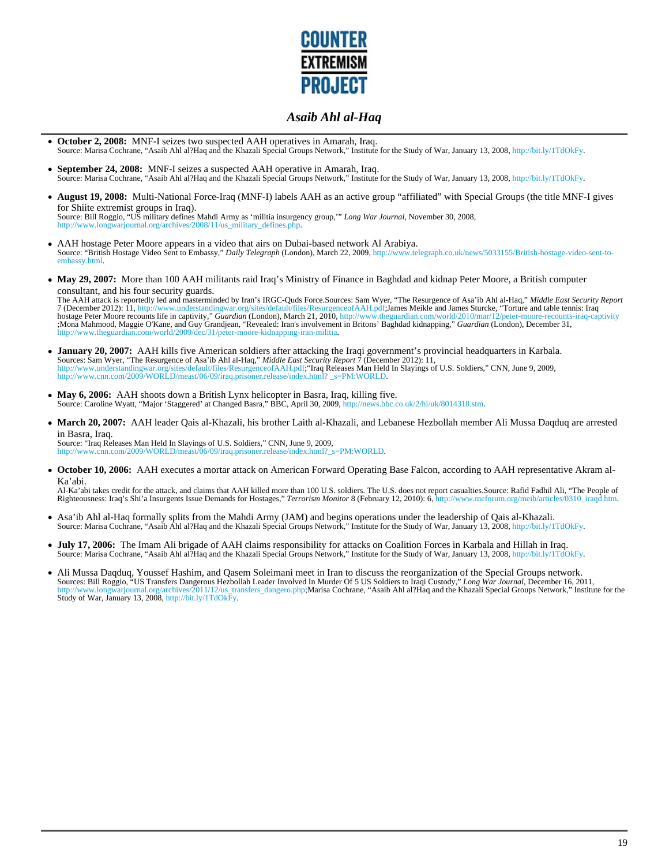

- **October 2, 2008:** MNF-I seizes two suspected AAH operatives in Amarah, Iraq. Source: Marisa Cochrane, "Asaib Ahl al?Haq and the Khazali Special Groups Network," Institute for the Study of War, January 13, 2008, http://bit.ly/1TdOkFy.
- $\bullet$ **September 24, 2008:** MNF-I seizes a suspected AAH operative in Amarah, Iraq. Source: Marisa Cochrane, "Asaib Ahl al?Haq and the Khazali Special Groups Network," Institute for the Study of War, January 13, 2008, http://bit.ly/1TdOkFy.
- **August 19, 2008:** Multi-National Force-Iraq (MNF-I) labels AAH as an active group "affiliated" with Special Groups (the title MNF-I gives for Shiite extremist groups in Iraq). Source: Bill Roggio, "US military defines Mahdi Army as 'militia insurgency group,'" *Long War Journal*, November 30, 2008, http://www.longwarjournal.org/archives/2008/11/us\_military\_defines.php.
- AAH hostage Peter Moore appears in a video that airs on Dubai-based network Al Arabiya. Source: "British Hostage Video Sent to Embassy," *Daily Telegraph* (London), March 22, 2009, http://www.telegraph.co.uk/news/5033155/British-hostage-video-sent-toembassy.html.
- May 29, 2007: More than 100 AAH militants raid Iraq's Ministry of Finance in Baghdad and kidnap Peter Moore, a British computer consultant, and his four security guards.

The AAH attack is reportedly led and masterminded by Iran's IRGC-Quds Force.Sources: Sam Wyer, "The Resurgence of Asa'ib Ahl al-Haq," *Middle East Security Report* 7 (December 2012): 11, http://www.understandingwar.org/sites/default/files/ResurgenceofAAH.pdf;James Meikle and James Sturcke, "Torture and table tennis: Iraq<br>hostage Peter Moore recounts life in captivity," *Guardian* (Lo ;Mona Mahmood, Maggie O'Kane, and Guy Grandjean, "Revealed: Iran's involvement in Britons' Baghdad kidnapping," *Guardian* (London), December 31, w.theguardian.com/world/2009/dec/31/peter-moore-kidnapping-iran-militia.

- **January 20, 2007:** AAH kills five American soldiers after attacking the Iraqi government's provincial headquarters in Karbala. Sources: Sam Wyer, "The Resurgence of Asa'ib Ahl al-Haq," *Middle East Security Report 7* (December 2012): 11,<br>http://www.understandingwar.org/sites/default/files/ResurgenceofAAH.pdf;"Iraq Releases Man Held In Slayings of
- **May 6, 2006:** AAH shoots down a British Lynx helicopter in Basra, Iraq, killing five. Source: Caroline Wyatt, "Major 'Staggered' at Changed Basra," BBC, April 30, 2009, http://news.bbc.co.uk/2/hi/uk/8014318.stm.
- **March 20, 2007:** AAH leader Qais al-Khazali, his brother Laith al-Khazali, and Lebanese Hezbollah member Ali Mussa Daqduq are arrested in Basra, Iraq. Source: "Iraq Releases Man Held In Slayings of U.S. Soldiers," CNN, June 9, 2009,

http://www.cnn.com/2009/WORLD/meast/06/09/iraq.prisoner.release/index.html?\_s=PM:WORLD.

**October 10, 2006:** AAH executes a mortar attack on American Forward Operating Base Falcon, according to AAH representative Akram al-Ka'abi.

Al-Ka'abi takes credit for the attack, and claims that AAH killed more than 100 U.S. soldiers. The U.S. does not report casualties.Source: Rafid Fadhil Ali, "The People of Righteousness: Iraq's Shi'a Insurgents Issue Demands for Hostages," *Terrorism Monitor* 8 (February 12, 2010): 6, http://www.meforum.org/meib/articles/0310\_iraqd.htm.

- Asa'ib Ahl al-Haq formally splits from the Mahdi Army (JAM) and begins operations under the leadership of Qais al-Khazali. Source: Marisa Cochrane, "Asaib Ahl al?Haq and the Khazali Special Groups Network," Institute for the Study of War, January 13, 2008, http://bit.ly/1TdOkFy.
- **July 17, 2006:** The Imam Ali brigade of AAH claims responsibility for attacks on Coalition Forces in Karbala and Hillah in Iraq. Source: Marisa Cochrane, "Asaib Ahl al?Haq and the Khazali Special Groups Network," Institute for the Study of War, January 13, 2008, http://bit.ly/1TdOkFy.
- Ali Mussa Daqduq, Youssef Hashim, and Qasem Soleimani meet in Iran to discuss the reorganization of the Special Groups network.<br>Sources: Bill Roggio, "US Transfers Dangerous Hezbollah Leader Involved In Murder Of 5 US Sold Study of War, January 13, 2008, http://bit.ly/1TdOkFy.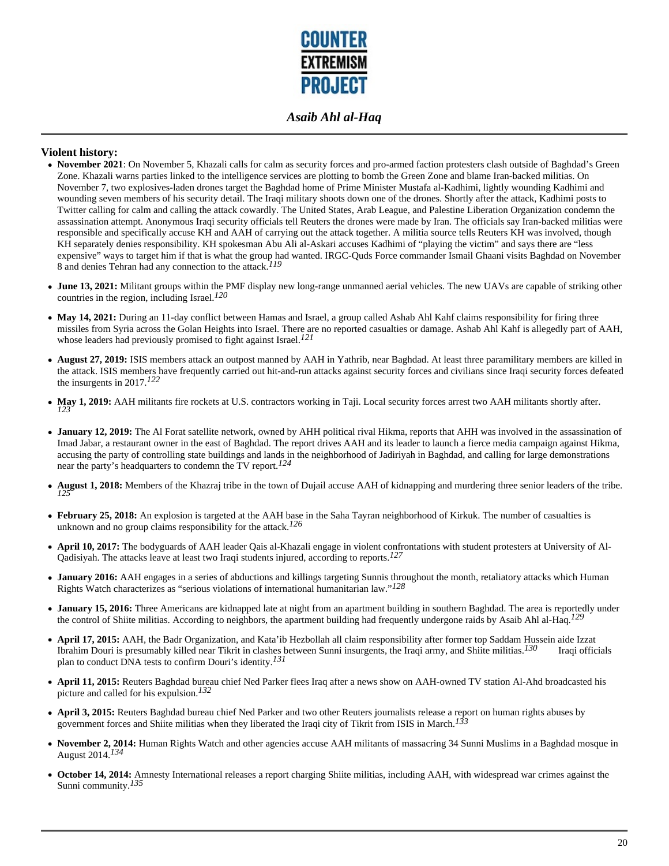

#### **Violent history:**

- November 2021: On November 5, Khazali calls for calm as security forces and pro-armed faction protesters clash outside of Baghdad's Green Zone. Khazali warns parties linked to the intelligence services are plotting to bomb the Green Zone and blame Iran-backed militias. On November 7, two explosives-laden drones target the Baghdad home of Prime Minister Mustafa al-Kadhimi, lightly wounding Kadhimi and wounding seven members of his security detail. The Iraqi military shoots down one of the drones. Shortly after the attack, Kadhimi posts to Twitter calling for calm and calling the attack cowardly. The United States, Arab League, and Palestine Liberation Organization condemn the assassination attempt. Anonymous Iraqi security officials tell Reuters the drones were made by Iran. The officials say Iran-backed militias were responsible and specifically accuse KH and AAH of carrying out the attack together. A militia source tells Reuters KH was involved, though KH separately denies responsibility. KH spokesman Abu Ali al-Askari accuses Kadhimi of "playing the victim" and says there are "less expensive" ways to target him if that is what the group had wanted. IRGC-Quds Force commander Ismail Ghaani visits Baghdad on November 8 and denies Tehran had any connection to the attack.*119*
- **June 13, 2021:** Militant groups within the PMF display new long-range unmanned aerial vehicles. The new UAVs are capable of striking other countries in the region, including Israel.*120*
- May 14, 2021: During an 11-day conflict between Hamas and Israel, a group called Ashab Ahl Kahf claims responsibility for firing three missiles from Syria across the Golan Heights into Israel. There are no reported casualties or damage. Ashab Ahl Kahf is allegedly part of AAH, whose leaders had previously promised to fight against Israel.*121*
- **August 27, 2019:** ISIS members attack an outpost manned by AAH in Yathrib, near Baghdad. At least three paramilitary members are killed in the attack. ISIS members have frequently carried out hit-and-run attacks against security forces and civilians since Iraqi security forces defeated the insurgents in 2017.*122*
- **May 1, 2019:** AAH militants fire rockets at U.S. contractors working in Taji. Local security forces arrest two AAH militants shortly after. *123*
- **January 12, 2019:** The Al Forat satellite network, owned by AHH political rival Hikma, reports that AHH was involved in the assassination of Imad Jabar, a restaurant owner in the east of Baghdad. The report drives AAH and its leader to launch a fierce media campaign against Hikma, accusing the party of controlling state buildings and lands in the neighborhood of Jadiriyah in Baghdad, and calling for large demonstrations near the party's headquarters to condemn the TV report.*124*
- **August 1, 2018:** Members of the Khazraj tribe in the town of Dujail accuse AAH of kidnapping and murdering three senior leaders of the tribe. *125*
- **February 25, 2018:** An explosion is targeted at the AAH base in the Saha Tayran neighborhood of Kirkuk. The number of casualties is  $\bullet$ unknown and no group claims responsibility for the attack.*126*
- **April 10, 2017:** The bodyguards of AAH leader Qais al-Khazali engage in violent confrontations with student protesters at University of Al-Qadisiyah. The attacks leave at least two Iraqi students injured, according to reports.*127*
- **January 2016:** AAH engages in a series of abductions and killings targeting Sunnis throughout the month, retaliatory attacks which Human Rights Watch characterizes as "serious violations of international humanitarian law."*128*
- **January 15, 2016:** Three Americans are kidnapped late at night from an apartment building in southern Baghdad. The area is reportedly under the control of Shiite militias. According to neighbors, the apartment building had frequently undergone raids by Asaib Ahl al-Haq.*129*
- **April 17, 2015:** AAH, the Badr Organization, and Kata'ib Hezbollah all claim responsibility after former top Saddam Hussein aide Izzat Ibrahim Douri is presumably killed near Tikrit in clashes between Sunni insurgents, the Iraqi army, and Shiite militias.*130* Iraqi officials plan to conduct DNA tests to confirm Douri's identity.*131*
- **April 11, 2015:** Reuters Baghdad bureau chief Ned Parker flees Iraq after a news show on AAH-owned TV station Al-Ahd broadcasted his picture and called for his expulsion.*132*
- **April 3, 2015:** Reuters Baghdad bureau chief Ned Parker and two other Reuters journalists release a report on human rights abuses by government forces and Shiite militias when they liberated the Iraqi city of Tikrit from ISIS in March.*133*
- **November 2, 2014:** Human Rights Watch and other agencies accuse AAH militants of massacring 34 Sunni Muslims in a Baghdad mosque in August 2014.*134*
- **October 14, 2014:** Amnesty International releases a report charging Shiite militias, including AAH, with widespread war crimes against the Sunni community.*135*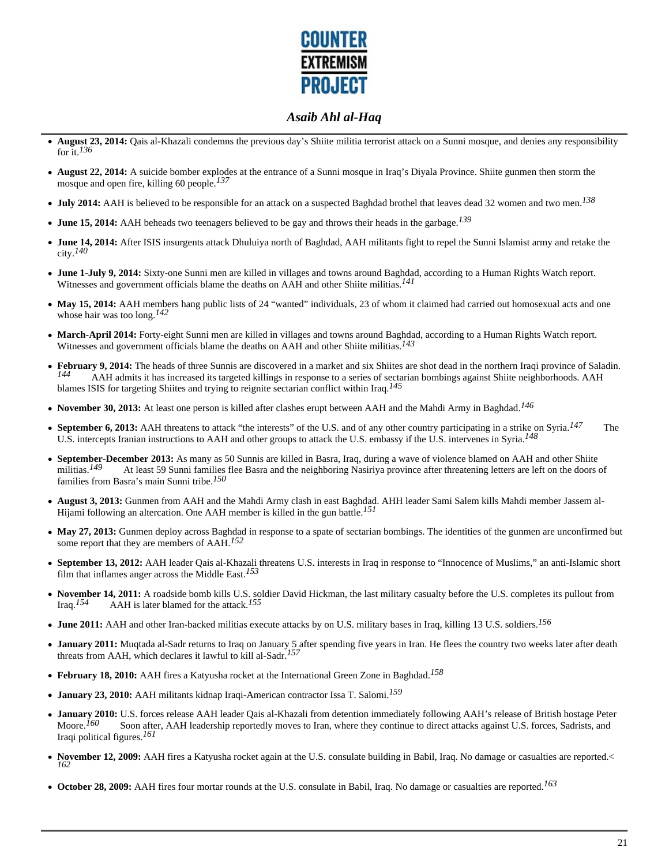

- **August 23, 2014:** Qais al-Khazali condemns the previous day's Shiite militia terrorist attack on a Sunni mosque, and denies any responsibility for it.*136*
- **August 22, 2014:** A suicide bomber explodes at the entrance of a Sunni mosque in Iraq's Diyala Province. Shiite gunmen then storm the mosque and open fire, killing 60 people.*137*
- **July 2014:** AAH is believed to be responsible for an attack on a suspected Baghdad brothel that leaves dead 32 women and two men.*138*
- **June 15, 2014:** AAH beheads two teenagers believed to be gay and throws their heads in the garbage.*139*
- **June 14, 2014:** After ISIS insurgents attack Dhuluiya north of Baghdad, AAH militants fight to repel the Sunni Islamist army and retake the city.*140*
- **June 1-July 9, 2014:** Sixty-one Sunni men are killed in villages and towns around Baghdad, according to a Human Rights Watch report. Witnesses and government officials blame the deaths on AAH and other Shiite militias.*141*
- May 15, 2014: AAH members hang public lists of 24 "wanted" individuals, 23 of whom it claimed had carried out homosexual acts and one whose hair was too long.*142*
- **March-April 2014:** Forty-eight Sunni men are killed in villages and towns around Baghdad, according to a Human Rights Watch report. Witnesses and government officials blame the deaths on AAH and other Shiite militias.*143*
- **February 9, 2014:** The heads of three Sunnis are discovered in a market and six Shiites are shot dead in the northern Iraqi province of Saladin.<br>A AH admits it has increased its targeted killings in response to a series o *144* AAH admits it has increased its targeted killings in response to a series of sectarian bombings against Shiite neighborhoods. AAH blames ISIS for targeting Shiites and trying to reignite sectarian conflict within Iraq.*145*
- **November 30, 2013:** At least one person is killed after clashes erupt between AAH and the Mahdi Army in Baghdad.*146*
- **September 6, 2013:** AAH threatens to attack "the interests" of the U.S. and of any other country participating in a strike on Syria.*147* The U.S. intercepts Iranian instructions to AAH and other groups to attack the U.S. embassy if the U.S. intervenes in Syria.*148*
- **September-December 2013:** As many as 50 Sunnis are killed in Basra, Iraq, during a wave of violence blamed on AAH and other Shiite militias.<sup>149</sup> At least 59 Sunni families flee Basra and the neighboring Nasiriya provin At least 59 Sunni families flee Basra and the neighboring Nasiriya province after threatening letters are left on the doors of families from Basra's main Sunni tribe.*150*
- **August 3, 2013:** Gunmen from AAH and the Mahdi Army clash in east Baghdad. AHH leader Sami Salem kills Mahdi member Jassem al-Hijami following an altercation. One AAH member is killed in the gun battle.*151*
- **May 27, 2013:** Gunmen deploy across Baghdad in response to a spate of sectarian bombings. The identities of the gunmen are unconfirmed but some report that they are members of AAH.*152*
- **September 13, 2012:** AAH leader Qais al-Khazali threatens U.S. interests in Iraq in response to "Innocence of Muslims," an anti-Islamic short film that inflames anger across the Middle East.*153*
- November 14, 2011: A roadside bomb kills U.S. soldier David Hickman, the last military casualty before the U.S. completes its pullout from Iraq.<sup>154</sup> AAH is later blamed for the attack.<sup>155</sup> AAH is later blamed for the attack.<sup>155</sup>
- **June 2011:** AAH and other Iran-backed militias execute attacks by on U.S. military bases in Iraq, killing 13 U.S. soldiers.*156*
- **January 2011:** Muqtada al-Sadr returns to Iraq on January 5 after spending five years in Iran. He flees the country two weeks later after death threats from AAH, which declares it lawful to kill al-Sadr.*157*
- **February 18, 2010:** AAH fires a Katyusha rocket at the International Green Zone in Baghdad.*158*
- **January 23, 2010:** AAH militants kidnap Iraqi-American contractor Issa T. Salomi.*159*
- January 2010: U.S. forces release AAH leader Qais al-Khazali from detention immediately following AAH's release of British hostage Peter Moore.<sup>160</sup> Soon after, AAH leadership reportedly moves to Iran, where they continu Soon after, AAH leadership reportedly moves to Iran, where they continue to direct attacks against U.S. forces, Sadrists, and Iraqi political figures.*161*
- **November 12, 2009:** AAH fires a Katyusha rocket again at the U.S. consulate building in Babil, Iraq. No damage or casualties are reported.< *162*
- **October 28, 2009:** AAH fires four mortar rounds at the U.S. consulate in Babil, Iraq. No damage or casualties are reported.*163*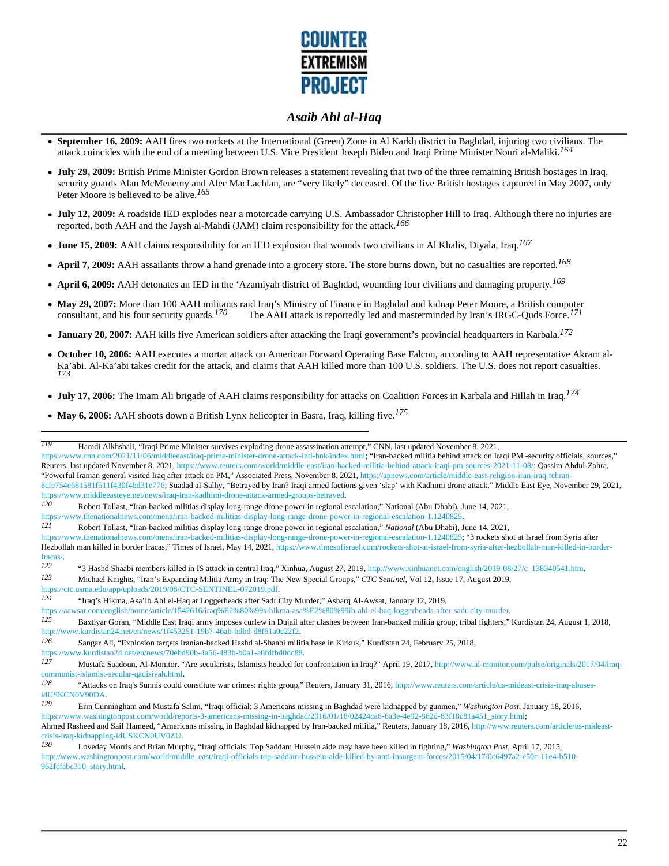

- **September 16, 2009:** AAH fires two rockets at the International (Green) Zone in Al Karkh district in Baghdad, injuring two civilians. The attack coincides with the end of a meeting between U.S. Vice President Joseph Biden and Iraqi Prime Minister Nouri al-Maliki.*164*
- **July 29, 2009:** British Prime Minister Gordon Brown releases a statement revealing that two of the three remaining British hostages in Iraq, security guards Alan McMenemy and Alec MacLachlan, are "very likely" deceased. Of the five British hostages captured in May 2007, only Peter Moore is believed to be alive.*165*
- **July 12, 2009:** A roadside IED explodes near a motorcade carrying U.S. Ambassador Christopher Hill to Iraq. Although there no injuries are reported, both AAH and the Jaysh al-Mahdi (JAM) claim responsibility for the attack.*166*
- **June 15, 2009:** AAH claims responsibility for an IED explosion that wounds two civilians in Al Khalis, Diyala, Iraq.*167*
- **April 7, 2009:** AAH assailants throw a hand grenade into a grocery store. The store burns down, but no casualties are reported.*168*
- **April 6, 2009:** AAH detonates an IED in the 'Azamiyah district of Baghdad, wounding four civilians and damaging property.*169*
- May 29, 2007: More than 100 AAH militants raid Iraq's Ministry of Finance in Baghdad and kidnap Peter Moore, a British computer consultant, and his four security guards.<sup>170</sup> The AAH attack is reportedly led and mastermi The AAH attack is reportedly led and masterminded by Iran's IRGC-Quds Force.<sup>171</sup>
- **January 20, 2007:** AAH kills five American soldiers after attacking the Iraqi government's provincial headquarters in Karbala.*172*
- **October 10, 2006:** AAH executes a mortar attack on American Forward Operating Base Falcon, according to AAH representative Akram al-Ka'abi. Al-Ka'abi takes credit for the attack, and claims that AAH killed more than 100 U.S. soldiers. The U.S. does not report casualties. *173*
- **July 17, 2006:** The Imam Ali brigade of AAH claims responsibility for attacks on Coalition Forces in Karbala and Hillah in Iraq.*174*
- **May 6, 2006:** AAH shoots down a British Lynx helicopter in Basra, Iraq, killing five.*175*

https://www.thenationalnews.com/mena/iran-backed-militias-display-long-range-drone-power-in-regional-escalation-1.1240825.<br>121 Debest Tellest "Iran-backed militias-display long-range-drone-power-in-regional-escalation-" Na

*123* Michael Knights, "Iran's Expanding Militia Army in Iraq: The New Special Groups," *CTC Sentinel*, Vol 12, Issue 17, August 2019,

https://ctc.usma.edu/app/uploads/2019/08/CTC-SENTINEL-072019.pdf.

*126* Sangar Ali, "Explosion targets Iranian-backed Hashd al-Shaabi militia base in Kirkuk," Kurdistan 24, February 25, 2018,

*<sup>119</sup>* Hamdi Alkhshali, "Iraqi Prime Minister survives exploding drone assassination attempt," CNN, last updated November 8, 2021,

https://www.cnn.com/2021/11/06/middleeast/iraq-prime-minister-drone-attack-intl-hnk/index.html; "Iran-backed militia behind attack on Iraqi PM -security officials, sources," Reuters, last updated November 8, 2021, https://www.reuters.com/world/middle-east/iran-backed-militia-behind-attack-iraqi-pm-sources-2021-11-08/; Qassim Abdul-Zahra, "Powerful Iranian general visited Iraq after attack on PM," Associated Press, November 8, 2021, https://apnews.com/article/middle-east-religion-iran-iraq-tehran-8cfe754e681581f511f430f4bd31e776; Suadad al-Salhy, "Betrayed by Iran? Iraqi armed factions given 'slap' with Kadhimi drone attack," Middle East Eye, November 29, 2021,

https://www.middleeasteye.net/news/iraq-iran-kadhimi-drone-attack-armed-groups-betrayed.<br>120 Dobort Tollest. "Iran beeked milities display long range drone power in regional a

*<sup>120</sup>* Robert Tollast, "Iran-backed militias display long-range drone power in regional escalation," National (Abu Dhabi), June 14, 2021,

*<sup>121</sup>* Robert Tollast, "Iran-backed militias display long-range drone power in regional escalation," *National* (Abu Dhabi), June 14, 2021,

https://www.thenationalnews.com/mena/iran-backed-militias-display-long-range-drone-power-in-regional-escalation-1.1240825; "3 rockets shot at Israel from Syria after Hezbollah man killed in border fracas," Times of Israel, May 14, 2021, https://www.timesofisrael.com/rockets-shot-at-israel-from-syria-after-hezbollah-man-killed-in-border-

fracas/.<br>122 <sup>122</sup> "3 Hashd Shaabi members killed in IS attack in central Iraq," Xinhua, August 27, 2019, http://www.xinhuanet.com/english/2019-08/27/c\_138340541.htm.<br><sup>123</sup> Michael Knights "Iran's Expanding Militia Army in Iraq: The Ne

*<sup>124</sup>* "Iraq's Hikma, Asa'ib Ahl el-Haq at Loggerheads after Sadr City Murder," Asharq Al-Awsat, January 12, 2019,

https://aawsat.com/english/home/article/1542616/iraq%E2%80%99s-hikma-asa%E2%80%99ib-ahl-el-haq-loggerheads-after-sadr-city-murder.

*<sup>125</sup>* Baxtiyar Goran, "Middle East Iraqi army imposes curfew in Dujail after clashes between Iran-backed militia group, tribal fighters," Kurdistan 24, August 1, 2018, http://www.kurdistan24.net/en/news/1f453251-19b7-46ab-bdbd-d8f61a0c22f2.

https://www.kurdistan24.net/en/news/70ebd90b-4a56-483b-b0a1-a6fdfbd0dc88.<br>127 Mustafe Seedown, Al Meniter "Are seculerists Jolemists beeded for

*<sup>127</sup>* Mustafa Saadoun, Al-Monitor, "Are secularists, Islamists headed for confrontation in Iraq?" April 19, 2017, http://www.al-monitor.com/pulse/originals/2017/04/iraqcommunist-islamist-secular-qadisiyah.html.

*<sup>128</sup>* "Attacks on Iraq's Sunnis could constitute war crimes: rights group," Reuters, January 31, 2016, http://www.reuters.com/article/us-mideast-crisis-iraq-abusesidUSKCN0V90DA.<br>129 Frin Cur

*<sup>129</sup>* Erin Cunningham and Mustafa Salim, "Iraqi official: 3 Americans missing in Baghdad were kidnapped by gunmen," *Washington Post*, January 18, 2016, https://www.washingtonpost.com/world/reports-3-americans-missing-in-baghdad/2016/01/18/02424ca6-6a3e-4e92-862d-83f18c81a451\_story.html; Ahmed Rasheed and Saif Hameed, "Americans missing in Baghdad kidnapped by Iran-backed militia," Reuters, January 18, 2016, http://www.reuters.com/article/us-mideast-

crisis-iraq-kidnapping-idUSKCN0UV0ZU.<br>130 Loughy: Morris and Prion Murr

*<sup>130</sup>* Loveday Morris and Brian Murphy, "Iraqi officials: Top Saddam Hussein aide may have been killed in fighting," *Washington Post*, April 17, 2015, http://www.washingtonpost.com/world/middle\_east/iraqi-officials-top-saddam-hussein-aide-killed-by-anti-insurgent-forces/2015/04/17/0c6497a2-e50c-11e4-b510-962fcfabc310\_story.html.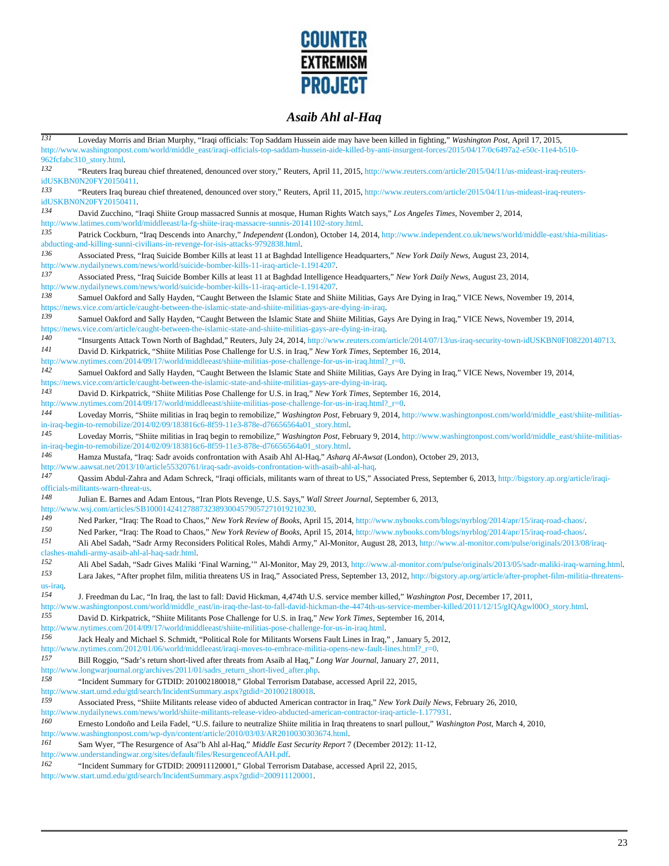

| $\overline{131}$ | Loveday Morris and Brian Murphy, "Iraqi officials: Top Saddam Hussein aide may have been killed in fighting," Washington Post, April 17, 2015,                                                                                                                |
|------------------|---------------------------------------------------------------------------------------------------------------------------------------------------------------------------------------------------------------------------------------------------------------|
|                  | http://www.washingtonpost.com/world/middle_east/iraqi-officials-top-saddam-hussein-aide-killed-by-anti-insurgent-forces/2015/04/17/0c6497a2-e50c-11e4-b510-<br>962fcfabc310_story.html.                                                                       |
| 132              | "Reuters Iraq bureau chief threatened, denounced over story," Reuters, April 11, 2015, http://www.reuters.com/article/2015/04/11/us-mideast-iraq-reuters-<br>idUSKBN0N20FY20150411.                                                                           |
| 133              | "Reuters Iraq bureau chief threatened, denounced over story," Reuters, April 11, 2015, http://www.reuters.com/article/2015/04/11/us-mideast-iraq-reuters-<br>idUSKBN0N20FY20150411.                                                                           |
| 134              | David Zucchino, "Iraqi Shiite Group massacred Sunnis at mosque, Human Rights Watch says," Los Angeles Times, November 2, 2014,                                                                                                                                |
| 135              | http://www.latimes.com/world/middleeast/la-fg-shiite-iraq-massacre-sunnis-20141102-story.html.<br>Patrick Cockburn, "Iraq Descends into Anarchy," Independent (London), October 14, 2014, http://www.independent.co.uk/news/world/middle-east/shia-militias-  |
|                  | abducting-and-killing-sunni-civilians-in-revenge-for-isis-attacks-9792838.html                                                                                                                                                                                |
| 136              | Associated Press, "Iraq Suicide Bomber Kills at least 11 at Baghdad Intelligence Headquarters," New York Daily News, August 23, 2014,<br>http://www.nydailynews.com/news/world/suicide-bomber-kills-11-iraq-article-1.1914207.                                |
| 137              | Associated Press, "Iraq Suicide Bomber Kills at least 11 at Baghdad Intelligence Headquarters," New York Daily News, August 23, 2014,<br>http://www.nydailynews.com/news/world/suicide-bomber-kills-11-iraq-article-1.1914207.                                |
| 138              | Samuel Oakford and Sally Hayden, "Caught Between the Islamic State and Shiite Militias, Gays Are Dying in Iraq," VICE News, November 19, 2014,<br>https://news.vice.com/article/caught-between-the-islamic-state-and-shiite-militias-gays-are-dying-in-iraq.  |
| 139              | Samuel Oakford and Sally Hayden, "Caught Between the Islamic State and Shiite Militias, Gays Are Dying in Iraq," VICE News, November 19, 2014,<br>https://news.vice.com/article/caught-between-the-islamic-state-and-shiite-militias-gays-are-dying-in-iraq   |
| 140              | "Insurgents Attack Town North of Baghdad," Reuters, July 24, 2014, http://www.reuters.com/article/2014/07/13/us-iraq-security-town-idUSKBN0FI08220140713.                                                                                                     |
| 141              | David D. Kirkpatrick, "Shiite Militias Pose Challenge for U.S. in Iraq," New York Times, September 16, 2014,<br>http://www.nytimes.com/2014/09/17/world/middleeast/shiite-militias-pose-challenge-for-us-in-iraq.html?_r=0.                                   |
| 142              | Samuel Oakford and Sally Hayden, "Caught Between the Islamic State and Shiite Militias, Gays Are Dying in Iraq," VICE News, November 19, 2014,                                                                                                                |
| 143              | https://news.vice.com/article/caught-between-the-islamic-state-and-shiite-militias-gays-are-dying-in-iraq.<br>David D. Kirkpatrick, "Shiite Militias Pose Challenge for U.S. in Iraq," New York Times, September 16, 2014,                                    |
|                  | http://www.nytimes.com/2014/09/17/world/middleeast/shiite-militias-pose-challenge-for-us-in-iraq.html?_r=0.                                                                                                                                                   |
| 144              | Loveday Morris, "Shiite militias in Iraq begin to remobilize," Washington Post, February 9, 2014, http://www.washingtonpost.com/world/middle east/shiite-militias-                                                                                            |
| 145              | in-iraq-begin-to-remobilize/2014/02/09/183816c6-8f59-11e3-878e-d76656564a01_story.html.<br>Loveday Morris, "Shiite militias in Iraq begin to remobilize," Washington Post, February 9, 2014, http://www.washingtonpost.com/world/middle_east/shiite-militias- |
|                  | in-iraq-begin-to-remobilize/2014/02/09/183816c6-8f59-11e3-878e-d76656564a01_story.html.                                                                                                                                                                       |
| 146              | Hamza Mustafa, "Iraq: Sadr avoids confrontation with Asaib Ahl Al-Haq," Asharg Al-Awsat (London), October 29, 2013,<br>http://www.aawsat.net/2013/10/article55320761/iraq-sadr-avoids-confrontation-with-asaib-ahl-al-haq.                                    |
| 147              | Qassim Abdul-Zahra and Adam Schreck, "Iraqi officials, militants warn of threat to US," Associated Press, September 6, 2013, http://bigstory.ap.org/article/iraqi-<br>officials-militants-warn-threat-us.                                                     |
| 148              | Julian E. Barnes and Adam Entous, "Iran Plots Revenge, U.S. Says," Wall Street Journal, September 6, 2013,<br>http://www.wsj.com/articles/SB10001424127887323893004579057271019210230.                                                                        |
| 149              | Ned Parker, "Iraq: The Road to Chaos," New York Review of Books, April 15, 2014, http://www.nybooks.com/blogs/nyrblog/2014/apr/15/iraq-road-chaos/.                                                                                                           |
| 150              | Ned Parker, "Iraq: The Road to Chaos," New York Review of Books, April 15, 2014, http://www.nybooks.com/blogs/nyrblog/2014/apr/15/iraq-road-chaos/.                                                                                                           |
| 151              | Ali Abel Sadah, "Sadr Army Reconsiders Political Roles, Mahdi Army," Al-Monitor, August 28, 2013, http://www.al-monitor.com/pulse/originals/2013/08/iraq-<br>clashes-mahdi-army-asaib-ahl-al-haq-sadr.html.                                                   |
| 152              | Ali Abel Sadah, "Sadr Gives Maliki 'Final Warning," Al-Monitor, May 29, 2013, http://www.al-monitor.com/pulse/originals/2013/05/sadr-maliki-iraq-warning.html.                                                                                                |
| 153              | Lara Jakes, "After prophet film, militia threatens US in Iraq," Associated Press, September 13, 2012, http://bigstory.ap.org/article/after-prophet-film-militia-threatens-                                                                                    |
| us-iraq.<br>154  | J. Freedman du Lac, "In Iraq, the last to fall: David Hickman, 4,474th U.S. service member killed," Washington Post, December 17, 2011,                                                                                                                       |
|                  | http://www.washingtonpost.com/world/middle_east/in-iraq-the-last-to-fall-david-hickman-the-4474th-us-service-member-killed/2011/12/15/gIQAgwl00O_story.html.                                                                                                  |
| 155              | David D. Kirkpatrick, "Shiite Militants Pose Challenge for U.S. in Iraq," New York Times, September 16, 2014,<br>http://www.nytimes.com/2014/09/17/world/middleeast/shiite-militias-pose-challenge-for-us-in-iraq.html                                        |
| 156              | Jack Healy and Michael S. Schmidt, "Political Role for Militants Worsens Fault Lines in Iraq,", January 5, 2012,                                                                                                                                              |
|                  | http://www.nytimes.com/2012/01/06/world/middleeast/iraqi-moves-to-embrace-militia-opens-new-fault-lines.html?_r=0.                                                                                                                                            |
| 157              | Bill Roggio, "Sadr's return short-lived after threats from Asaib al Haq," Long War Journal, January 27, 2011,<br>http://www.longwarjournal.org/archives/2011/01/sadrs_return_short-lived_after.php.                                                           |
| 158              | "Incident Summary for GTDID: 201002180018," Global Terrorism Database, accessed April 22, 2015,<br>http://www.start.umd.edu/gtd/search/IncidentSummary.aspx?gtdid=201002180018.                                                                               |
| 159              | Associated Press, "Shiite Militants release video of abducted American contractor in Iraq," New York Daily News, February 26, 2010,                                                                                                                           |
|                  | http://www.nydailynews.com/news/world/shiite-militants-release-video-abducted-american-contractor-iraq-article-1.177931.                                                                                                                                      |
| 160              | Ernesto Londoño and Leila Fadel, "U.S. failure to neutralize Shiite militia in Iraq threatens to snarl pullout," Washington Post, March 4, 2010,<br>http://www.washingtonpost.com/wp-dyn/content/article/2010/03/03/AR2010030303674.html.                     |
| 161              | Sam Wyer, "The Resurgence of Asa"b Ahl al-Haq," Middle East Security Report 7 (December 2012): 11-12,                                                                                                                                                         |
|                  | http://www.understandingwar.org/sites/default/files/ResurgenceofAAH.pdf.                                                                                                                                                                                      |
| 162              | "Incident Summary for GTDID: 200911120001," Global Terrorism Database, accessed April 22, 2015,                                                                                                                                                               |
|                  | http://www.start.umd.edu/gtd/search/IncidentSummary.aspx?gtdid=200911120001.                                                                                                                                                                                  |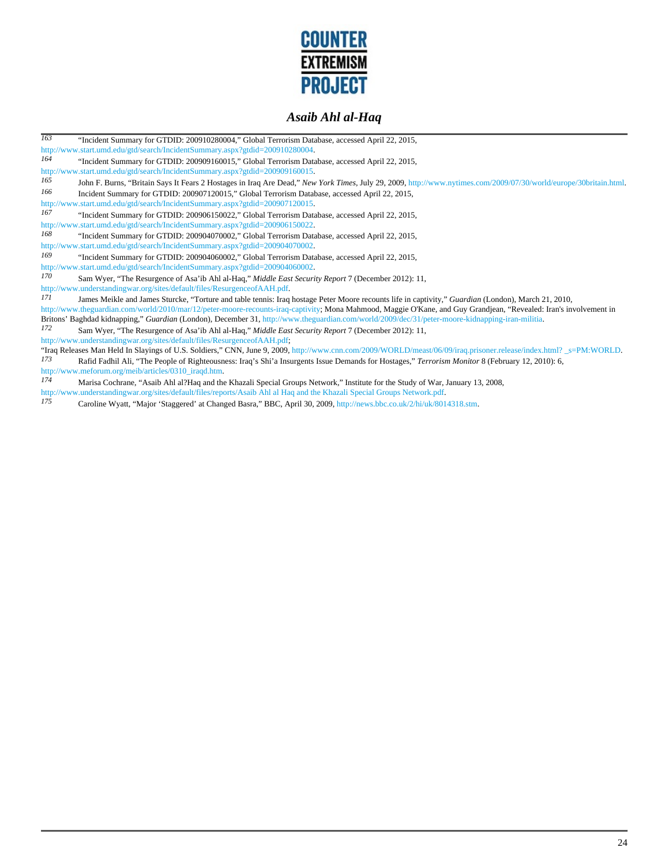

| $\overline{163}$ | "Incident Summary for GTDID: 200910280004," Global Terrorism Database, accessed April 22, 2015,                                                                    |
|------------------|--------------------------------------------------------------------------------------------------------------------------------------------------------------------|
|                  | http://www.start.umd.edu/gtd/search/IncidentSummary.aspx?gtdid=200910280004.                                                                                       |
| 164              | "Incident Summary for GTDID: 200909160015," Global Terrorism Database, accessed April 22, 2015,                                                                    |
|                  | http://www.start.umd.edu/gtd/search/IncidentSummary.aspx?gtdid=200909160015.                                                                                       |
| 165              | John F. Burns, "Britain Says It Fears 2 Hostages in Iraq Are Dead," New York Times, July 29, 2009, http://www.nytimes.com/2009/07/30/world/europe/30britain.html.  |
| 166              | Incident Summary for GTDID: 200907120015," Global Terrorism Database, accessed April 22, 2015,                                                                     |
|                  | http://www.start.umd.edu/gtd/search/IncidentSummary.aspx?gtdid=200907120015.                                                                                       |
| 167              | "Incident Summary for GTDID: 200906150022," Global Terrorism Database, accessed April 22, 2015,                                                                    |
|                  | http://www.start.umd.edu/gtd/search/IncidentSummary.aspx?gtdid=200906150022.                                                                                       |
| 168              | "Incident Summary for GTDID: 200904070002," Global Terrorism Database, accessed April 22, 2015,                                                                    |
|                  | http://www.start.umd.edu/gtd/search/IncidentSummary.aspx?gtdid=200904070002.                                                                                       |
| 169              | "Incident Summary for GTDID: 200904060002," Global Terrorism Database, accessed April 22, 2015,                                                                    |
|                  | http://www.start.umd.edu/gtd/search/IncidentSummary.aspx?gtdid=200904060002.                                                                                       |
| 170              | Sam Wyer, "The Resurgence of Asa'ib Ahl al-Haq," Middle East Security Report 7 (December 2012): 11,                                                                |
|                  | http://www.understandingwar.org/sites/default/files/ResurgenceofAAH.pdf.                                                                                           |
| 171              | James Meikle and James Sturcke, "Torture and table tennis: Iraq hostage Peter Moore recounts life in captivity," Guardian (London), March 21, 2010,                |
|                  | http://www.theguardian.com/world/2010/mar/12/peter-moore-recounts-iraq-captivity; Mona Mahmood, Maggie O'Kane, and Guy Grandjean, "Revealed: Iran's involvement in |
|                  | Britons' Baghdad kidnapping," Guardian (London), December 31, http://www.theguardian.com/world/2009/dec/31/peter-moore-kidnapping-iran-militia.                    |
| 172              | Sam Wyer, "The Resurgence of Asa'ib Ahl al-Haq," Middle East Security Report 7 (December 2012): 11,                                                                |
|                  | http://www.understandingwar.org/sites/default/files/ResurgenceofAAH.pdf,                                                                                           |
|                  | "Iraq Releases Man Held In Slayings of U.S. Soldiers," CNN, June 9, 2009, http://www.cnn.com/2009/WORLD/meast/06/09/iraq.prisoner.release/index.html? _s=PM:WORLD. |
| 173              | Rafid Fadhil Ali, "The People of Righteousness: Iraq's Shi'a Insurgents Issue Demands for Hostages," Terrorism Monitor 8 (February 12, 2010): 6,                   |
|                  | http://www.meforum.org/meib/articles/0310_iraqd.htm.                                                                                                               |
| 174              | Marisa Cochrane, "Asaib Ahl al?Haq and the Khazali Special Groups Network," Institute for the Study of War, January 13, 2008,                                      |

http://www.understandingwar.org/sites/default/files/reports/Asaib Ahl al Haq and the Khazali Special Groups Network.pdf. *175* Caroline Wyatt, "Major 'Staggered' at Changed Basra," BBC, April 30, 2009, http://news.bbc.co.uk/2/hi/uk/8014318.stm.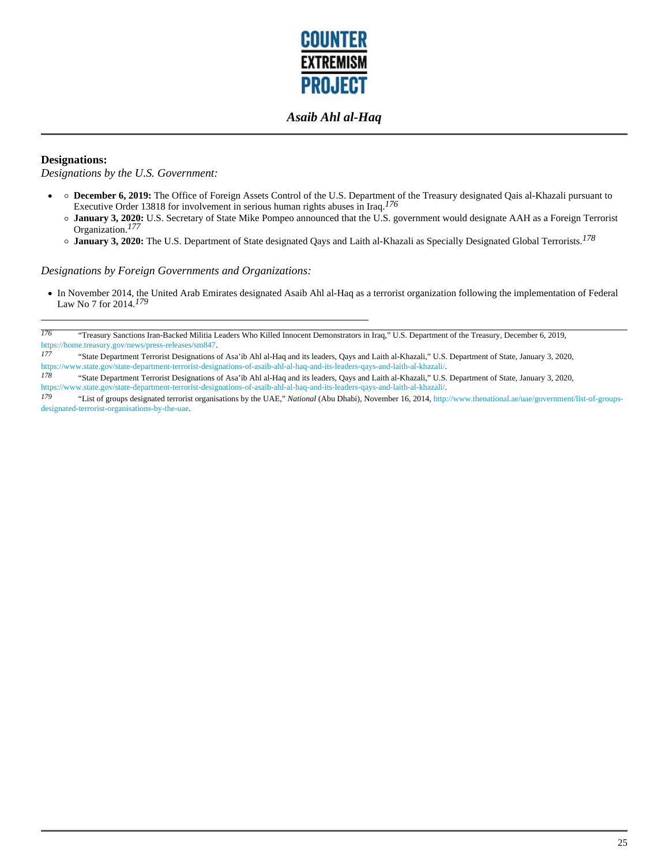

#### **Designations:**

*Designations by the U.S. Government:*

- **December 6, 2019:** The Office of Foreign Assets Control of the U.S. Department of the Treasury designated Qais al-Khazali pursuant to Executive Order 13818 for involvement in serious human rights abuses in Iraq.*176* 
	- **January 3, 2020:** U.S. Secretary of State Mike Pompeo announced that the U.S. government would designate AAH as a Foreign Terrorist Organization.*177*
	- **January 3, 2020:** The U.S. Department of State designated Qays and Laith al-Khazali as Specially Designated Global Terrorists.*178*

*Designations by Foreign Governments and Organizations:*

In November 2014, the United Arab Emirates designated Asaib Ahl al-Haq as a terrorist organization following the implementation of Federal Law No 7 for 2014.*179* 

*<sup>176</sup>* "Treasury Sanctions Iran-Backed Militia Leaders Who Killed Innocent Demonstrators in Iraq," U.S. Department of the Treasury, December 6, 2019, https://home.treasury.gov/news/press-releases/sm847.

*<sup>177</sup>* "State Department Terrorist Designations of Asa'ib Ahl al-Haq and its leaders, Qays and Laith al-Khazali," U.S. Department of State, January 3, 2020, https://www.state.gov/state-department-terrorist-designations-of-asaib-ahl-al-haq-and-its-leaders-qays-and-laith-al-khazali/.<br>178 "State Department Terrorist Designations of Asa'ib Abl al-Haq-and-its-leaders. Qays-and-Lait

*<sup>178</sup>* "State Department Terrorist Designations of Asa'ib Ahl al-Haq and its leaders, Qays and Laith al-Khazali," U.S. Department of State, January 3, 2020, https://www.state.gov/state-department-terrorist-designations-of-asaib-ahl-al-haq-and-its-leaders-qays-and-laith-al-khazali/.

*<sup>179</sup>* "List of groups designated terrorist organisations by the UAE," *National* (Abu Dhabi), November 16, 2014, http://www.thenational.ae/uae/government/list-of-groupsdesignated-terrorist-organisations-by-the-uae.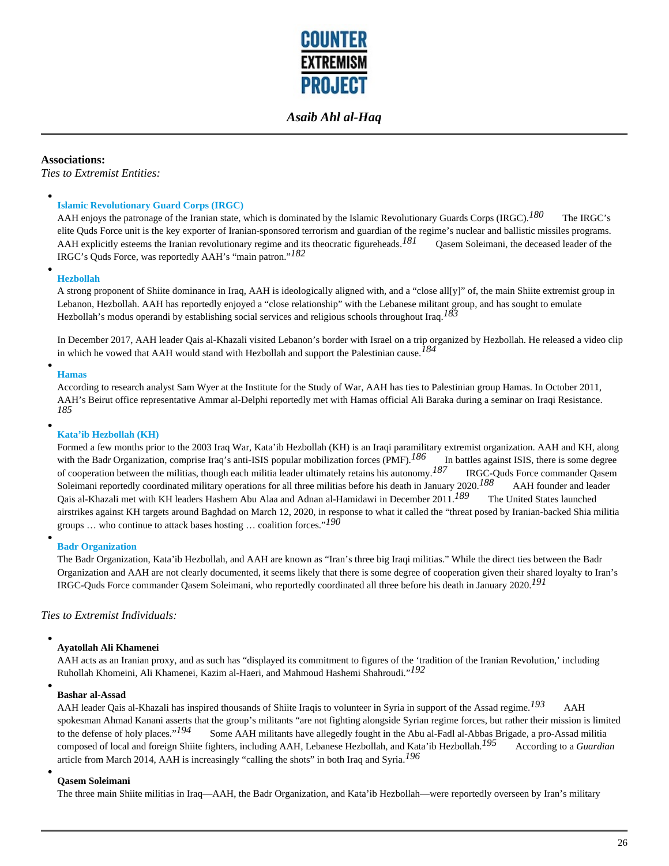

**Associations:**

*Ties to Extremist Entities:*

#### **Islamic Revolutionary Guard Corps (IRGC)**

AAH enjoys the patronage of the Iranian state, which is dominated by the Islamic Revolutionary Guards Corps (IRGC).<sup>180</sup> The IRGC's elite Quds Force unit is the key exporter of Iranian-sponsored terrorism and guardian of the regime's nuclear and ballistic missiles programs. AAH explicitly esteems the Iranian revolutionary regime and its theocratic figureheads.<sup>181</sup> Qasem Soleimani, the deceased leader of the IRGC's Quds Force, was reportedly AAH's "main patron."*182*

#### **Hezbollah**

A strong proponent of Shiite dominance in Iraq, AAH is ideologically aligned with, and a "close all[y]" of, the main Shiite extremist group in Lebanon, Hezbollah. AAH has reportedly enjoyed a "close relationship" with the Lebanese militant group, and has sought to emulate Hezbollah's modus operandi by establishing social services and religious schools throughout Iraq.*183*

In December 2017, AAH leader Qais al-Khazali visited Lebanon's border with Israel on a trip organized by Hezbollah. He released a video clip in which he vowed that AAH would stand with Hezbollah and support the Palestinian cause.*184*

#### **Hamas**

According to research analyst Sam Wyer at the Institute for the Study of War, AAH has ties to Palestinian group Hamas. In October 2011, AAH's Beirut office representative Ammar al-Delphi reportedly met with Hamas official Ali Baraka during a seminar on Iraqi Resistance. *185*

#### **Kata'ib Hezbollah (KH)**

Formed a few months prior to the 2003 Iraq War, Kata'ib Hezbollah (KH) is an Iraqi paramilitary extremist organization. AAH and KH, along with the Badr Organization, comprise Iraq's anti-ISIS popular mobilization forces (PMF).<sup>186</sup> In battles against ISIS, there is some degree of cooperation between the militias, though each militia leader ultimately retains his autonomy.*187* IRGC-Quds Force commander Qasem Soleimani reportedly coordinated military operations for all three militias before his death in January 2020.*188* AAH founder and leader Qais al-Khazali met with KH leaders Hashem Abu Alaa and Adnan al-Hamidawi in December 2011.*189* The United States launched airstrikes against KH targets around Baghdad on March 12, 2020, in response to what it called the "threat posed by Iranian-backed Shia militia groups … who continue to attack bases hosting … coalition forces."*190*

#### **Badr Organization**

The Badr Organization, Kata'ib Hezbollah, and AAH are known as "Iran's three big Iraqi militias." While the direct ties between the Badr Organization and AAH are not clearly documented, it seems likely that there is some degree of cooperation given their shared loyalty to Iran's IRGC-Quds Force commander Qasem Soleimani, who reportedly coordinated all three before his death in January 2020.*191*

#### *Ties to Extremist Individuals:*

#### **Ayatollah Ali Khamenei**

AAH acts as an Iranian proxy, and as such has "displayed its commitment to figures of the 'tradition of the Iranian Revolution,' including Ruhollah Khomeini, Ali Khamenei, Kazim al-Haeri, and Mahmoud Hashemi Shahroudi."*192*

#### **Bashar al-Assad**

AAH leader Qais al-Khazali has inspired thousands of Shiite Iraqis to volunteer in Syria in support of the Assad regime.*193* AAH spokesman Ahmad Kanani asserts that the group's militants "are not fighting alongside Syrian regime forces, but rather their mission is limited to the defense of holy places." $194$  Some AAH militants have allegedly fought Some AAH militants have allegedly fought in the Abu al-Fadl al-Abbas Brigade, a pro-Assad militia composed of local and foreign Shiite fighters, including AAH, Lebanese Hezbollah, and Kata'ib Hezbollah.<sup>195</sup> According to a *Guardian* article from March 2014, AAH is increasingly "calling the shots" in both Iraq and Syria.*196*

#### **Qasem Soleimani**

The three main Shiite militias in Iraq—AAH, the Badr Organization, and Kata'ib Hezbollah—were reportedly overseen by Iran's military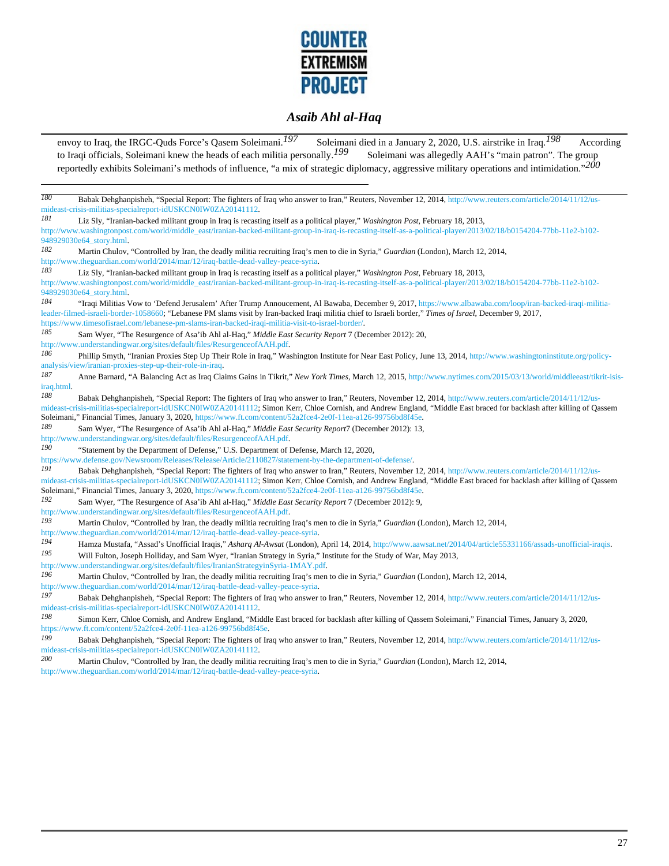

envoy to Iraq, the IRGC-Quds Force's Qasem Soleimani.<sup>197</sup> Soleimani died in a January 2, 2020, U.S. airstrike in Iraq.<sup>198</sup> According to Iraqi officials, Soleimani knew the heads of each militia personally.<sup>199</sup> Soleimani was allegedly AAH's "main patron". The group reportedly exhibits Soleimani's methods of influence, "a mix of strategic diplomacy, aggressive military operations and intimidation."*200 180* Babak Dehghanpisheh, "Special Report: The fighters of Iraq who answer to Iran," Reuters, November 12, 2014, http://www.reuters.com/article/2014/11/12/usmideast-crisis-militias-specialreport-idUSKCN0IW0ZA20141112. *181* Liz Sly, "Iranian-backed militant group in Iraq is recasting itself as a political player," *Washington Post*, February 18, 2013, http://www.washingtonpost.com/world/middle\_east/iranian-backed-militant-group-in-iraq-is-recasting-itself-as-a-political-player/2013/02/18/b0154204-77bb-11e2-b102- 948929030e64\_story.html. *182* Martin Chulov, "Controlled by Iran, the deadly militia recruiting Iraq's men to die in Syria," *Guardian* (London), March 12, 2014, http://www.theguardian.com/world/2014/mar/12/iraq-battle-dead-valley-peace-syria. *183* Liz Sly, "Iranian-backed militant group in Iraq is recasting itself as a political player," *Washington Post*, February 18, 2013, http://www.washingtonpost.com/world/middle\_east/iranian-backed-militant-group-in-iraq-is-recasting-itself-as-a-political-player/2013/02/18/b0154204-77bb-11e2-b102- 948929030e64\_story.html. *184* "Iraqi Militias Vow to 'Defend Jerusalem' After Trump Annoucement, Al Bawaba, December 9, 2017, https://www.albawaba.com/loop/iran-backed-iraqi-militialeader-filmed-israeli-border-1058660; "Lebanese PM slams visit by Iran-backed Iraqi militia chief to Israeli border," *Times of Israel*, December 9, 2017, https://www.timesofisrael.com/lebanese-pm-slams-iran-backed-iraqi-militia-visit-to-israel-border/.<br>185 Sam Wuas "The Besurence of Ass'ih Abl al Hes." Middle East Sesurity Beneut 7 (Da *185* Sam Wyer, "The Resurgence of Asa'ib Ahl al-Haq," *Middle East Security Report* 7 (December 2012): 20, http://www.understandingwar.org/sites/default/files/ResurgenceofAAH.pdf. *186* Phillip Smyth, "Iranian Proxies Step Up Their Role in Iraq," Washington Institute for Near East Policy, June 13, 2014, http://www.washingtoninstitute.org/policyanalysis/view/iranian-proxies-step-up-their-role-in-iraq. *187* Anne Barnard, "A Balancing Act as Iraq Claims Gains in Tikrit," *New York Times*, March 12, 2015, http://www.nytimes.com/2015/03/13/world/middleeast/tikrit-isisiraq.html. *188* Babak Dehghanpisheh, "Special Report: The fighters of Iraq who answer to Iran," Reuters, November 12, 2014, http://www.reuters.com/article/2014/11/12/usmideast-crisis-militias-specialreport-idUSKCN0IW0ZA20141112; Simon Kerr, Chloe Cornish, and Andrew England, "Middle East braced for backlash after killing of Qassem Soleimani," Financial Times, January 3, 2020, https://www.ft.com/content/52a2fce4-2e0f-11ea-a126-99756bd8f45e. *189* Sam Wyer, "The Resurgence of Asa'ib Ahl al-Haq," *Middle East Security Report*7 (December 2012): 13, http://www.understandingwar.org/sites/default/files/ResurgenceofAAH.pdf. *190* "Statement by the Department of Defense," U.S. Department of Defense, March 12, 2020, https://www.defense.gov/Newsroom/Releases/Release/Article/2110827/statement-by-the-department-of-defense/. *191* **Babak Dehghanpisheh, "Special Report: The fighters of Iraq who answer to Iran," Reuters, November 12, 2014, http://www.reuters.com/article/2014/11/12/us**mideast-crisis-militias-specialreport-idUSKCN0IW0ZA20141112; Simon Kerr, Chloe Cornish, and Andrew England, "Middle East braced for backlash after killing of Qassem Soleimani," Financial Times, January 3, 2020, https://www.ft.com/content/52a2fce4-2e0f-11ea-a126-99756bd8f45e. *192* Sam Wyer, "The Resurgence of Asa'ib Ahl al-Haq," *Middle East Security Report* 7 (December 2012): 9, http://www.understandingwar.org/sites/default/files/ResurgenceofAAH.pdf. *193* Martin Chulov, "Controlled by Iran, the deadly militia recruiting Iraq's men to die in Syria," *Guardian* (London), March 12, 2014, http://www.theguardian.com/world/2014/mar/12/iraq-battle-dead-valley-peace-syria. *194* Hamza Mustafa, "Assad's Unofficial Iraqis," *Asharq Al-Awsat* (London), April 14, 2014, http://www.aawsat.net/2014/04/article55331166/assads-unofficial-iraqis. *195* Will Fulton, Joseph Holliday, and Sam Wyer, "Iranian Strategy in Syria," Institute for the Study of War, May 2013, http://www.understandingwar.org/sites/default/files/IranianStrategyinSyria-1MAY.pdf. *196* Martin Chulov, "Controlled by Iran, the deadly militia recruiting Iraq's men to die in Syria," *Guardian* (London), March 12, 2014, http://www.theguardian.com/world/2014/mar/12/iraq-battle-dead-valley-peace-syria. *197* Babak Dehghanpisheh, "Special Report: The fighters of Iraq who answer to Iran," Reuters, November 12, 2014, http://www.reuters.com/article/2014/11/12/usmideast-crisis-militias-specialreport-idUSKCN0IW0ZA20141112. *198* Simon Kerr, Chloe Cornish, and Andrew England, "Middle East braced for backlash after killing of Qassem Soleimani," Financial Times, January 3, 2020, https://www.ft.com/content/52a2fce4-2e0f-11ea-a126-99756bd8f45e.<br>199 Behek Dehshappisheb. "Special Benert: The fighters of Ir *199* Babak Dehghanpisheh, "Special Report: The fighters of Iraq who answer to Iran," Reuters, November 12, 2014, http://www.reuters.com/article/2014/11/12/usmideast-crisis-militias-specialreport-idUSKCN0IW0ZA20141112. *200* Martin Chulov, "Controlled by Iran, the deadly militia recruiting Iraq's men to die in Syria," *Guardian* (London), March 12, 2014, http://www.theguardian.com/world/2014/mar/12/iraq-battle-dead-valley-peace-syria.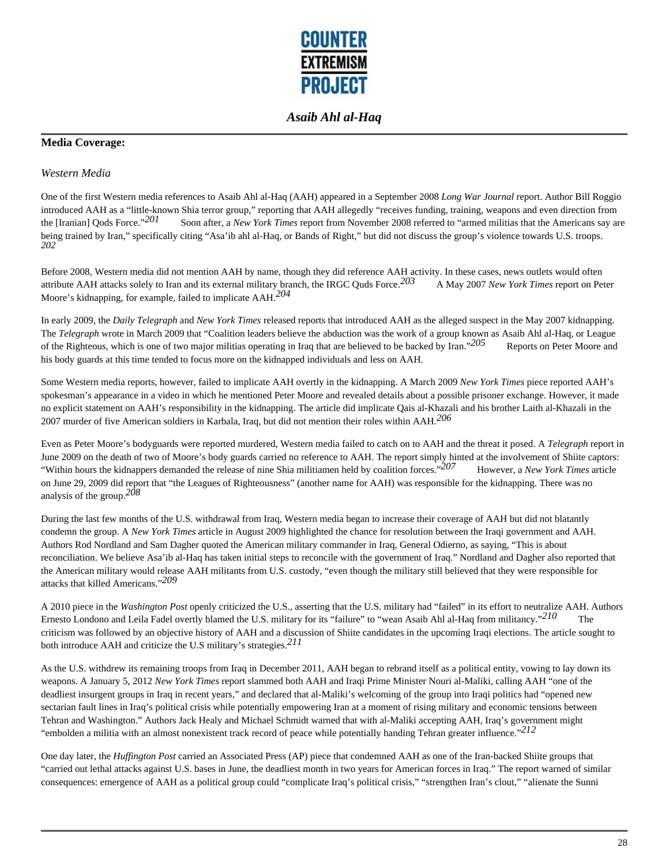

### **Media Coverage:**

#### *Western Media*

One of the first Western media references to Asaib Ahl al-Haq (AAH) appeared in a September 2008 *Long War Journal* report. Author Bill Roggio introduced AAH as a "little-known Shia terror group," reporting that AAH allegedly "receives funding, training, weapons and even direction from<br>the [Iranian] Qods Force."<sup>201</sup> Soon after, a New York Times report from Novem Soon after, a *New York Times* report from November 2008 referred to "armed militias that the Americans say are being trained by Iran," specifically citing "Asa'ib ahl al-Haq, or Bands of Right," but did not discuss the group's violence towards U.S. troops. *202* 

Before 2008, Western media did not mention AAH by name, though they did reference AAH activity. In these cases, news outlets would often attribute AAH attacks solely to Iran and its external military branch, the IRGC Quds Force.*203* A May 2007 *New York Times* report on Peter Moore's kidnapping, for example, failed to implicate AAH.*204* 

In early 2009, the *Daily Telegraph* and *New York Times* released reports that introduced AAH as the alleged suspect in the May 2007 kidnapping. The *Telegraph* wrote in March 2009 that "Coalition leaders believe the abduction was the work of a group known as Asaib Ahl al-Haq, or League of the Righteous, which is one of two major militias operating in Iraq that are believed to be backed by Iran."*205* Reports on Peter Moore and his body guards at this time tended to focus more on the kidnapped individuals and less on AAH.

Some Western media reports, however, failed to implicate AAH overtly in the kidnapping. A March 2009 *New York Times* piece reported AAH's spokesman's appearance in a video in which he mentioned Peter Moore and revealed details about a possible prisoner exchange. However, it made no explicit statement on AAH's responsibility in the kidnapping. The article did implicate Qais al-Khazali and his brother Laith al-Khazali in the 2007 murder of five American soldiers in Karbala, Iraq, but did not mention their roles within AAH.*206* 

Even as Peter Moore's bodyguards were reported murdered, Western media failed to catch on to AAH and the threat it posed. A *Telegraph* report in June 2009 on the death of two of Moore's body guards carried no reference to AAH. The report simply hinted at the involvement of Shiite captors: "Within hours the kidnappers demanded the release of nine Shia militiamen held by coalition forces."*207* However, a *New York Times* article on June 29, 2009 did report that "the Leagues of Righteousness" (another name for AAH) was responsible for the kidnapping. There was no analysis of the group.*208* 

During the last few months of the U.S. withdrawal from Iraq, Western media began to increase their coverage of AAH but did not blatantly condemn the group. A *New York Times* article in August 2009 highlighted the chance for resolution between the Iraqi government and AAH. Authors Rod Nordland and Sam Dagher quoted the American military commander in Iraq, General Odierno, as saying, "This is about reconciliation. We believe Asa'ib al-Haq has taken initial steps to reconcile with the government of Iraq." Nordland and Dagher also reported that the American military would release AAH militants from U.S. custody, "even though the military still believed that they were responsible for attacks that killed Americans."*209* 

A 2010 piece in the *Washington Post* openly criticized the U.S., asserting that the U.S. military had "failed" in its effort to neutralize AAH. Authors Ernesto Londono and Leila Fadel overtly blamed the U.S. military for its "failure" to "wean Asaib Ahl al-Haq from militancy."<sup>210</sup> The criticism was followed by an objective history of AAH and a discussion of Shiite candidates in the upcoming Iraqi elections. The article sought to both introduce AAH and criticize the U.S military's strategies.*211* 

As the U.S. withdrew its remaining troops from Iraq in December 2011, AAH began to rebrand itself as a political entity, vowing to lay down its weapons. A January 5, 2012 *New York Times* report slammed both AAH and Iraqi Prime Minister Nouri al-Maliki, calling AAH "one of the deadliest insurgent groups in Iraq in recent years," and declared that al-Maliki's welcoming of the group into Iraqi politics had "opened new sectarian fault lines in Iraq's political crisis while potentially empowering Iran at a moment of rising military and economic tensions between Tehran and Washington." Authors Jack Healy and Michael Schmidt warned that with al-Maliki accepting AAH, Iraq's government might "embolden a militia with an almost nonexistent track record of peace while potentially handing Tehran greater influence."*212* 

One day later, the *Huffington Post* carried an Associated Press (AP) piece that condemned AAH as one of the Iran-backed Shiite groups that "carried out lethal attacks against U.S. bases in June, the deadliest month in two years for American forces in Iraq." The report warned of similar consequences: emergence of AAH as a political group could "complicate Iraq's political crisis," "strengthen Iran's clout," "alienate the Sunni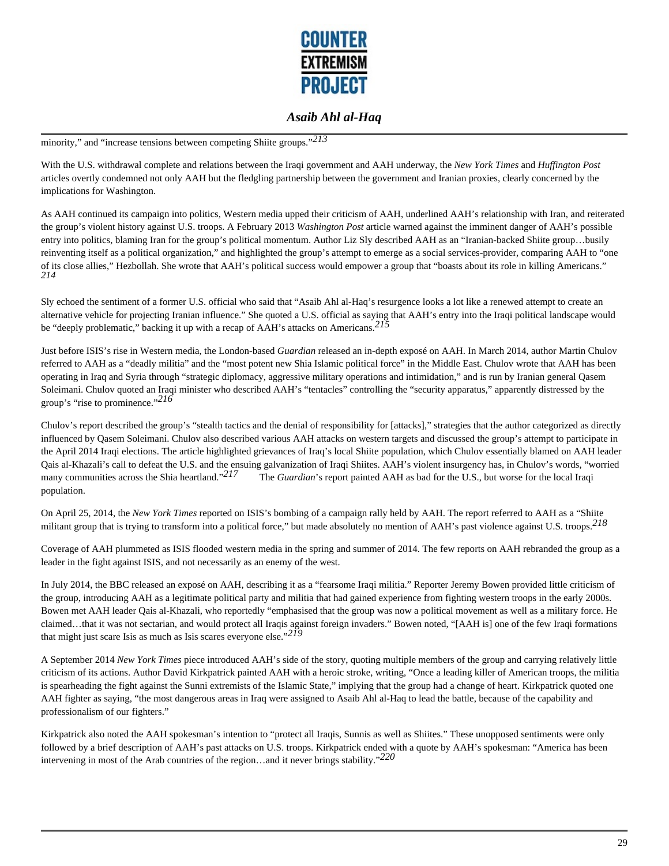

minority," and "increase tensions between competing Shiite groups."*213* 

With the U.S. withdrawal complete and relations between the Iraqi government and AAH underway, the *New York Times* and *Huffington Post* articles overtly condemned not only AAH but the fledgling partnership between the government and Iranian proxies, clearly concerned by the implications for Washington.

As AAH continued its campaign into politics, Western media upped their criticism of AAH, underlined AAH's relationship with Iran, and reiterated the group's violent history against U.S. troops. A February 2013 *Washington Post* article warned against the imminent danger of AAH's possible entry into politics, blaming Iran for the group's political momentum. Author Liz Sly described AAH as an "Iranian-backed Shiite group…busily reinventing itself as a political organization," and highlighted the group's attempt to emerge as a social services-provider, comparing AAH to "one of its close allies," Hezbollah. She wrote that AAH's political success would empower a group that "boasts about its role in killing Americans." *214* 

Sly echoed the sentiment of a former U.S. official who said that "Asaib Ahl al-Haq's resurgence looks a lot like a renewed attempt to create an alternative vehicle for projecting Iranian influence." She quoted a U.S. official as saying that AAH's entry into the Iraqi political landscape would be "deeply problematic," backing it up with a recap of AAH's attacks on Americans.*215* 

Just before ISIS's rise in Western media, the London-based *Guardian* released an in-depth exposé on AAH. In March 2014, author Martin Chulov referred to AAH as a "deadly militia" and the "most potent new Shia Islamic political force" in the Middle East. Chulov wrote that AAH has been operating in Iraq and Syria through "strategic diplomacy, aggressive military operations and intimidation," and is run by Iranian general Qasem Soleimani. Chulov quoted an Iraqi minister who described AAH's "tentacles" controlling the "security apparatus," apparently distressed by the group's "rise to prominence."*216* 

Chulov's report described the group's "stealth tactics and the denial of responsibility for [attacks]," strategies that the author categorized as directly influenced by Qasem Soleimani. Chulov also described various AAH attacks on western targets and discussed the group's attempt to participate in the April 2014 Iraqi elections. The article highlighted grievances of Iraq's local Shiite population, which Chulov essentially blamed on AAH leader Qais al-Khazali's call to defeat the U.S. and the ensuing galvanization of Iraqi Shiites. AAH's violent insurgency has, in Chulov's words, "worried many communities across the Shia heartland."<sup>217</sup> The *Guardian*'s report painted AAH as bad for the U.S., but worse for the local Iraqi population.

On April 25, 2014, the *New York Times* reported on ISIS's bombing of a campaign rally held by AAH. The report referred to AAH as a "Shiite militant group that is trying to transform into a political force," but made absolutely no mention of AAH's past violence against U.S. troops.*218* 

Coverage of AAH plummeted as ISIS flooded western media in the spring and summer of 2014. The few reports on AAH rebranded the group as a leader in the fight against ISIS, and not necessarily as an enemy of the west.

In July 2014, the BBC released an exposé on AAH, describing it as a "fearsome Iraqi militia." Reporter Jeremy Bowen provided little criticism of the group, introducing AAH as a legitimate political party and militia that had gained experience from fighting western troops in the early 2000s. Bowen met AAH leader Qais al-Khazali, who reportedly "emphasised that the group was now a political movement as well as a military force. He claimed…that it was not sectarian, and would protect all Iraqis against foreign invaders." Bowen noted, "[AAH is] one of the few Iraqi formations that might just scare Isis as much as Isis scares everyone else."*219* 

A September 2014 *New York Times* piece introduced AAH's side of the story, quoting multiple members of the group and carrying relatively little criticism of its actions. Author David Kirkpatrick painted AAH with a heroic stroke, writing, "Once a leading killer of American troops, the militia is spearheading the fight against the Sunni extremists of the Islamic State," implying that the group had a change of heart. Kirkpatrick quoted one AAH fighter as saying, "the most dangerous areas in Iraq were assigned to Asaib Ahl al-Haq to lead the battle, because of the capability and professionalism of our fighters."

Kirkpatrick also noted the AAH spokesman's intention to "protect all Iraqis, Sunnis as well as Shiites." These unopposed sentiments were only followed by a brief description of AAH's past attacks on U.S. troops. Kirkpatrick ended with a quote by AAH's spokesman: "America has been intervening in most of the Arab countries of the region…and it never brings stability."*220*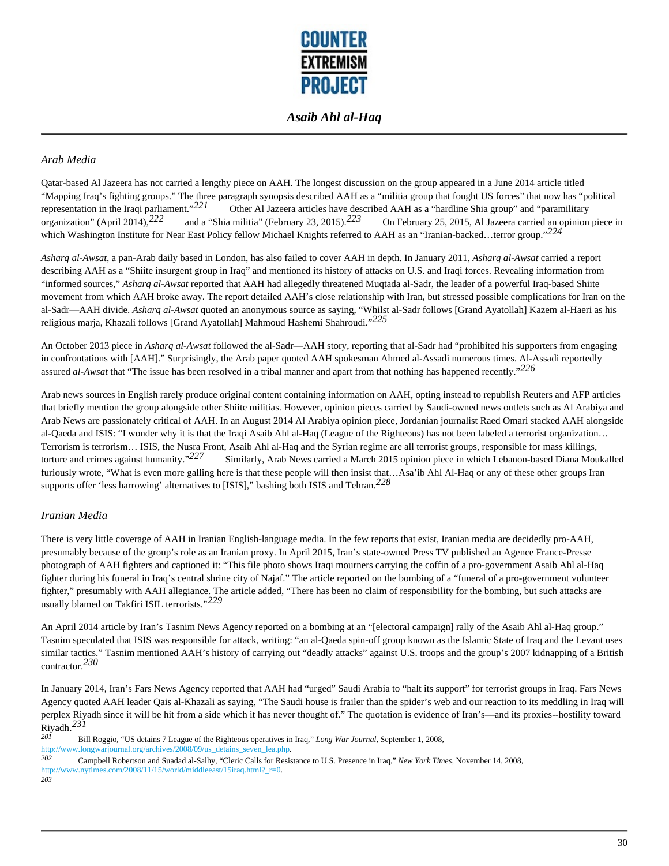

### *Arab Media*

Qatar-based Al Jazeera has not carried a lengthy piece on AAH. The longest discussion on the group appeared in a June 2014 article titled "Mapping Iraq's fighting groups." The three paragraph synopsis described AAH as a "militia group that fought US forces" that now has "political representation in the Iraqi parliament."<sup>221</sup> Other Al Jazeera articles have described AAH as a "hardline Shia group" and "paramilitary organization" (April 2014),<sup>222</sup> and a "Shia militia" (February 23, 2015).<sup>223</sup> On Fe organization" (April 2014),<sup>222</sup> and a "Shia militia" (February 23, 2015).<sup>223</sup> On February 25, 2015, Al Jazeera carried an opinion piece in which Washington Institute for Near East Policy fellow Michael Knights referred to AAH as an "Iranian-backed…terror group."*224* 

*Asharq al-Awsat*, a pan-Arab daily based in London, has also failed to cover AAH in depth. In January 2011, *Asharq al-Awsat* carried a report describing AAH as a "Shiite insurgent group in Iraq" and mentioned its history of attacks on U.S. and Iraqi forces. Revealing information from "informed sources," *Asharq al-Awsat* reported that AAH had allegedly threatened Muqtada al-Sadr, the leader of a powerful Iraq-based Shiite movement from which AAH broke away. The report detailed AAH's close relationship with Iran, but stressed possible complications for Iran on the al-Sadr—AAH divide. *Asharq al-Awsat* quoted an anonymous source as saying, "Whilst al-Sadr follows [Grand Ayatollah] Kazem al-Haeri as his religious marja, Khazali follows [Grand Ayatollah] Mahmoud Hashemi Shahroudi."*225* 

An October 2013 piece in *Asharq al-Awsat* followed the al-Sadr—AAH story, reporting that al-Sadr had "prohibited his supporters from engaging in confrontations with [AAH]." Surprisingly, the Arab paper quoted AAH spokesman Ahmed al-Assadi numerous times. Al-Assadi reportedly assured *al-Awsat* that "The issue has been resolved in a tribal manner and apart from that nothing has happened recently."*226* 

Arab news sources in English rarely produce original content containing information on AAH, opting instead to republish Reuters and AFP articles that briefly mention the group alongside other Shiite militias. However, opinion pieces carried by Saudi-owned news outlets such as Al Arabiya and Arab News are passionately critical of AAH. In an August 2014 Al Arabiya opinion piece, Jordanian journalist Raed Omari stacked AAH alongside al-Qaeda and ISIS: "I wonder why it is that the Iraqi Asaib Ahl al-Haq (League of the Righteous) has not been labeled a terrorist organization… Terrorism is terrorism… ISIS, the Nusra Front, Asaib Ahl al-Haq and the Syrian regime are all terrorist groups, responsible for mass killings, torture and crimes against humanity."*227* Similarly, Arab News carried a March 2015 opinion piece in which Lebanon-based Diana Moukalled furiously wrote, "What is even more galling here is that these people will then insist that...Asa'ib Ahl Al-Haq or any of these other groups Iran supports offer 'less harrowing' alternatives to [ISIS]," bashing both ISIS and Tehran.*228* 

#### *Iranian Media*

There is very little coverage of AAH in Iranian English-language media. In the few reports that exist, Iranian media are decidedly pro-AAH, presumably because of the group's role as an Iranian proxy. In April 2015, Iran's state-owned Press TV published an Agence France-Presse photograph of AAH fighters and captioned it: "This file photo shows Iraqi mourners carrying the coffin of a pro-government Asaib Ahl al-Haq fighter during his funeral in Iraq's central shrine city of Najaf." The article reported on the bombing of a "funeral of a pro-government volunteer fighter," presumably with AAH allegiance. The article added, "There has been no claim of responsibility for the bombing, but such attacks are usually blamed on Takfiri ISIL terrorists."*229* 

An April 2014 article by Iran's Tasnim News Agency reported on a bombing at an "[electoral campaign] rally of the Asaib Ahl al-Haq group." Tasnim speculated that ISIS was responsible for attack, writing: "an al-Qaeda spin-off group known as the Islamic State of Iraq and the Levant uses similar tactics." Tasnim mentioned AAH's history of carrying out "deadly attacks" against U.S. troops and the group's 2007 kidnapping of a British contractor.*230* 

In January 2014, Iran's Fars News Agency reported that AAH had "urged" Saudi Arabia to "halt its support" for terrorist groups in Iraq. Fars News Agency quoted AAH leader Qais al-Khazali as saying, "The Saudi house is frailer than the spider's web and our reaction to its meddling in Iraq will perplex Riyadh since it will be hit from a side which it has never thought of." The quotation is evidence of Iran's—and its proxies--hostility toward  $\frac{\text{Riyadh.}}{201}$ 

- *201* Bill Roggio, "US detains 7 League of the Righteous operatives in Iraq," *Long War Journal*, September 1, 2008, http://www.longwarjournal.org/archives/2008/09/us\_detains\_seven\_lea.php.
- *202* Campbell Robertson and Suadad al-Salhy, "Cleric Calls for Resistance to U.S. Presence in Iraq," *New York Times*, November 14, 2008, http://www.nytimes.com/2008/11/15/world/middleeast/15iraq.html?\_r=0.

*203*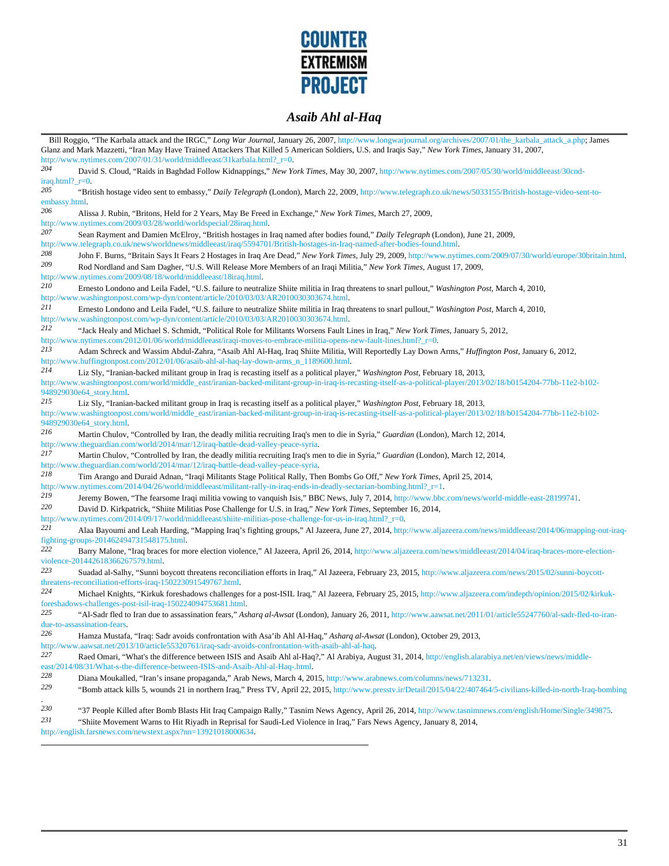

|                            | Bill Roggio, "The Karbala attack and the IRGC," Long War Journal, January 26, 2007, http://www.longwarjournal.org/archives/2007/01/the_karbala_attack_a.php; James<br>Glanz and Mark Mazzetti, "Iran May Have Trained Attackers That Killed 5 American Soldiers, U.S. and Iraqis Say," New York Times, January 31, 2007,<br>http://www.nytimes.com/2007/01/31/world/middleeast/31karbala.html?_r=0. |
|----------------------------|-----------------------------------------------------------------------------------------------------------------------------------------------------------------------------------------------------------------------------------------------------------------------------------------------------------------------------------------------------------------------------------------------------|
| 204                        | David S. Cloud, "Raids in Baghdad Follow Kidnappings," New York Times, May 30, 2007, http://www.nytimes.com/2007/05/30/world/middleeast/30cnd-                                                                                                                                                                                                                                                      |
| $iraq.html?$ $r=0.$<br>205 | "British hostage video sent to embassy," Daily Telegraph (London), March 22, 2009, http://www.telegraph.co.uk/news/5033155/British-hostage-video-sent-to-                                                                                                                                                                                                                                           |
| embassy.html.              |                                                                                                                                                                                                                                                                                                                                                                                                     |
| 206                        | Alissa J. Rubin, "Britons, Held for 2 Years, May Be Freed in Exchange," New York Times, March 27, 2009,<br>http://www.nytimes.com/2009/03/28/world/worldspecial/28iraq.html.                                                                                                                                                                                                                        |
| 207                        | Sean Rayment and Damien McElroy, "British hostages in Iraq named after bodies found," Daily Telegraph (London), June 21, 2009,<br>http://www.telegraph.co.uk/news/worldnews/middleeast/iraq/5594701/British-hostages-in-Iraq-named-after-bodies-found.html.                                                                                                                                         |
| 208                        | John F. Burns, "Britain Says It Fears 2 Hostages in Iraq Are Dead," New York Times, July 29, 2009, http://www.nytimes.com/2009/07/30/world/europe/30britain.html.                                                                                                                                                                                                                                   |
| 209                        | Rod Nordland and Sam Dagher, "U.S. Will Release More Members of an Iraqi Militia," New York Times, August 17, 2009,<br>http://www.nytimes.com/2009/08/18/world/middleeast/18iraq.html.                                                                                                                                                                                                              |
| 210                        | Ernesto Londono and Leila Fadel, "U.S. failure to neutralize Shiite militia in Iraq threatens to snarl pullout," Washington Post, March 4, 2010,<br>http://www.washingtonpost.com/wp-dyn/content/article/2010/03/03/AR2010030303674.html.                                                                                                                                                           |
| 211                        | Ernesto Londono and Leila Fadel, "U.S. failure to neutralize Shiite militia in Iraq threatens to snarl pullout," Washington Post, March 4, 2010,<br>http://www.washingtonpost.com/wp-dyn/content/article/2010/03/03/AR2010030303674.html.                                                                                                                                                           |
| 212                        | "Jack Healy and Michael S. Schmidt, "Political Role for Militants Worsens Fault Lines in Iraq," New York Times, January 5, 2012,                                                                                                                                                                                                                                                                    |
| 213                        | http://www.nytimes.com/2012/01/06/world/middleeast/iraqi-moves-to-embrace-militia-opens-new-fault-lines.html?_r=0.<br>Adam Schreck and Wassim Abdul-Zahra, "Asaib Ahl Al-Haq, Iraq Shiite Militia, Will Reportedly Lay Down Arms," Huffington Post, January 6, 2012,                                                                                                                                |
|                            | http://www.huffingtonpost.com/2012/01/06/asaib-ahl-al-haq-lay-down-arms_n_1189600.html.                                                                                                                                                                                                                                                                                                             |
| 214                        | Liz Sly, "Iranian-backed militant group in Iraq is recasting itself as a political player," Washington Post, February 18, 2013,<br>http://www.washingtonpost.com/world/middle_east/iranian-backed-militant-group-in-iraq-is-recasting-itself-as-a-political-player/2013/02/18/b0154204-77bb-11e2-b102-                                                                                              |
|                            | 948929030e64_story.html.                                                                                                                                                                                                                                                                                                                                                                            |
| 215                        | Liz Sly, "Iranian-backed militant group in Iraq is recasting itself as a political player," Washington Post, February 18, 2013,                                                                                                                                                                                                                                                                     |
|                            | http://www.washingtonpost.com/world/middle_east/iranian-backed-militant-group-in-iraq-is-recasting-itself-as-a-political-player/2013/02/18/b0154204-77bb-11e2-b102-<br>948929030e64_story.html.                                                                                                                                                                                                     |
| 216                        | Martin Chulov, "Controlled by Iran, the deadly militia recruiting Iraq's men to die in Syria," Guardian (London), March 12, 2014,                                                                                                                                                                                                                                                                   |
| 217                        | http://www.theguardian.com/world/2014/mar/12/iraq-battle-dead-valley-peace-syria.<br>Martin Chulov, "Controlled by Iran, the deadly militia recruiting Iraq's men to die in Syria," Guardian (London), March 12, 2014,                                                                                                                                                                              |
|                            | http://www.theguardian.com/world/2014/mar/12/iraq-battle-dead-valley-peace-syria.                                                                                                                                                                                                                                                                                                                   |
| 218                        | Tim Arango and Duraid Adnan, "Iraqi Militants Stage Political Rally, Then Bombs Go Off," New York Times, April 25, 2014,<br>http://www.nytimes.com/2014/04/26/world/middleeast/militant-rally-in-iraq-ends-in-deadly-sectarian-bombing.html?_r=1.                                                                                                                                                   |
| 219                        | Jeremy Bowen, "The fearsome Iraqi militia vowing to vanquish Isis," BBC News, July 7, 2014, http://www.bbc.com/news/world-middle-east-28199741.                                                                                                                                                                                                                                                     |
| 220                        | David D. Kirkpatrick, "Shiite Militias Pose Challenge for U.S. in Iraq," New York Times, September 16, 2014,                                                                                                                                                                                                                                                                                        |
| 221                        | http://www.nytimes.com/2014/09/17/world/middleeast/shiite-militias-pose-challenge-for-us-in-iraq.html?_r=0.                                                                                                                                                                                                                                                                                         |
|                            | Alaa Bayoumi and Leah Harding, "Mapping Iraq's fighting groups," Al Jazeera, June 27, 2014, http://www.aljazeera.com/news/middleeast/2014/06/mapping-out-iraq-<br>fighting-groups-201462494731548175.html.                                                                                                                                                                                          |
| 222                        | Barry Malone, "Iraq braces for more election violence," Al Jazeera, April 26, 2014, http://www.aljazeera.com/news/middleeast/2014/04/iraq-braces-more-election-<br>violence-201442618366267579.html.                                                                                                                                                                                                |
| 223                        | Suadad al-Salhy, "Sunni boycott threatens reconciliation efforts in Iraq," Al Jazeera, February 23, 2015, http://www.aljazeera.com/news/2015/02/sunni-boycott-                                                                                                                                                                                                                                      |
| 224                        | threatens-reconciliation-efforts-iraq-150223091549767.html.                                                                                                                                                                                                                                                                                                                                         |
|                            | Michael Knights, "Kirkuk foreshadows challenges for a post-ISIL Iraq," Al Jazeera, February 25, 2015, http://www.aljazeera.com/indepth/opinion/2015/02/kirkuk-<br>foreshadows-challenges-post-isil-iraq-150224094753681.html.                                                                                                                                                                       |
| 225                        | "Al-Sadr fled to Iran due to assassination fears," Asharq al-Awsat (London), January 26, 2011, http://www.aawsat.net/2011/01/article55247760/al-sadr-fled-to-iran-                                                                                                                                                                                                                                  |
| 226                        | due-to-assassination-fears.<br>Hamza Mustafa, "Iraq: Sadr avoids confrontation with Asa'ib Ahl Al-Haq," Asharq al-Awsat (London), October 29, 2013,                                                                                                                                                                                                                                                 |
|                            | http://www.aawsat.net/2013/10/article55320761/iraq-sadr-avoids-confrontation-with-asaib-ahl-al-haq.                                                                                                                                                                                                                                                                                                 |
| 227                        | Raed Omari, "What's the difference between ISIS and Asaib Ahl al-Haq?," Al Arabiya, August 31, 2014, http://english.alarabiya.net/en/views/news/middle-<br>east/2014/08/31/What-s-the-difference-between-ISIS-and-Asaib-Ahl-al-Haq-.html.                                                                                                                                                           |
| 228                        | Diana Moukalled, "Iran's insane propaganda," Arab News, March 4, 2015, http://www.arabnews.com/columns/news/713231.                                                                                                                                                                                                                                                                                 |
| 229                        | "Bomb attack kills 5, wounds 21 in northern Iraq," Press TV, April 22, 2015, http://www.presstv.ir/Detail/2015/04/22/407464/5-civilians-killed-in-north-Iraq-bombing                                                                                                                                                                                                                                |
| 230                        | "37 People Killed after Bomb Blasts Hit Iraq Campaign Rally," Tasnim News Agency, April 26, 2014, http://www.tasnimnews.com/english/Home/Single/349875.                                                                                                                                                                                                                                             |
| 231                        | "Shiite Movement Warns to Hit Riyadh in Reprisal for Saudi-Led Violence in Iraq," Fars News Agency, January 8, 2014,                                                                                                                                                                                                                                                                                |
|                            | http://english.farsnews.com/newstext.aspx?nn=13921018000634.                                                                                                                                                                                                                                                                                                                                        |